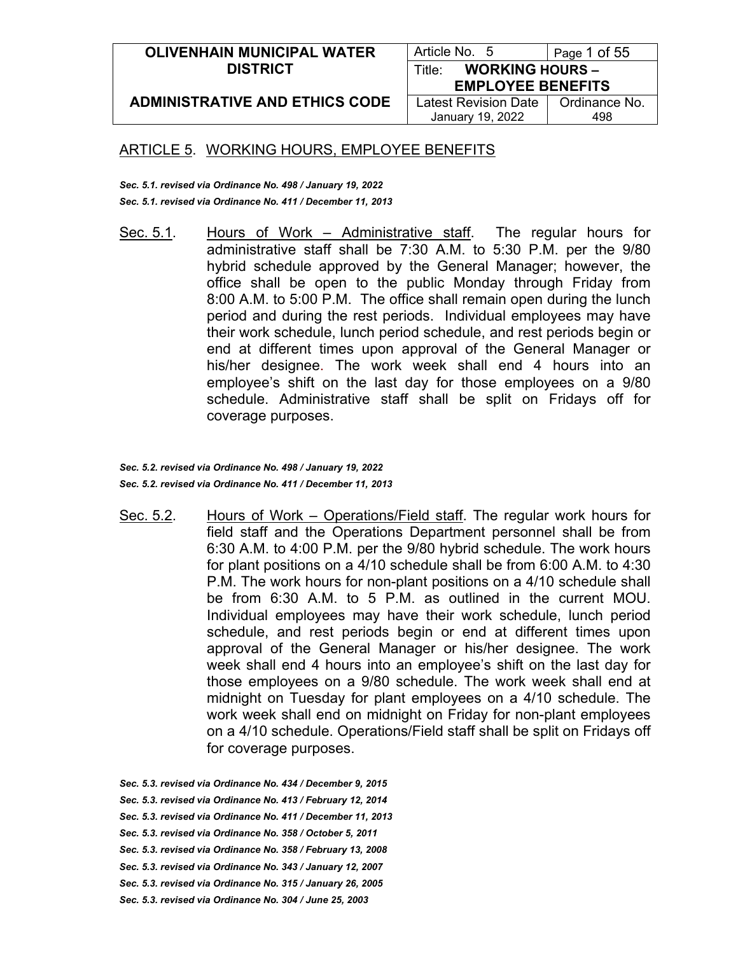| <b>OLIVENHAIN MUNICIPAL WATER</b>     | Article No. 5                    | Page 1 of 55  |
|---------------------------------------|----------------------------------|---------------|
| <b>DISTRICT</b>                       | <b>WORKING HOURS -</b><br>Title∵ |               |
|                                       | <b>EMPLOYEE BENEFITS</b>         |               |
| <b>ADMINISTRATIVE AND ETHICS CODE</b> | <b>Latest Revision Date</b>      | Ordinance No. |
|                                       | January 19, 2022                 | 498           |

*Sec. 5.1. revised via Ordinance No. 498 / January 19, 2022 Sec. 5.1. revised via Ordinance No. 411 / December 11, 2013*

Sec. 5.1. Hours of Work – Administrative staff. The regular hours for administrative staff shall be 7:30 A.M. to 5:30 P.M. per the 9/80 hybrid schedule approved by the General Manager; however, the office shall be open to the public Monday through Friday from 8:00 A.M. to 5:00 P.M. The office shall remain open during the lunch period and during the rest periods. Individual employees may have their work schedule, lunch period schedule, and rest periods begin or end at different times upon approval of the General Manager or his/her designee. The work week shall end 4 hours into an employee's shift on the last day for those employees on a 9/80 schedule. Administrative staff shall be split on Fridays off for coverage purposes.

*Sec. 5.2. revised via Ordinance No. 498 / January 19, 2022 Sec. 5.2. revised via Ordinance No. 411 / December 11, 2013*

Sec. 5.2. Hours of Work – Operations/Field staff. The regular work hours for field staff and the Operations Department personnel shall be from 6:30 A.M. to 4:00 P.M. per the 9/80 hybrid schedule. The work hours for plant positions on a 4/10 schedule shall be from 6:00 A.M. to 4:30 P.M. The work hours for non-plant positions on a 4/10 schedule shall be from 6:30 A.M. to 5 P.M. as outlined in the current MOU. Individual employees may have their work schedule, lunch period schedule, and rest periods begin or end at different times upon approval of the General Manager or his/her designee. The work week shall end 4 hours into an employee's shift on the last day for those employees on a 9/80 schedule. The work week shall end at midnight on Tuesday for plant employees on a 4/10 schedule. The work week shall end on midnight on Friday for non-plant employees on a 4/10 schedule. Operations/Field staff shall be split on Fridays off for coverage purposes.

*Sec. 5.3. revised via Ordinance No. 434 / December 9, 2015*

- *Sec. 5.3. revised via Ordinance No. 413 / February 12, 2014*
- *Sec. 5.3. revised via Ordinance No. 411 / December 11, 2013*
- *Sec. 5.3. revised via Ordinance No. 358 / October 5, 2011*
- *Sec. 5.3. revised via Ordinance No. 358 / February 13, 2008*
- *Sec. 5.3. revised via Ordinance No. 343 / January 12, 2007*
- *Sec. 5.3. revised via Ordinance No. 315 / January 26, 2005*
- *Sec. 5.3. revised via Ordinance No. 304 / June 25, 2003*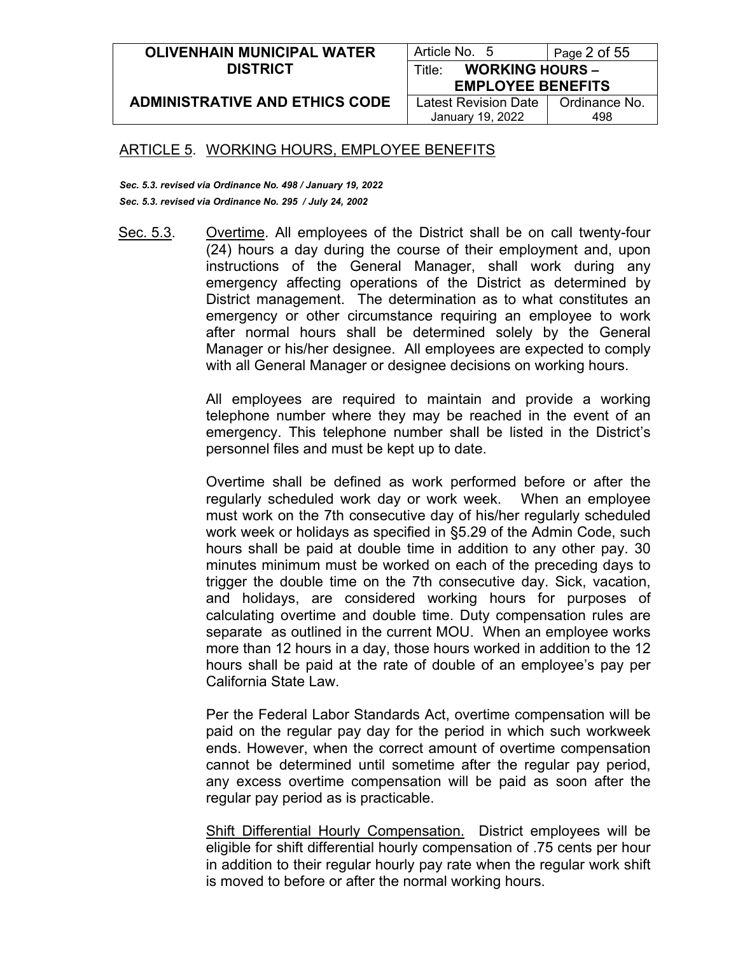| <b>OLIVENHAIN MUNICIPAL WATER</b>     | Article No. 5                    | Page 2 of 55  |
|---------------------------------------|----------------------------------|---------------|
| <b>DISTRICT</b>                       | <b>WORKING HOURS -</b><br>Title: |               |
|                                       | <b>EMPLOYEE BENEFITS</b>         |               |
| <b>ADMINISTRATIVE AND ETHICS CODE</b> | Latest Revision Date             | Ordinance No. |
|                                       | January 19, 2022                 | 498           |

*Sec. 5.3. revised via Ordinance No. 498 / January 19, 2022 Sec. 5.3. revised via Ordinance No. 295 / July 24, 2002*

Sec. 5.3. Overtime. All employees of the District shall be on call twenty-four (24) hours a day during the course of their employment and, upon instructions of the General Manager, shall work during any emergency affecting operations of the District as determined by District management. The determination as to what constitutes an emergency or other circumstance requiring an employee to work after normal hours shall be determined solely by the General Manager or his/her designee. All employees are expected to comply with all General Manager or designee decisions on working hours.

> All employees are required to maintain and provide a working telephone number where they may be reached in the event of an emergency. This telephone number shall be listed in the District's personnel files and must be kept up to date.

> Overtime shall be defined as work performed before or after the regularly scheduled work day or work week. When an employee must work on the 7th consecutive day of his/her regularly scheduled work week or holidays as specified in §5.29 of the Admin Code, such hours shall be paid at double time in addition to any other pay. 30 minutes minimum must be worked on each of the preceding days to trigger the double time on the 7th consecutive day. Sick, vacation, and holidays, are considered working hours for purposes of calculating overtime and double time. Duty compensation rules are separate as outlined in the current MOU. When an employee works more than 12 hours in a day, those hours worked in addition to the 12 hours shall be paid at the rate of double of an employee's pay per California State Law.

> Per the Federal Labor Standards Act, overtime compensation will be paid on the regular pay day for the period in which such workweek ends. However, when the correct amount of overtime compensation cannot be determined until sometime after the regular pay period, any excess overtime compensation will be paid as soon after the regular pay period as is practicable.

> Shift Differential Hourly Compensation. District employees will be eligible for shift differential hourly compensation of .75 cents per hour in addition to their regular hourly pay rate when the regular work shift is moved to before or after the normal working hours.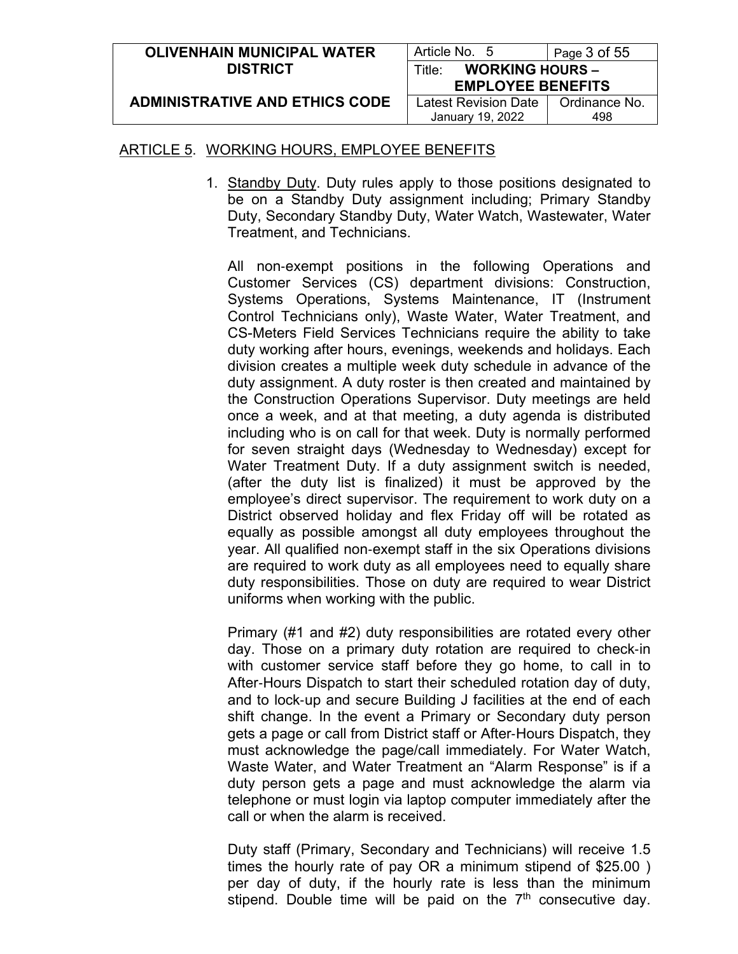| <b>OLIVENHAIN MUNICIPAL WATER</b>     | Article No. 5                    | Page 3 of 55  |
|---------------------------------------|----------------------------------|---------------|
| <b>DISTRICT</b>                       | <b>WORKING HOURS -</b><br>Title∵ |               |
|                                       | <b>EMPLOYEE BENEFITS</b>         |               |
| <b>ADMINISTRATIVE AND ETHICS CODE</b> | Latest Revision Date             | Ordinance No. |
|                                       | January 19, 2022                 | 498           |

1. Standby Duty. Duty rules apply to those positions designated to be on a Standby Duty assignment including; Primary Standby Duty, Secondary Standby Duty, Water Watch, Wastewater, Water Treatment, and Technicians.

All non-exempt positions in the following Operations and Customer Services (CS) department divisions: Construction, Systems Operations, Systems Maintenance, IT (Instrument Control Technicians only), Waste Water, Water Treatment, and CS-Meters Field Services Technicians require the ability to take duty working after hours, evenings, weekends and holidays. Each division creates a multiple week duty schedule in advance of the duty assignment. A duty roster is then created and maintained by the Construction Operations Supervisor. Duty meetings are held once a week, and at that meeting, a duty agenda is distributed including who is on call for that week. Duty is normally performed for seven straight days (Wednesday to Wednesday) except for Water Treatment Duty. If a duty assignment switch is needed, (after the duty list is finalized) it must be approved by the employee's direct supervisor. The requirement to work duty on a District observed holiday and flex Friday off will be rotated as equally as possible amongst all duty employees throughout the year. All qualified non‐exempt staff in the six Operations divisions are required to work duty as all employees need to equally share duty responsibilities. Those on duty are required to wear District uniforms when working with the public.

Primary (#1 and #2) duty responsibilities are rotated every other day. Those on a primary duty rotation are required to check‐in with customer service staff before they go home, to call in to After‐Hours Dispatch to start their scheduled rotation day of duty, and to lock‐up and secure Building J facilities at the end of each shift change. In the event a Primary or Secondary duty person gets a page or call from District staff or After‐Hours Dispatch, they must acknowledge the page/call immediately. For Water Watch, Waste Water, and Water Treatment an "Alarm Response" is if a duty person gets a page and must acknowledge the alarm via telephone or must login via laptop computer immediately after the call or when the alarm is received.

Duty staff (Primary, Secondary and Technicians) will receive 1.5 times the hourly rate of pay OR a minimum stipend of \$25.00 ) per day of duty, if the hourly rate is less than the minimum stipend. Double time will be paid on the  $7<sup>th</sup>$  consecutive day.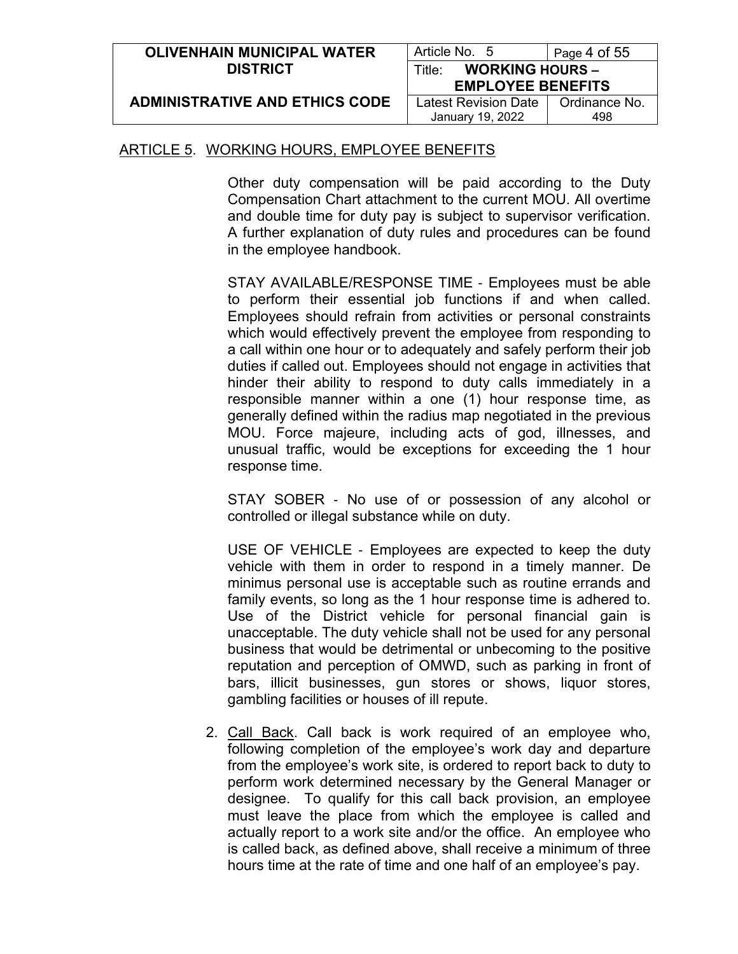| <b>OLIVENHAIN MUNICIPAL WATER</b>     | Article No. 5                    | Page 4 of 55  |
|---------------------------------------|----------------------------------|---------------|
| <b>DISTRICT</b>                       | <b>WORKING HOURS -</b><br>Title: |               |
|                                       | <b>EMPLOYEE BENEFITS</b>         |               |
| <b>ADMINISTRATIVE AND ETHICS CODE</b> | Latest Revision Date             | Ordinance No. |
|                                       | January 19, 2022                 | 498           |

Other duty compensation will be paid according to the Duty Compensation Chart attachment to the current MOU. All overtime and double time for duty pay is subject to supervisor verification. A further explanation of duty rules and procedures can be found in the employee handbook.

STAY AVAILABLE/RESPONSE TIME ‐ Employees must be able to perform their essential job functions if and when called. Employees should refrain from activities or personal constraints which would effectively prevent the employee from responding to a call within one hour or to adequately and safely perform their job duties if called out. Employees should not engage in activities that hinder their ability to respond to duty calls immediately in a responsible manner within a one (1) hour response time, as generally defined within the radius map negotiated in the previous MOU. Force majeure, including acts of god, illnesses, and unusual traffic, would be exceptions for exceeding the 1 hour response time.

STAY SOBER ‐ No use of or possession of any alcohol or controlled or illegal substance while on duty.

USE OF VEHICLE ‐ Employees are expected to keep the duty vehicle with them in order to respond in a timely manner. De minimus personal use is acceptable such as routine errands and family events, so long as the 1 hour response time is adhered to. Use of the District vehicle for personal financial gain is unacceptable. The duty vehicle shall not be used for any personal business that would be detrimental or unbecoming to the positive reputation and perception of OMWD, such as parking in front of bars, illicit businesses, gun stores or shows, liquor stores, gambling facilities or houses of ill repute.

2. Call Back. Call back is work required of an employee who, following completion of the employee's work day and departure from the employee's work site, is ordered to report back to duty to perform work determined necessary by the General Manager or designee. To qualify for this call back provision, an employee must leave the place from which the employee is called and actually report to a work site and/or the office. An employee who is called back, as defined above, shall receive a minimum of three hours time at the rate of time and one half of an employee's pay.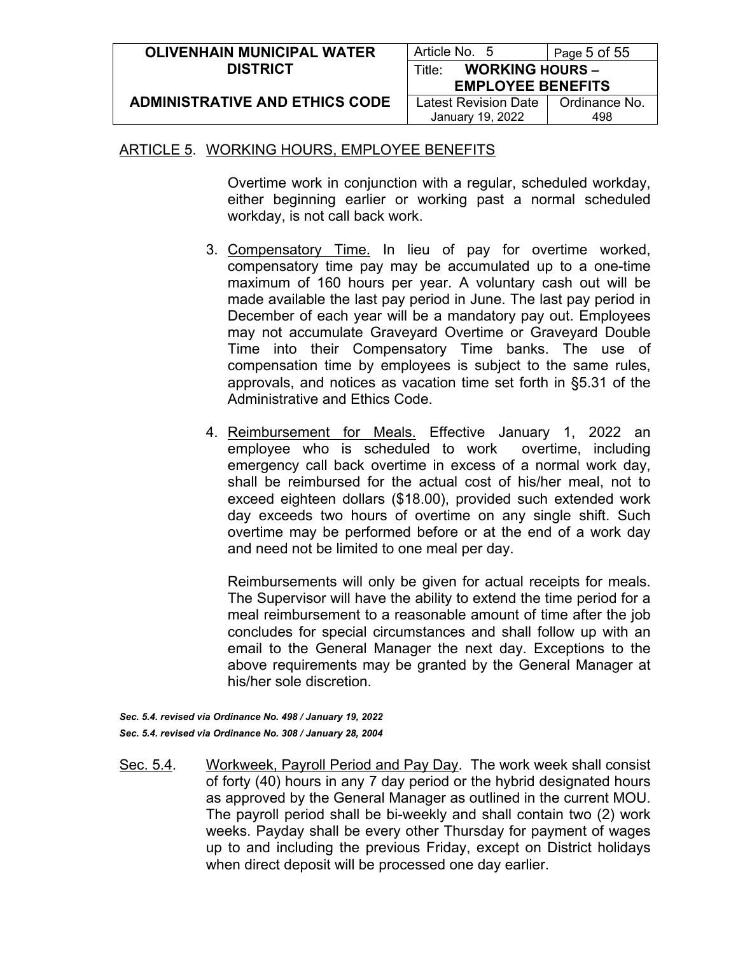| <b>OLIVENHAIN MUNICIPAL WATER</b>     | Article No. 5                    | Page 5 of 55  |
|---------------------------------------|----------------------------------|---------------|
| <b>DISTRICT</b>                       | <b>WORKING HOURS -</b><br>Title: |               |
|                                       | <b>EMPLOYEE BENEFITS</b>         |               |
| <b>ADMINISTRATIVE AND ETHICS CODE</b> | <b>Latest Revision Date</b>      | Ordinance No. |
|                                       | January 19, 2022                 | 498           |

Overtime work in conjunction with a regular, scheduled workday, either beginning earlier or working past a normal scheduled workday, is not call back work.

- 3. Compensatory Time. In lieu of pay for overtime worked, compensatory time pay may be accumulated up to a one-time maximum of 160 hours per year. A voluntary cash out will be made available the last pay period in June. The last pay period in December of each year will be a mandatory pay out. Employees may not accumulate Graveyard Overtime or Graveyard Double Time into their Compensatory Time banks. The use of compensation time by employees is subject to the same rules, approvals, and notices as vacation time set forth in §5.31 of the Administrative and Ethics Code.
- 4. Reimbursement for Meals. Effective January 1, 2022 an employee who is scheduled to work overtime, including emergency call back overtime in excess of a normal work day, shall be reimbursed for the actual cost of his/her meal, not to exceed eighteen dollars (\$18.00), provided such extended work day exceeds two hours of overtime on any single shift. Such overtime may be performed before or at the end of a work day and need not be limited to one meal per day.

Reimbursements will only be given for actual receipts for meals. The Supervisor will have the ability to extend the time period for a meal reimbursement to a reasonable amount of time after the job concludes for special circumstances and shall follow up with an email to the General Manager the next day. Exceptions to the above requirements may be granted by the General Manager at his/her sole discretion.

*Sec. 5.4. revised via Ordinance No. 498 / January 19, 2022 Sec. 5.4. revised via Ordinance No. 308 / January 28, 2004*

Sec. 5.4. Workweek, Payroll Period and Pay Day. The work week shall consist of forty (40) hours in any 7 day period or the hybrid designated hours as approved by the General Manager as outlined in the current MOU. The payroll period shall be bi-weekly and shall contain two (2) work weeks. Payday shall be every other Thursday for payment of wages up to and including the previous Friday, except on District holidays when direct deposit will be processed one day earlier.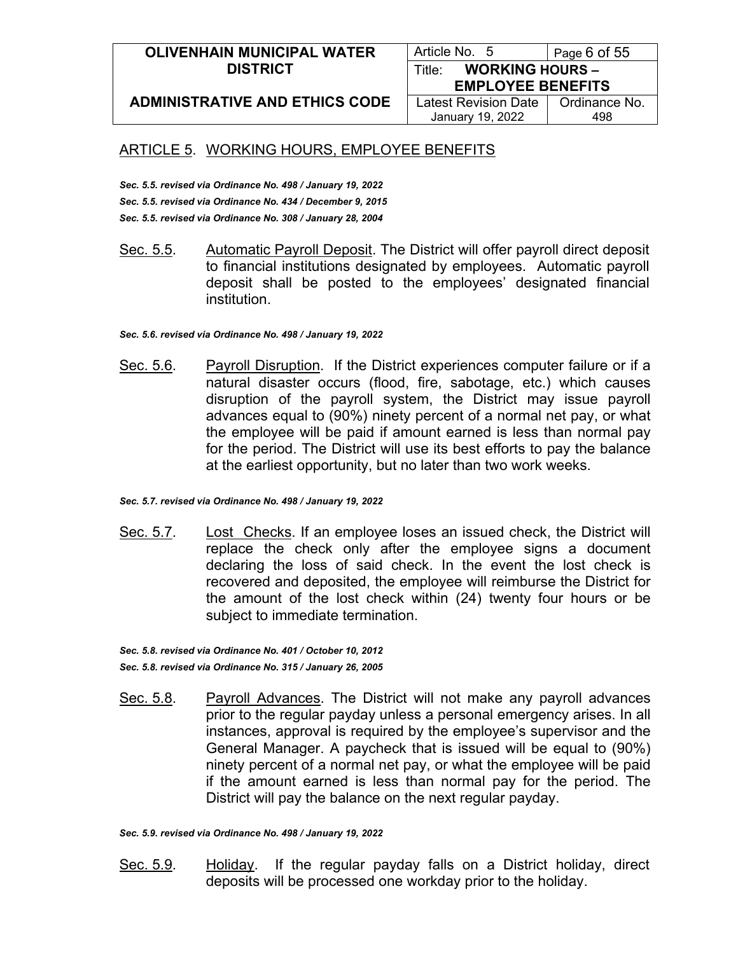#### **OLIVENHAIN MUNICIPAL WATER DISTRICT**

Article No. 5 | Page 6 of 55 Title: **WORKING HOURS –**

**ADMINISTRATIVE AND ETHICS CODE**

Latest Revision Date January 19, 2022

**EMPLOYEE BENEFITS** Ordinance No. 498

## ARTICLE 5. WORKING HOURS, EMPLOYEE BENEFITS

*Sec. 5.5. revised via Ordinance No. 498 / January 19, 2022 Sec. 5.5. revised via Ordinance No. 434 / December 9, 2015 Sec. 5.5. revised via Ordinance No. 308 / January 28, 2004*

Sec. 5.5. Automatic Payroll Deposit. The District will offer payroll direct deposit to financial institutions designated by employees. Automatic payroll deposit shall be posted to the employees' designated financial institution.

*Sec. 5.6. revised via Ordinance No. 498 / January 19, 2022*

Sec. 5.6. Payroll Disruption. If the District experiences computer failure or if a natural disaster occurs (flood, fire, sabotage, etc.) which causes disruption of the payroll system, the District may issue payroll advances equal to (90%) ninety percent of a normal net pay, or what the employee will be paid if amount earned is less than normal pay for the period. The District will use its best efforts to pay the balance at the earliest opportunity, but no later than two work weeks.

*Sec. 5.7. revised via Ordinance No. 498 / January 19, 2022*

Sec. 5.7. Lost Checks. If an employee loses an issued check, the District will replace the check only after the employee signs a document declaring the loss of said check. In the event the lost check is recovered and deposited, the employee will reimburse the District for the amount of the lost check within (24) twenty four hours or be subject to immediate termination.

*Sec. 5.8. revised via Ordinance No. 401 / October 10, 2012 Sec. 5.8. revised via Ordinance No. 315 / January 26, 2005*

Sec. 5.8. Payroll Advances. The District will not make any payroll advances prior to the regular payday unless a personal emergency arises. In all instances, approval is required by the employee's supervisor and the General Manager. A paycheck that is issued will be equal to (90%) ninety percent of a normal net pay, or what the employee will be paid if the amount earned is less than normal pay for the period. The District will pay the balance on the next regular payday.

*Sec. 5.9. revised via Ordinance No. 498 / January 19, 2022*

Sec. 5.9. Holiday. If the regular payday falls on a District holiday, direct deposits will be processed one workday prior to the holiday.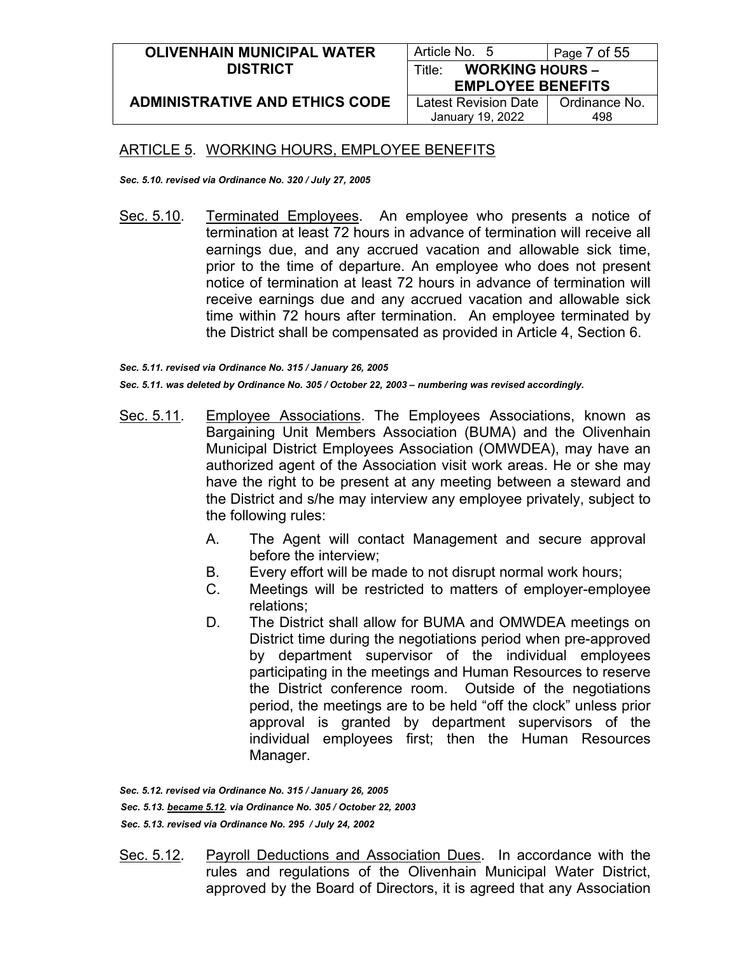| <b>OLIVENHAIN MUNICIPAL WATER</b>     | Article No. 5                    | Page 7 of 55  |
|---------------------------------------|----------------------------------|---------------|
| <b>DISTRICT</b>                       | <b>WORKING HOURS -</b><br>Title∸ |               |
|                                       | <b>EMPLOYEE BENEFITS</b>         |               |
| <b>ADMINISTRATIVE AND ETHICS CODE</b> | <b>Latest Revision Date</b>      | Ordinance No. |
|                                       | January 19, 2022                 | 498           |

*Sec. 5.10. revised via Ordinance No. 320 / July 27, 2005*

Sec. 5.10. Terminated Employees. An employee who presents a notice of termination at least 72 hours in advance of termination will receive all earnings due, and any accrued vacation and allowable sick time, prior to the time of departure. An employee who does not present notice of termination at least 72 hours in advance of termination will receive earnings due and any accrued vacation and allowable sick time within 72 hours after termination. An employee terminated by the District shall be compensated as provided in Article 4, Section 6.

*Sec. 5.11. revised via Ordinance No. 315 / January 26, 2005 Sec. 5.11. was deleted by Ordinance No. 305 / October 22, 2003 – numbering was revised accordingly.*

- Sec. 5.11. Employee Associations. The Employees Associations, known as Bargaining Unit Members Association (BUMA) and the Olivenhain Municipal District Employees Association (OMWDEA), may have an authorized agent of the Association visit work areas. He or she may have the right to be present at any meeting between a steward and the District and s/he may interview any employee privately, subject to the following rules:
	- A. The Agent will contact Management and secure approval before the interview;
	- B. Every effort will be made to not disrupt normal work hours;
	- C. Meetings will be restricted to matters of employer-employee relations;
	- D. The District shall allow for BUMA and OMWDEA meetings on District time during the negotiations period when pre-approved by department supervisor of the individual employees participating in the meetings and Human Resources to reserve the District conference room. Outside of the negotiations period, the meetings are to be held "off the clock" unless prior approval is granted by department supervisors of the individual employees first; then the Human Resources Manager.

*Sec. 5.12. revised via Ordinance No. 315 / January 26, 2005 Sec. 5.13. became 5.12. via Ordinance No. 305 / October 22, 2003 Sec. 5.13. revised via Ordinance No. 295 / July 24, 2002*

Sec. 5.12. Payroll Deductions and Association Dues. In accordance with the rules and regulations of the Olivenhain Municipal Water District, approved by the Board of Directors, it is agreed that any Association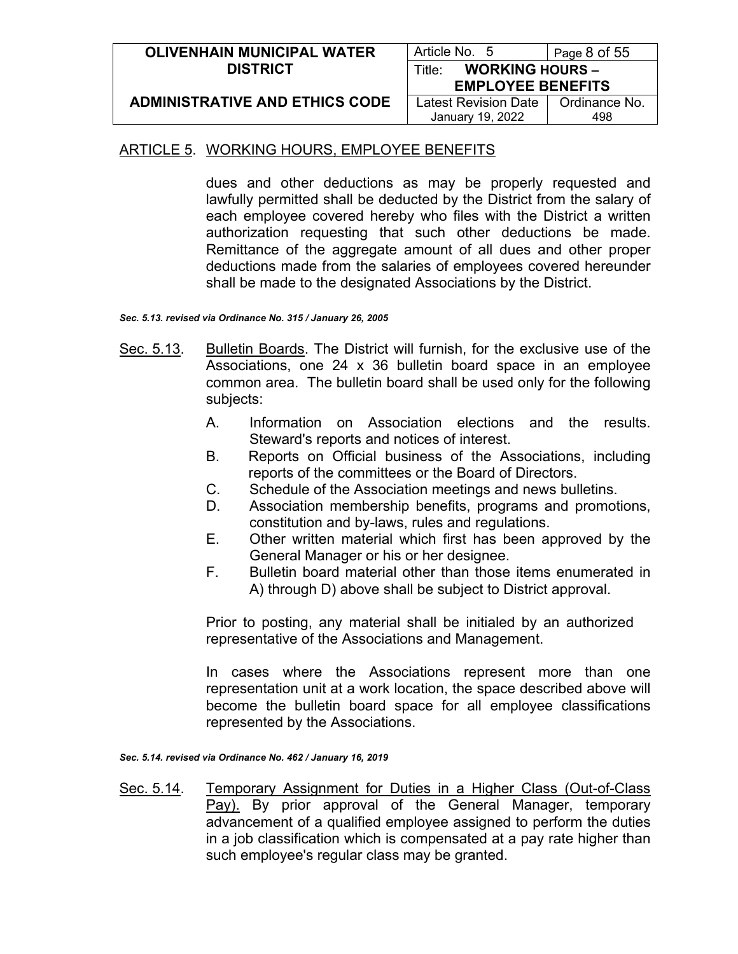| <b>OLIVENHAIN MUNICIPAL WATER</b>     | Article No. 5                    | Page 8 of 55  |
|---------------------------------------|----------------------------------|---------------|
| <b>DISTRICT</b>                       | <b>WORKING HOURS -</b><br>Title: |               |
|                                       | <b>EMPLOYEE BENEFITS</b>         |               |
| <b>ADMINISTRATIVE AND ETHICS CODE</b> | Latest Revision Date             | Ordinance No. |
|                                       | January 19, 2022                 | 498           |

dues and other deductions as may be properly requested and lawfully permitted shall be deducted by the District from the salary of each employee covered hereby who files with the District a written authorization requesting that such other deductions be made. Remittance of the aggregate amount of all dues and other proper deductions made from the salaries of employees covered hereunder shall be made to the designated Associations by the District.

*Sec. 5.13. revised via Ordinance No. 315 / January 26, 2005*

- Sec. 5.13. Bulletin Boards. The District will furnish, for the exclusive use of the Associations, one 24 x 36 bulletin board space in an employee common area. The bulletin board shall be used only for the following subjects:
	- A. Information on Association elections and the results. Steward's reports and notices of interest.
	- B. Reports on Official business of the Associations, including reports of the committees or the Board of Directors.
	- C. Schedule of the Association meetings and news bulletins.
	- D. Association membership benefits, programs and promotions, constitution and by-laws, rules and regulations.
	- E. Other written material which first has been approved by the General Manager or his or her designee.
	- F. Bulletin board material other than those items enumerated in A) through D) above shall be subject to District approval.

Prior to posting, any material shall be initialed by an authorized representative of the Associations and Management.

In cases where the Associations represent more than one representation unit at a work location, the space described above will become the bulletin board space for all employee classifications represented by the Associations.

*Sec. 5.14. revised via Ordinance No. 462 / January 16, 2019*

Sec. 5.14. Temporary Assignment for Duties in a Higher Class (Out-of-Class Pay). By prior approval of the General Manager, temporary advancement of a qualified employee assigned to perform the duties in a job classification which is compensated at a pay rate higher than such employee's regular class may be granted.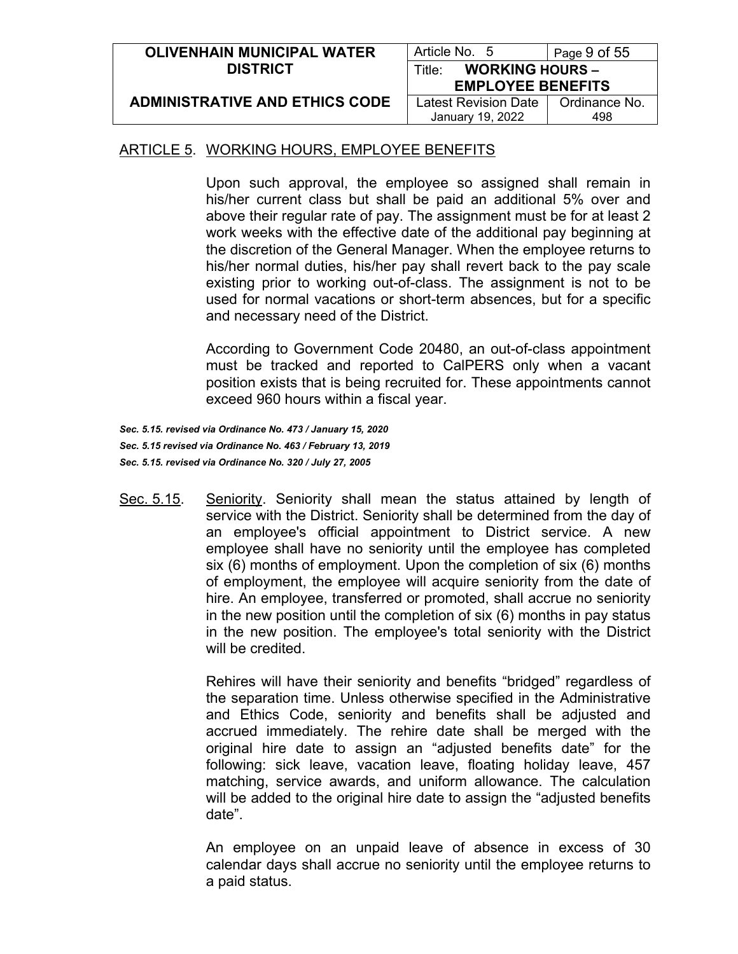| <b>OLIVENHAIN MUNICIPAL WATER</b>     | Article No. 5                    | Page 9 of 55  |
|---------------------------------------|----------------------------------|---------------|
| <b>DISTRICT</b>                       | <b>WORKING HOURS -</b><br>Title∶ |               |
|                                       | <b>EMPLOYEE BENEFITS</b>         |               |
| <b>ADMINISTRATIVE AND ETHICS CODE</b> | Latest Revision Date             | Ordinance No. |
|                                       | January 19, 2022                 | 498           |

Upon such approval, the employee so assigned shall remain in his/her current class but shall be paid an additional 5% over and above their regular rate of pay. The assignment must be for at least 2 work weeks with the effective date of the additional pay beginning at the discretion of the General Manager. When the employee returns to his/her normal duties, his/her pay shall revert back to the pay scale existing prior to working out-of-class. The assignment is not to be used for normal vacations or short-term absences, but for a specific and necessary need of the District.

According to Government Code 20480, an out-of-class appointment must be tracked and reported to CalPERS only when a vacant position exists that is being recruited for. These appointments cannot exceed 960 hours within a fiscal year.

*Sec. 5.15. revised via Ordinance No. 473 / January 15, 2020 Sec. 5.15 revised via Ordinance No. 463 / February 13, 2019 Sec. 5.15. revised via Ordinance No. 320 / July 27, 2005*

Sec. 5.15. Seniority. Seniority shall mean the status attained by length of service with the District. Seniority shall be determined from the day of an employee's official appointment to District service. A new employee shall have no seniority until the employee has completed six (6) months of employment. Upon the completion of six (6) months of employment, the employee will acquire seniority from the date of hire. An employee, transferred or promoted, shall accrue no seniority in the new position until the completion of six (6) months in pay status in the new position. The employee's total seniority with the District will be credited.

> Rehires will have their seniority and benefits "bridged" regardless of the separation time. Unless otherwise specified in the Administrative and Ethics Code, seniority and benefits shall be adjusted and accrued immediately. The rehire date shall be merged with the original hire date to assign an "adjusted benefits date" for the following: sick leave, vacation leave, floating holiday leave, 457 matching, service awards, and uniform allowance. The calculation will be added to the original hire date to assign the "adjusted benefits date".

> An employee on an unpaid leave of absence in excess of 30 calendar days shall accrue no seniority until the employee returns to a paid status.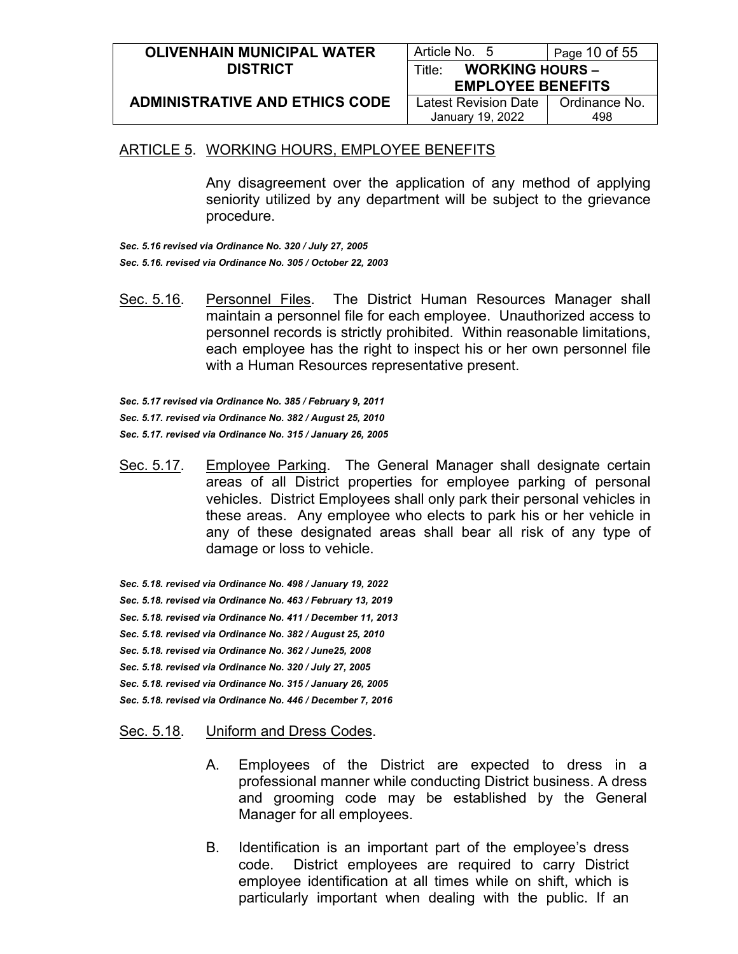| <b>OLIVENHAIN MUNICIPAL WATER</b>     | Article No. 5                    | Page 10 of 55 |
|---------------------------------------|----------------------------------|---------------|
| <b>DISTRICT</b>                       | <b>WORKING HOURS -</b><br>Title: |               |
|                                       | <b>EMPLOYEE BENEFITS</b>         |               |
| <b>ADMINISTRATIVE AND ETHICS CODE</b> | <b>Latest Revision Date</b>      | Ordinance No. |
|                                       | January 19, 2022                 | 498           |

Any disagreement over the application of any method of applying seniority utilized by any department will be subject to the grievance procedure.

*Sec. 5.16 revised via Ordinance No. 320 / July 27, 2005 Sec. 5.16. revised via Ordinance No. 305 / October 22, 2003*

Sec. 5.16. Personnel Files. The District Human Resources Manager shall maintain a personnel file for each employee. Unauthorized access to personnel records is strictly prohibited. Within reasonable limitations, each employee has the right to inspect his or her own personnel file with a Human Resources representative present.

*Sec. 5.17 revised via Ordinance No. 385 / February 9, 2011 Sec. 5.17. revised via Ordinance No. 382 / August 25, 2010 Sec. 5.17. revised via Ordinance No. 315 / January 26, 2005*

Sec. 5.17. Employee Parking. The General Manager shall designate certain areas of all District properties for employee parking of personal vehicles. District Employees shall only park their personal vehicles in these areas. Any employee who elects to park his or her vehicle in any of these designated areas shall bear all risk of any type of damage or loss to vehicle.

*Sec. 5.18. revised via Ordinance No. 498 / January 19, 2022 Sec. 5.18. revised via Ordinance No. 463 / February 13, 2019 Sec. 5.18. revised via Ordinance No. 411 / December 11, 2013 Sec. 5.18. revised via Ordinance No. 382 / August 25, 2010 Sec. 5.18. revised via Ordinance No. 362 / June25, 2008 Sec. 5.18. revised via Ordinance No. 320 / July 27, 2005 Sec. 5.18. revised via Ordinance No. 315 / January 26, 2005 Sec. 5.18. revised via Ordinance No. 446 / December 7, 2016*

#### Sec. 5.18. Uniform and Dress Codes.

- A. Employees of the District are expected to dress in a professional manner while conducting District business. A dress and grooming code may be established by the General Manager for all employees.
- B. Identification is an important part of the employee's dress code. District employees are required to carry District employee identification at all times while on shift, which is particularly important when dealing with the public. If an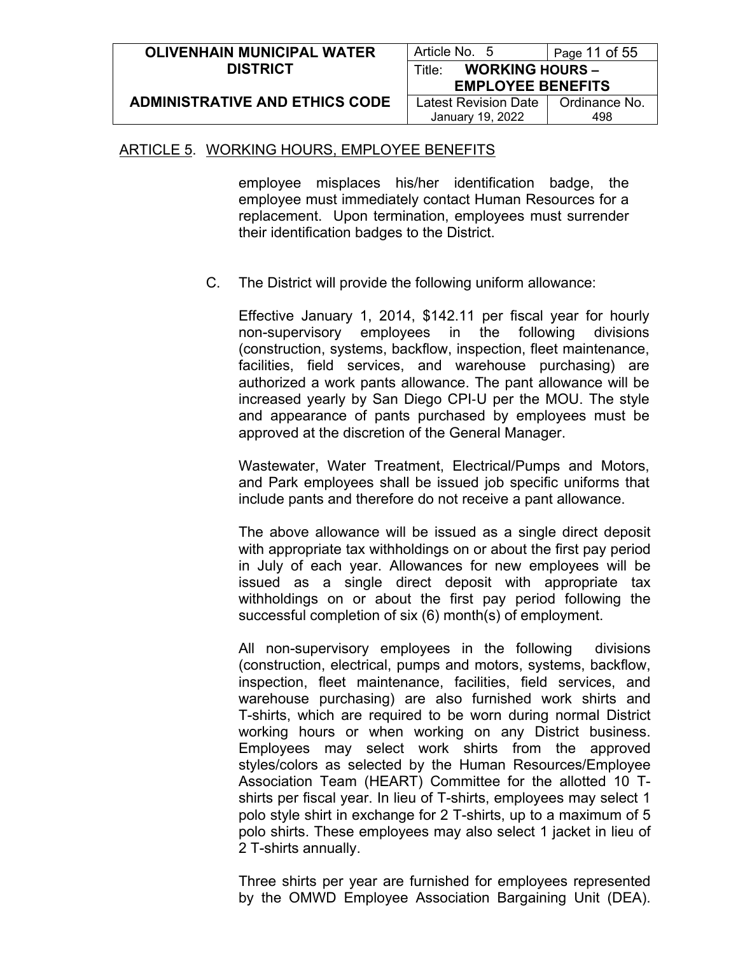| <b>OLIVENHAIN MUNICIPAL WATER</b>     | Article No. 5                    | Page 11 of 55 |
|---------------------------------------|----------------------------------|---------------|
| <b>DISTRICT</b>                       | <b>WORKING HOURS -</b><br>Title: |               |
|                                       | <b>EMPLOYEE BENEFITS</b>         |               |
| <b>ADMINISTRATIVE AND ETHICS CODE</b> | Latest Revision Date             | Ordinance No. |
|                                       | January 19, 2022                 | 498           |

employee misplaces his/her identification badge, the employee must immediately contact Human Resources for a replacement. Upon termination, employees must surrender their identification badges to the District.

C. The District will provide the following uniform allowance:

Effective January 1, 2014, \$142.11 per fiscal year for hourly non-supervisory employees in the following divisions (construction, systems, backflow, inspection, fleet maintenance, facilities, field services, and warehouse purchasing) are authorized a work pants allowance. The pant allowance will be increased yearly by San Diego CPI‐U per the MOU. The style and appearance of pants purchased by employees must be approved at the discretion of the General Manager.

Wastewater, Water Treatment, Electrical/Pumps and Motors, and Park employees shall be issued job specific uniforms that include pants and therefore do not receive a pant allowance.

The above allowance will be issued as a single direct deposit with appropriate tax withholdings on or about the first pay period in July of each year. Allowances for new employees will be issued as a single direct deposit with appropriate tax withholdings on or about the first pay period following the successful completion of six (6) month(s) of employment.

All non-supervisory employees in the following divisions (construction, electrical, pumps and motors, systems, backflow, inspection, fleet maintenance, facilities, field services, and warehouse purchasing) are also furnished work shirts and T-shirts, which are required to be worn during normal District working hours or when working on any District business. Employees may select work shirts from the approved styles/colors as selected by the Human Resources/Employee Association Team (HEART) Committee for the allotted 10 Tshirts per fiscal year. In lieu of T-shirts, employees may select 1 polo style shirt in exchange for 2 T-shirts, up to a maximum of 5 polo shirts. These employees may also select 1 jacket in lieu of 2 T-shirts annually.

Three shirts per year are furnished for employees represented by the OMWD Employee Association Bargaining Unit (DEA).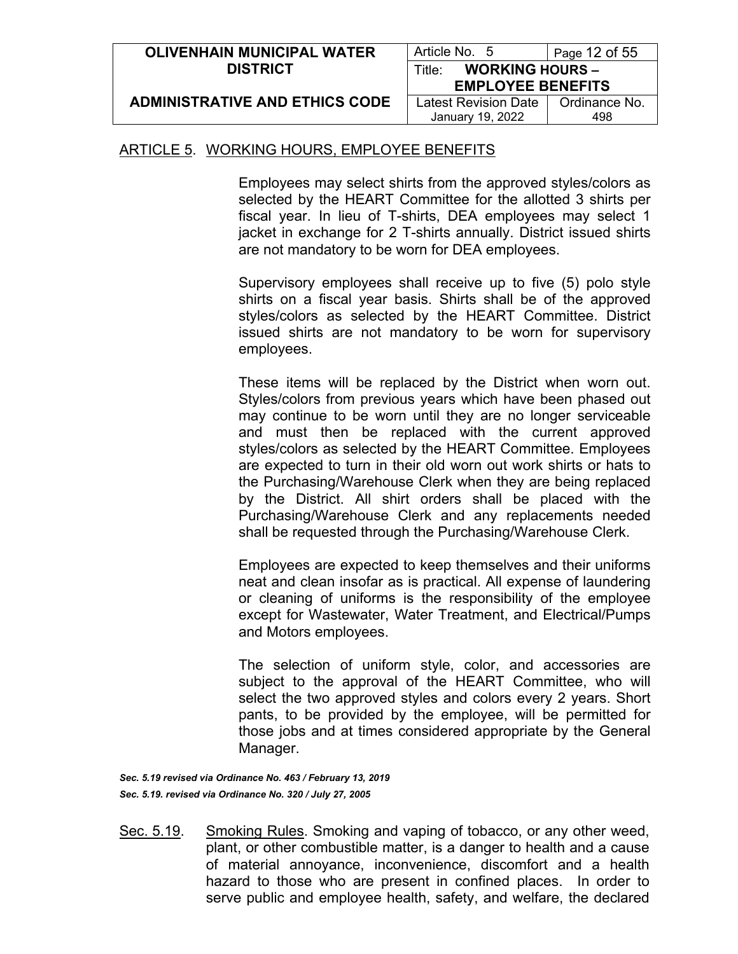| <b>OLIVENHAIN MUNICIPAL WATER</b>     | Article No. 5                                | Page 12 of 55 |
|---------------------------------------|----------------------------------------------|---------------|
| <b>DISTRICT</b>                       | <b>WORKING HOURS -</b><br>Title <sup>.</sup> |               |
|                                       | <b>EMPLOYEE BENEFITS</b>                     |               |
| <b>ADMINISTRATIVE AND ETHICS CODE</b> | Latest Revision Date                         | Ordinance No. |
|                                       | January 19, 2022                             | 498           |

Employees may select shirts from the approved styles/colors as selected by the HEART Committee for the allotted 3 shirts per fiscal year. In lieu of T-shirts, DEA employees may select 1 jacket in exchange for 2 T-shirts annually. District issued shirts are not mandatory to be worn for DEA employees.

Supervisory employees shall receive up to five (5) polo style shirts on a fiscal year basis. Shirts shall be of the approved styles/colors as selected by the HEART Committee. District issued shirts are not mandatory to be worn for supervisory employees.

These items will be replaced by the District when worn out. Styles/colors from previous years which have been phased out may continue to be worn until they are no longer serviceable and must then be replaced with the current approved styles/colors as selected by the HEART Committee. Employees are expected to turn in their old worn out work shirts or hats to the Purchasing/Warehouse Clerk when they are being replaced by the District. All shirt orders shall be placed with the Purchasing/Warehouse Clerk and any replacements needed shall be requested through the Purchasing/Warehouse Clerk.

Employees are expected to keep themselves and their uniforms neat and clean insofar as is practical. All expense of laundering or cleaning of uniforms is the responsibility of the employee except for Wastewater, Water Treatment, and Electrical/Pumps and Motors employees.

The selection of uniform style, color, and accessories are subject to the approval of the HEART Committee, who will select the two approved styles and colors every 2 years. Short pants, to be provided by the employee, will be permitted for those jobs and at times considered appropriate by the General Manager.

*Sec. 5.19 revised via Ordinance No. 463 / February 13, 2019 Sec. 5.19. revised via Ordinance No. 320 / July 27, 2005*

Sec. 5.19. Smoking Rules. Smoking and vaping of tobacco, or any other weed, plant, or other combustible matter, is a danger to health and a cause of material annoyance, inconvenience, discomfort and a health hazard to those who are present in confined places. In order to serve public and employee health, safety, and welfare, the declared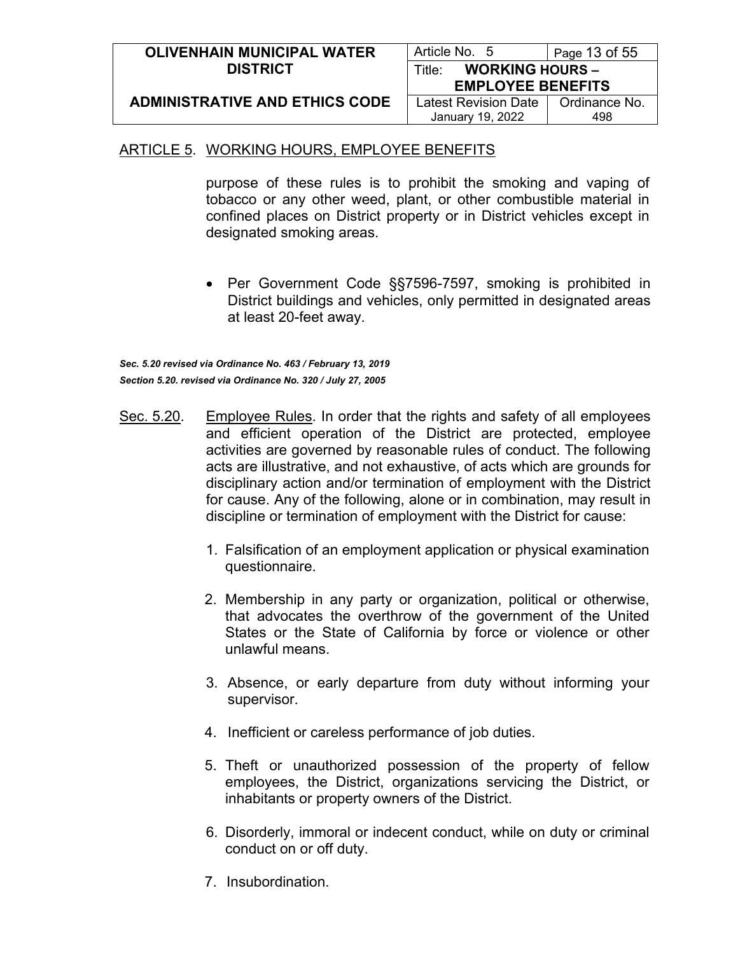| <b>OLIVENHAIN MUNICIPAL WATER</b>     | Article No. 5                    | Page 13 of 55 |
|---------------------------------------|----------------------------------|---------------|
| <b>DISTRICT</b>                       | <b>WORKING HOURS -</b><br>Title: |               |
|                                       | <b>EMPLOYEE BENEFITS</b>         |               |
| <b>ADMINISTRATIVE AND ETHICS CODE</b> | Latest Revision Date             | Ordinance No. |
|                                       | January 19, 2022                 | 498           |

purpose of these rules is to prohibit the smoking and vaping of tobacco or any other weed, plant, or other combustible material in confined places on District property or in District vehicles except in designated smoking areas.

• Per Government Code §§7596-7597, smoking is prohibited in District buildings and vehicles, only permitted in designated areas at least 20-feet away.

*Sec. 5.20 revised via Ordinance No. 463 / February 13, 2019 Section 5.20. revised via Ordinance No. 320 / July 27, 2005*

- Sec. 5.20. Employee Rules. In order that the rights and safety of all employees and efficient operation of the District are protected, employee activities are governed by reasonable rules of conduct. The following acts are illustrative, and not exhaustive, of acts which are grounds for disciplinary action and/or termination of employment with the District for cause. Any of the following, alone or in combination, may result in discipline or termination of employment with the District for cause:
	- 1. Falsification of an employment application or physical examination questionnaire.
	- 2. Membership in any party or organization, political or otherwise, that advocates the overthrow of the government of the United States or the State of California by force or violence or other unlawful means.
	- 3. Absence, or early departure from duty without informing your supervisor.
	- 4. Inefficient or careless performance of job duties.
	- 5. Theft or unauthorized possession of the property of fellow employees, the District, organizations servicing the District, or inhabitants or property owners of the District.
	- 6. Disorderly, immoral or indecent conduct, while on duty or criminal conduct on or off duty.
	- 7. Insubordination.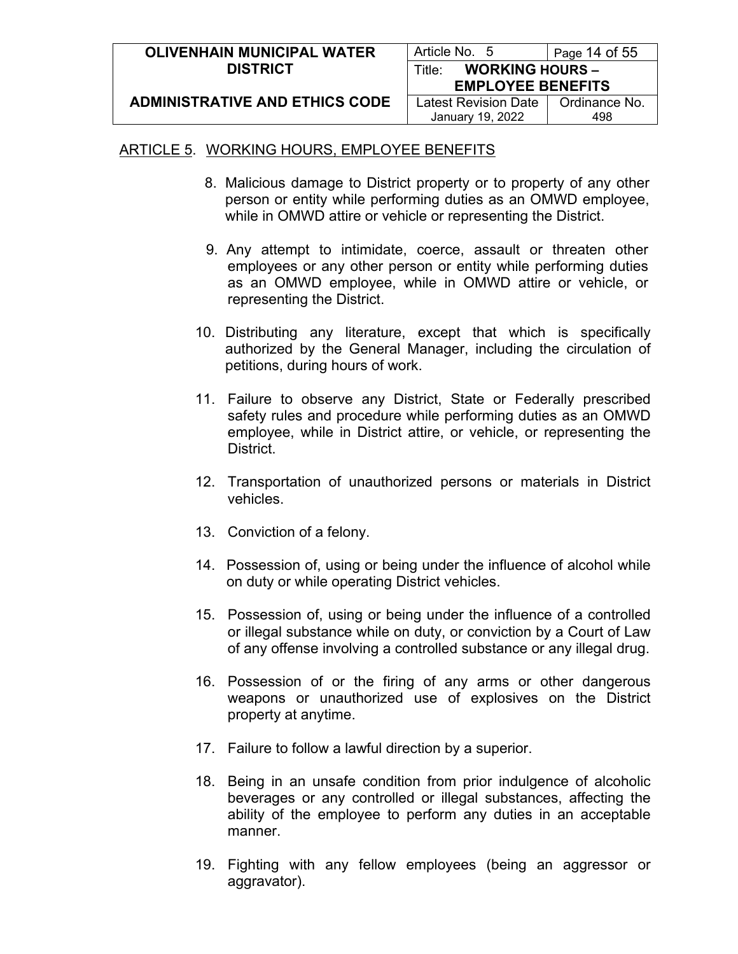| <b>OLIVENHAIN MUNICIPAL WATER</b>     | Article No. 5                    | Page 14 of 55 |
|---------------------------------------|----------------------------------|---------------|
| <b>DISTRICT</b>                       | <b>WORKING HOURS -</b><br>Title: |               |
|                                       | <b>EMPLOYEE BENEFITS</b>         |               |
| <b>ADMINISTRATIVE AND ETHICS CODE</b> | Latest Revision Date             | Ordinance No. |
|                                       | January 19, 2022                 | 498           |

- 8. Malicious damage to District property or to property of any other person or entity while performing duties as an OMWD employee, while in OMWD attire or vehicle or representing the District.
- 9. Any attempt to intimidate, coerce, assault or threaten other employees or any other person or entity while performing duties as an OMWD employee, while in OMWD attire or vehicle, or representing the District.
- 10. Distributing any literature, except that which is specifically authorized by the General Manager, including the circulation of petitions, during hours of work.
- 11. Failure to observe any District, State or Federally prescribed safety rules and procedure while performing duties as an OMWD employee, while in District attire, or vehicle, or representing the **District.**
- 12. Transportation of unauthorized persons or materials in District vehicles.
- 13. Conviction of a felony.
- 14. Possession of, using or being under the influence of alcohol while on duty or while operating District vehicles.
- 15. Possession of, using or being under the influence of a controlled or illegal substance while on duty, or conviction by a Court of Law of any offense involving a controlled substance or any illegal drug.
- 16. Possession of or the firing of any arms or other dangerous weapons or unauthorized use of explosives on the District property at anytime.
- 17. Failure to follow a lawful direction by a superior.
- 18. Being in an unsafe condition from prior indulgence of alcoholic beverages or any controlled or illegal substances, affecting the ability of the employee to perform any duties in an acceptable manner.
- 19. Fighting with any fellow employees (being an aggressor or aggravator).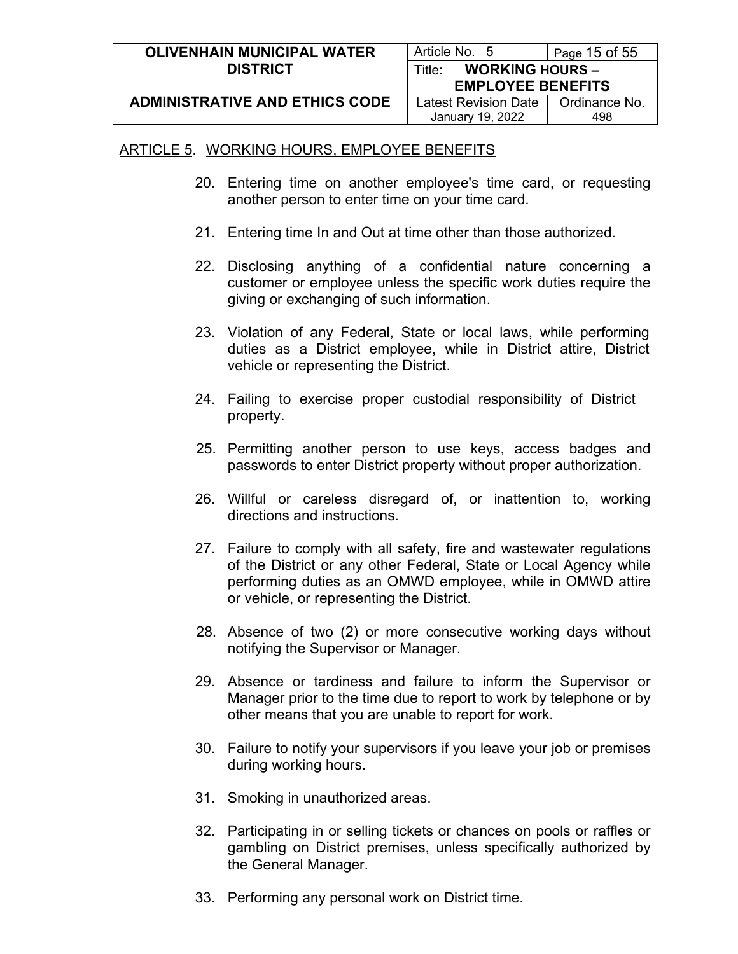| <b>OLIVENHAIN MUNICIPAL WATER</b>     | Article No. 5                    | Page 15 of 55 |
|---------------------------------------|----------------------------------|---------------|
| <b>DISTRICT</b>                       | <b>WORKING HOURS -</b><br>Title: |               |
|                                       | <b>EMPLOYEE BENEFITS</b>         |               |
| <b>ADMINISTRATIVE AND ETHICS CODE</b> | Latest Revision Date             | Ordinance No. |
|                                       | January 19, 2022                 | 498           |

- 20. Entering time on another employee's time card, or requesting another person to enter time on your time card.
- 21. Entering time In and Out at time other than those authorized.
- 22. Disclosing anything of a confidential nature concerning a customer or employee unless the specific work duties require the giving or exchanging of such information.
- 23. Violation of any Federal, State or local laws, while performing duties as a District employee, while in District attire, District vehicle or representing the District.
- 24. Failing to exercise proper custodial responsibility of District property.
- 25. Permitting another person to use keys, access badges and passwords to enter District property without proper authorization.
- 26. Willful or careless disregard of, or inattention to, working directions and instructions.
- 27. Failure to comply with all safety, fire and wastewater regulations of the District or any other Federal, State or Local Agency while performing duties as an OMWD employee, while in OMWD attire or vehicle, or representing the District.
- 28. Absence of two (2) or more consecutive working days without notifying the Supervisor or Manager.
- 29. Absence or tardiness and failure to inform the Supervisor or Manager prior to the time due to report to work by telephone or by other means that you are unable to report for work.
- 30. Failure to notify your supervisors if you leave your job or premises during working hours.
- 31. Smoking in unauthorized areas.
- 32. Participating in or selling tickets or chances on pools or raffles or gambling on District premises, unless specifically authorized by the General Manager.
- 33. Performing any personal work on District time.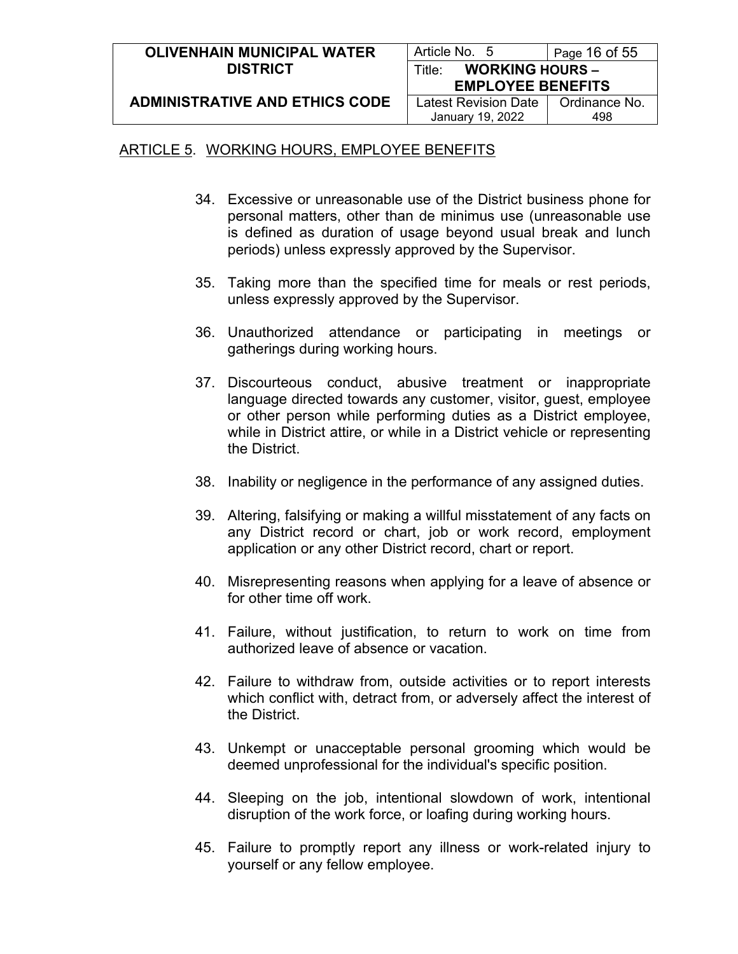| <b>OLIVENHAIN MUNICIPAL WATER</b>     | Article No. 5                    | Page 16 of $55$ |
|---------------------------------------|----------------------------------|-----------------|
| <b>DISTRICT</b>                       | <b>WORKING HOURS -</b><br>Title: |                 |
|                                       | <b>EMPLOYEE BENEFITS</b>         |                 |
| <b>ADMINISTRATIVE AND ETHICS CODE</b> | Latest Revision Date             | Ordinance No.   |
|                                       | January 19, 2022                 | 498             |

- 34. Excessive or unreasonable use of the District business phone for personal matters, other than de minimus use (unreasonable use is defined as duration of usage beyond usual break and lunch periods) unless expressly approved by the Supervisor.
- 35. Taking more than the specified time for meals or rest periods, unless expressly approved by the Supervisor.
- 36. Unauthorized attendance or participating in meetings or gatherings during working hours.
- 37. Discourteous conduct, abusive treatment or inappropriate language directed towards any customer, visitor, guest, employee or other person while performing duties as a District employee, while in District attire, or while in a District vehicle or representing the District.
- 38. Inability or negligence in the performance of any assigned duties.
- 39. Altering, falsifying or making a willful misstatement of any facts on any District record or chart, job or work record, employment application or any other District record, chart or report.
- 40. Misrepresenting reasons when applying for a leave of absence or for other time off work.
- 41. Failure, without justification, to return to work on time from authorized leave of absence or vacation.
- 42. Failure to withdraw from, outside activities or to report interests which conflict with, detract from, or adversely affect the interest of the District.
- 43. Unkempt or unacceptable personal grooming which would be deemed unprofessional for the individual's specific position.
- 44. Sleeping on the job, intentional slowdown of work, intentional disruption of the work force, or loafing during working hours.
- 45. Failure to promptly report any illness or work-related injury to yourself or any fellow employee.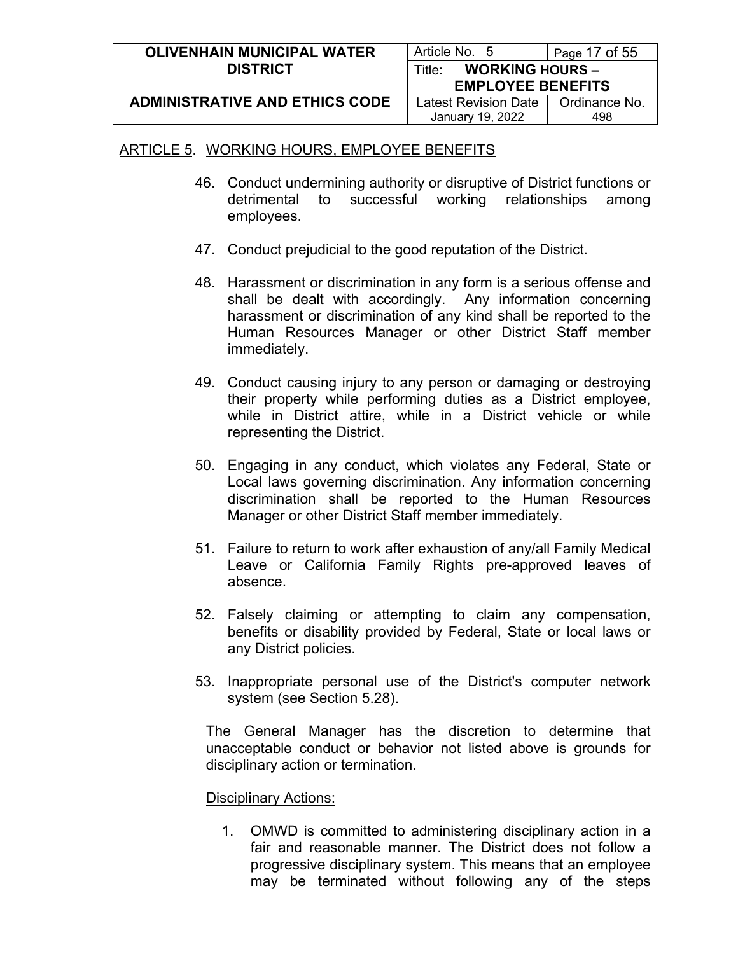| <b>OLIVENHAIN MUNICIPAL WATER</b>     | Article No. 5                    | Page 17 of 55 |
|---------------------------------------|----------------------------------|---------------|
| <b>DISTRICT</b>                       | <b>WORKING HOURS -</b><br>Title: |               |
|                                       | <b>EMPLOYEE BENEFITS</b>         |               |
| <b>ADMINISTRATIVE AND ETHICS CODE</b> | Latest Revision Date             | Ordinance No. |
|                                       | January 19, 2022                 | 498           |

- 46. Conduct undermining authority or disruptive of District functions or detrimental to successful working relationships among employees.
- 47. Conduct prejudicial to the good reputation of the District.
- 48. Harassment or discrimination in any form is a serious offense and shall be dealt with accordingly. Any information concerning harassment or discrimination of any kind shall be reported to the Human Resources Manager or other District Staff member immediately.
- 49. Conduct causing injury to any person or damaging or destroying their property while performing duties as a District employee, while in District attire, while in a District vehicle or while representing the District.
- 50. Engaging in any conduct, which violates any Federal, State or Local laws governing discrimination. Any information concerning discrimination shall be reported to the Human Resources Manager or other District Staff member immediately.
- 51. Failure to return to work after exhaustion of any/all Family Medical Leave or California Family Rights pre-approved leaves of absence.
- 52. Falsely claiming or attempting to claim any compensation, benefits or disability provided by Federal, State or local laws or any District policies.
- 53. Inappropriate personal use of the District's computer network system (see Section 5.28).

The General Manager has the discretion to determine that unacceptable conduct or behavior not listed above is grounds for disciplinary action or termination.

#### Disciplinary Actions:

1. OMWD is committed to administering disciplinary action in a fair and reasonable manner. The District does not follow a progressive disciplinary system. This means that an employee may be terminated without following any of the steps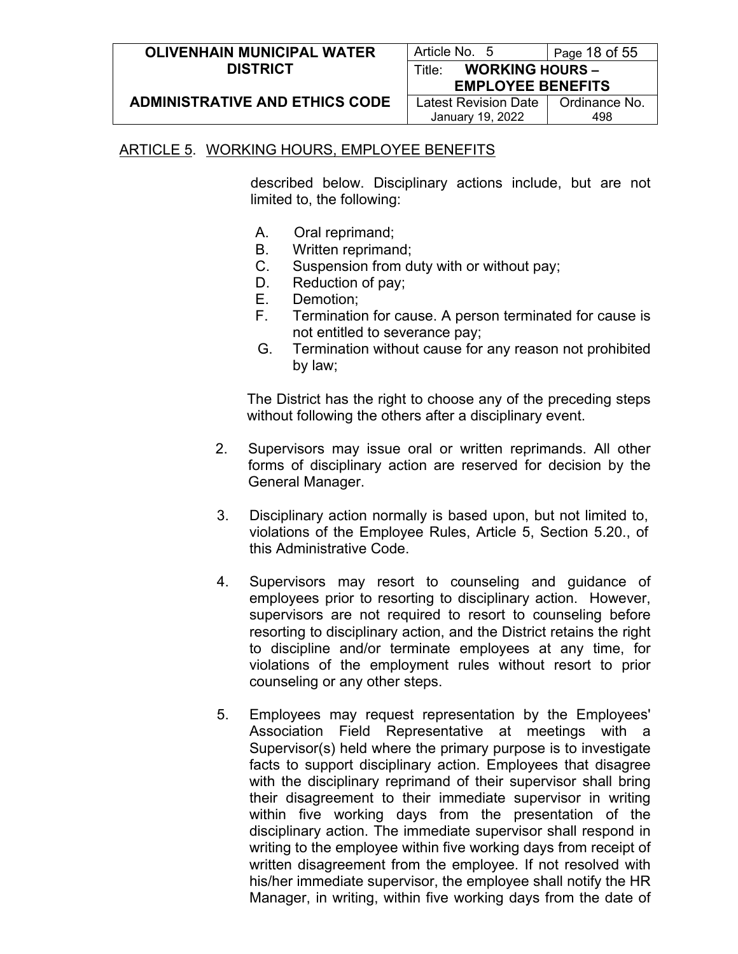| <b>OLIVENHAIN MUNICIPAL WATER</b>     | Article No. 5                    | Page 18 of 55 |
|---------------------------------------|----------------------------------|---------------|
| <b>DISTRICT</b>                       | <b>WORKING HOURS -</b><br>Title: |               |
|                                       | <b>EMPLOYEE BENEFITS</b>         |               |
| <b>ADMINISTRATIVE AND ETHICS CODE</b> | Latest Revision Date             | Ordinance No. |
|                                       | January 19, 2022                 | 498           |

described below. Disciplinary actions include, but are not limited to, the following:

- A. Oral reprimand;
- B. Written reprimand;
- C. Suspension from duty with or without pay;
- D. Reduction of pay;
- E. Demotion;
- F. Termination for cause. A person terminated for cause is not entitled to severance pay;
- G. Termination without cause for any reason not prohibited by law;

The District has the right to choose any of the preceding steps without following the others after a disciplinary event.

- 2. Supervisors may issue oral or written reprimands. All other forms of disciplinary action are reserved for decision by the General Manager.
- 3. Disciplinary action normally is based upon, but not limited to, violations of the Employee Rules, Article 5, Section 5.20., of this Administrative Code.
- 4. Supervisors may resort to counseling and guidance of employees prior to resorting to disciplinary action. However, supervisors are not required to resort to counseling before resorting to disciplinary action, and the District retains the right to discipline and/or terminate employees at any time, for violations of the employment rules without resort to prior counseling or any other steps.
- 5. Employees may request representation by the Employees' Association Field Representative at meetings with a Supervisor(s) held where the primary purpose is to investigate facts to support disciplinary action. Employees that disagree with the disciplinary reprimand of their supervisor shall bring their disagreement to their immediate supervisor in writing within five working days from the presentation of the disciplinary action. The immediate supervisor shall respond in writing to the employee within five working days from receipt of written disagreement from the employee. If not resolved with his/her immediate supervisor, the employee shall notify the HR Manager, in writing, within five working days from the date of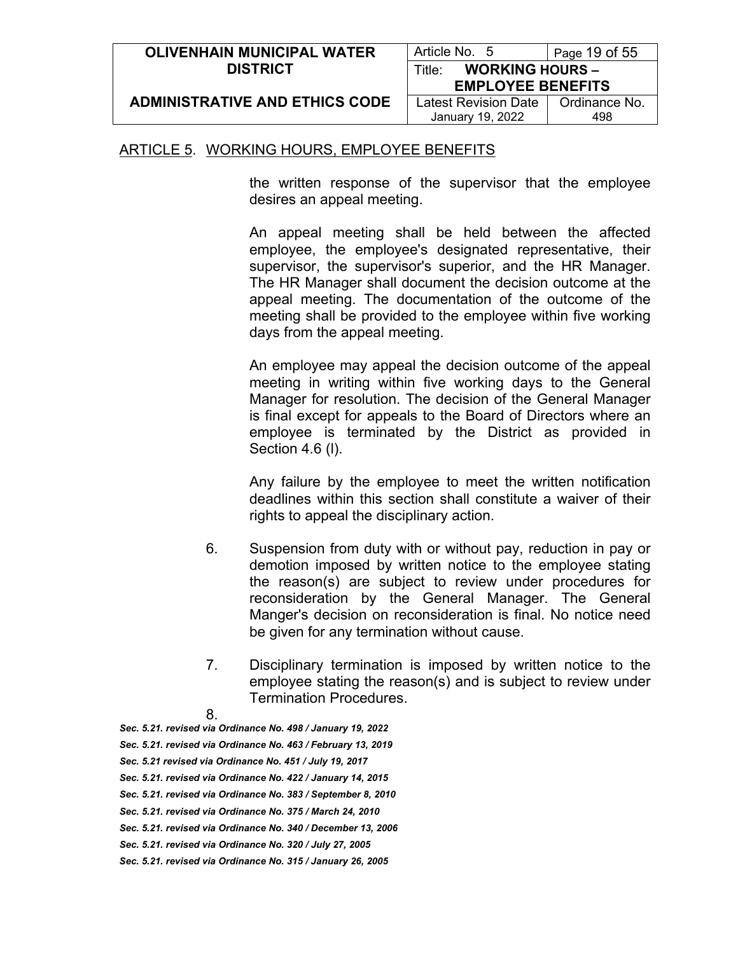| <b>OLIVENHAIN MUNICIPAL WATER</b>     | Article No. 5                    | Page 19 of 55 |
|---------------------------------------|----------------------------------|---------------|
| <b>DISTRICT</b>                       | <b>WORKING HOURS -</b><br>Title: |               |
|                                       | <b>EMPLOYEE BENEFITS</b>         |               |
| <b>ADMINISTRATIVE AND ETHICS CODE</b> | <b>Latest Revision Date</b>      | Ordinance No. |
|                                       | January 19, 2022                 | 498           |

the written response of the supervisor that the employee desires an appeal meeting.

An appeal meeting shall be held between the affected employee, the employee's designated representative, their supervisor, the supervisor's superior, and the HR Manager. The HR Manager shall document the decision outcome at the appeal meeting. The documentation of the outcome of the meeting shall be provided to the employee within five working days from the appeal meeting.

An employee may appeal the decision outcome of the appeal meeting in writing within five working days to the General Manager for resolution. The decision of the General Manager is final except for appeals to the Board of Directors where an employee is terminated by the District as provided in Section 4.6 (l).

Any failure by the employee to meet the written notification deadlines within this section shall constitute a waiver of their rights to appeal the disciplinary action.

- 6. Suspension from duty with or without pay, reduction in pay or demotion imposed by written notice to the employee stating the reason(s) are subject to review under procedures for reconsideration by the General Manager. The General Manger's decision on reconsideration is final. No notice need be given for any termination without cause.
- 7. Disciplinary termination is imposed by written notice to the employee stating the reason(s) and is subject to review under Termination Procedures.
- 8.

*Sec. 5.21. revised via Ordinance No. 498 / January 19, 2022*

- *Sec. 5.21. revised via Ordinance No. 463 / February 13, 2019*
- *Sec. 5.21 revised via Ordinance No. 451 / July 19, 2017*
- *Sec. 5.21. revised via Ordinance No. 422 / January 14, 2015*
- *Sec. 5.21. revised via Ordinance No. 383 / September 8, 2010*
- *Sec. 5.21. revised via Ordinance No. 375 / March 24, 2010*
- *Sec. 5.21. revised via Ordinance No. 340 / December 13, 2006*
- *Sec. 5.21. revised via Ordinance No. 320 / July 27, 2005*
- *Sec. 5.21. revised via Ordinance No. 315 / January 26, 2005*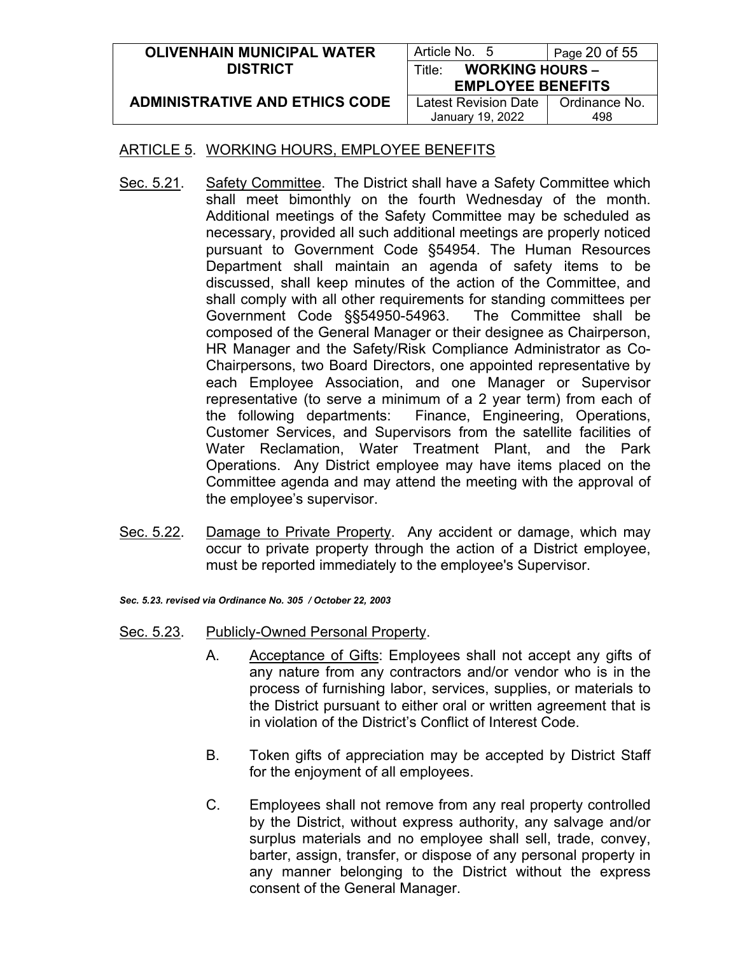| <b>OLIVENHAIN MUNICIPAL WATER</b>     | Article No. 5                    | Page 20 of 55 |
|---------------------------------------|----------------------------------|---------------|
| <b>DISTRICT</b>                       | <b>WORKING HOURS -</b><br>Title: |               |
|                                       | <b>EMPLOYEE BENEFITS</b>         |               |
| <b>ADMINISTRATIVE AND ETHICS CODE</b> | <b>Latest Revision Date</b>      | Ordinance No. |
|                                       | January 19, 2022                 | 498           |

- Sec. 5.21. Safety Committee. The District shall have a Safety Committee which shall meet bimonthly on the fourth Wednesday of the month. Additional meetings of the Safety Committee may be scheduled as necessary, provided all such additional meetings are properly noticed pursuant to Government Code §54954. The Human Resources Department shall maintain an agenda of safety items to be discussed, shall keep minutes of the action of the Committee, and shall comply with all other requirements for standing committees per Government Code §§54950-54963. The Committee shall be composed of the General Manager or their designee as Chairperson, HR Manager and the Safety/Risk Compliance Administrator as Co-Chairpersons, two Board Directors, one appointed representative by each Employee Association, and one Manager or Supervisor representative (to serve a minimum of a 2 year term) from each of the following departments: Finance, Engineering, Operations, Customer Services, and Supervisors from the satellite facilities of Water Reclamation, Water Treatment Plant, and the Park Operations. Any District employee may have items placed on the Committee agenda and may attend the meeting with the approval of the employee's supervisor.
- Sec. 5.22. Damage to Private Property. Any accident or damage, which may occur to private property through the action of a District employee, must be reported immediately to the employee's Supervisor.

*Sec. 5.23. revised via Ordinance No. 305 / October 22, 2003*

- Sec. 5.23. Publicly-Owned Personal Property.
	- A. Acceptance of Gifts: Employees shall not accept any gifts of any nature from any contractors and/or vendor who is in the process of furnishing labor, services, supplies, or materials to the District pursuant to either oral or written agreement that is in violation of the District's Conflict of Interest Code.
	- B. Token gifts of appreciation may be accepted by District Staff for the enjoyment of all employees.
	- C. Employees shall not remove from any real property controlled by the District, without express authority, any salvage and/or surplus materials and no employee shall sell, trade, convey, barter, assign, transfer, or dispose of any personal property in any manner belonging to the District without the express consent of the General Manager.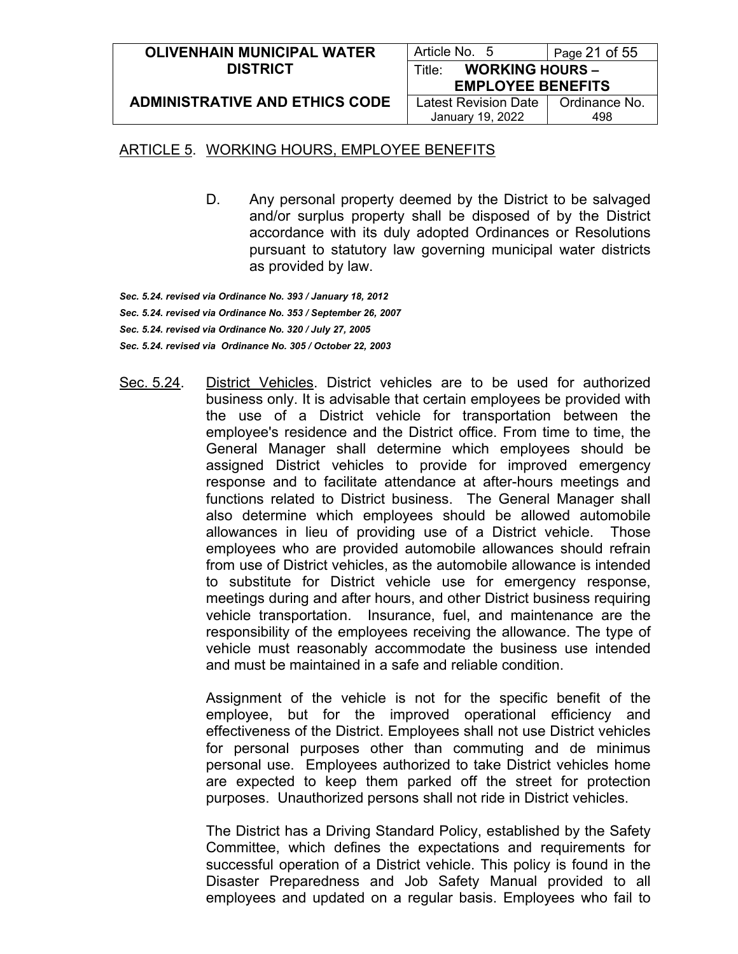| <b>OLIVENHAIN MUNICIPAL WATER</b>     | Article No. 5                    | Page $21$ of $55$ |
|---------------------------------------|----------------------------------|-------------------|
| <b>DISTRICT</b>                       | <b>WORKING HOURS -</b><br>Title: |                   |
|                                       | <b>EMPLOYEE BENEFITS</b>         |                   |
| <b>ADMINISTRATIVE AND ETHICS CODE</b> | Latest Revision Date             | Ordinance No.     |
|                                       | January 19, 2022                 | 498               |

D. Any personal property deemed by the District to be salvaged and/or surplus property shall be disposed of by the District accordance with its duly adopted Ordinances or Resolutions pursuant to statutory law governing municipal water districts as provided by law.

*Sec. 5.24. revised via Ordinance No. 393 / January 18, 2012 Sec. 5.24. revised via Ordinance No. 353 / September 26, 2007 Sec. 5.24. revised via Ordinance No. 320 / July 27, 2005 Sec. 5.24. revised via Ordinance No. 305 / October 22, 2003*

Sec. 5.24. District Vehicles. District vehicles are to be used for authorized business only. It is advisable that certain employees be provided with the use of a District vehicle for transportation between the employee's residence and the District office. From time to time, the General Manager shall determine which employees should be assigned District vehicles to provide for improved emergency response and to facilitate attendance at after-hours meetings and functions related to District business. The General Manager shall also determine which employees should be allowed automobile allowances in lieu of providing use of a District vehicle. Those employees who are provided automobile allowances should refrain from use of District vehicles, as the automobile allowance is intended to substitute for District vehicle use for emergency response, meetings during and after hours, and other District business requiring vehicle transportation. Insurance, fuel, and maintenance are the responsibility of the employees receiving the allowance. The type of vehicle must reasonably accommodate the business use intended and must be maintained in a safe and reliable condition.

> Assignment of the vehicle is not for the specific benefit of the employee, but for the improved operational efficiency and effectiveness of the District. Employees shall not use District vehicles for personal purposes other than commuting and de minimus personal use. Employees authorized to take District vehicles home are expected to keep them parked off the street for protection purposes. Unauthorized persons shall not ride in District vehicles.

> The District has a Driving Standard Policy, established by the Safety Committee, which defines the expectations and requirements for successful operation of a District vehicle. This policy is found in the Disaster Preparedness and Job Safety Manual provided to all employees and updated on a regular basis. Employees who fail to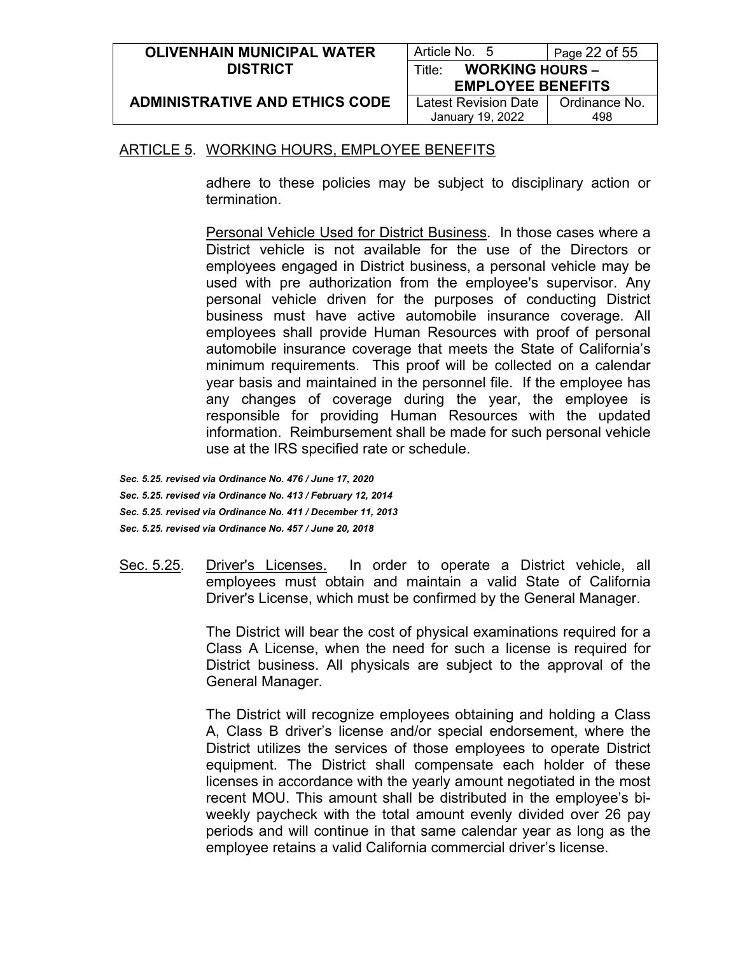| <b>OLIVENHAIN MUNICIPAL WATER</b>     | Article No. 5                    | Page 22 of 55 |
|---------------------------------------|----------------------------------|---------------|
| <b>DISTRICT</b>                       | <b>WORKING HOURS -</b><br>Title: |               |
|                                       | <b>EMPLOYEE BENEFITS</b>         |               |
| <b>ADMINISTRATIVE AND ETHICS CODE</b> | Latest Revision Date I           | Ordinance No. |
|                                       | January 19, 2022                 | 498           |

adhere to these policies may be subject to disciplinary action or termination.

Personal Vehicle Used for District Business. In those cases where a District vehicle is not available for the use of the Directors or employees engaged in District business, a personal vehicle may be used with pre authorization from the employee's supervisor. Any personal vehicle driven for the purposes of conducting District business must have active automobile insurance coverage. All employees shall provide Human Resources with proof of personal automobile insurance coverage that meets the State of California's minimum requirements. This proof will be collected on a calendar year basis and maintained in the personnel file. If the employee has any changes of coverage during the year, the employee is responsible for providing Human Resources with the updated information. Reimbursement shall be made for such personal vehicle use at the IRS specified rate or schedule.

*Sec. 5.25. revised via Ordinance No. 476 / June 17, 2020 Sec. 5.25. revised via Ordinance No. 413 / February 12, 2014 Sec. 5.25. revised via Ordinance No. 411 / December 11, 2013 Sec. 5.25. revised via Ordinance No. 457 / June 20, 2018*

Sec. 5.25. Driver's Licenses. In order to operate a District vehicle, all employees must obtain and maintain a valid State of California Driver's License, which must be confirmed by the General Manager.

> The District will bear the cost of physical examinations required for a Class A License, when the need for such a license is required for District business. All physicals are subject to the approval of the General Manager.

> The District will recognize employees obtaining and holding a Class A, Class B driver's license and/or special endorsement, where the District utilizes the services of those employees to operate District equipment. The District shall compensate each holder of these licenses in accordance with the yearly amount negotiated in the most recent MOU. This amount shall be distributed in the employee's biweekly paycheck with the total amount evenly divided over 26 pay periods and will continue in that same calendar year as long as the employee retains a valid California commercial driver's license.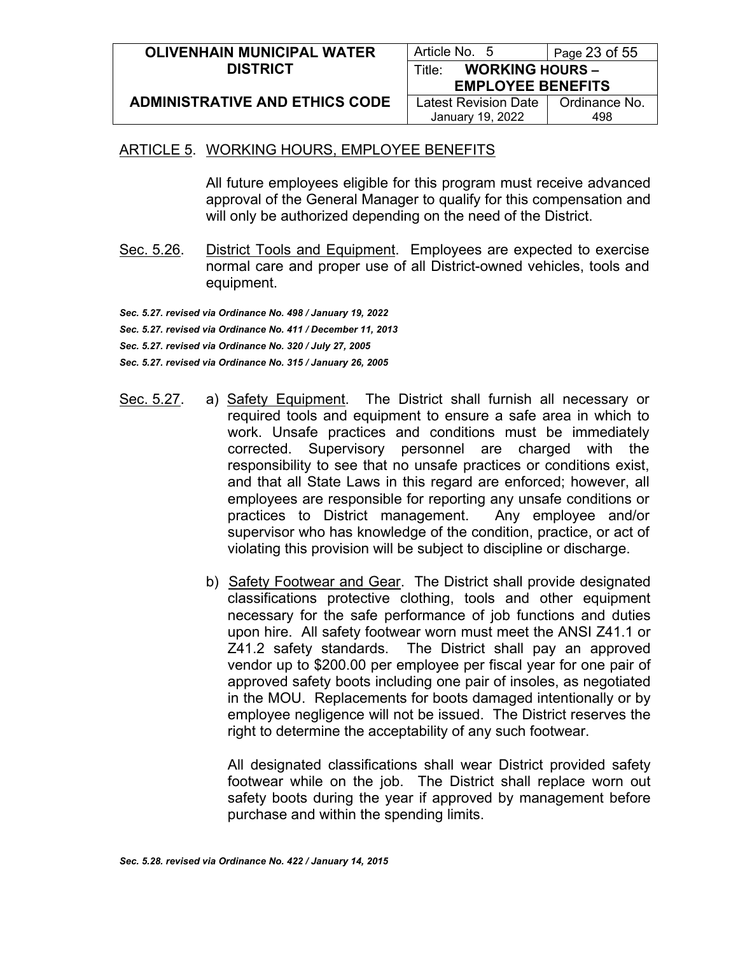| <b>OLIVENHAIN MUNICIPAL WATER</b>     | Article No. 5                    | Page $23$ of $55$ |
|---------------------------------------|----------------------------------|-------------------|
| <b>DISTRICT</b>                       | <b>WORKING HOURS -</b><br>Title: |                   |
|                                       | <b>EMPLOYEE BENEFITS</b>         |                   |
| <b>ADMINISTRATIVE AND ETHICS CODE</b> | Latest Revision Date             | Ordinance No.     |
|                                       | January 19, 2022                 | 498               |

All future employees eligible for this program must receive advanced approval of the General Manager to qualify for this compensation and will only be authorized depending on the need of the District.

Sec. 5.26. District Tools and Equipment. Employees are expected to exercise normal care and proper use of all District-owned vehicles, tools and equipment.

*Sec. 5.27. revised via Ordinance No. 498 / January 19, 2022 Sec. 5.27. revised via Ordinance No. 411 / December 11, 2013 Sec. 5.27. revised via Ordinance No. 320 / July 27, 2005 Sec. 5.27. revised via Ordinance No. 315 / January 26, 2005*

- Sec. 5.27. a) Safety Equipment. The District shall furnish all necessary or required tools and equipment to ensure a safe area in which to work. Unsafe practices and conditions must be immediately corrected. Supervisory personnel are charged with the responsibility to see that no unsafe practices or conditions exist, and that all State Laws in this regard are enforced; however, all employees are responsible for reporting any unsafe conditions or practices to District management. Any employee and/or supervisor who has knowledge of the condition, practice, or act of violating this provision will be subject to discipline or discharge.
	- b) Safety Footwear and Gear. The District shall provide designated classifications protective clothing, tools and other equipment necessary for the safe performance of job functions and duties upon hire. All safety footwear worn must meet the ANSI Z41.1 or Z41.2 safety standards. The District shall pay an approved vendor up to \$200.00 per employee per fiscal year for one pair of approved safety boots including one pair of insoles, as negotiated in the MOU. Replacements for boots damaged intentionally or by employee negligence will not be issued. The District reserves the right to determine the acceptability of any such footwear.

All designated classifications shall wear District provided safety footwear while on the job. The District shall replace worn out safety boots during the year if approved by management before purchase and within the spending limits.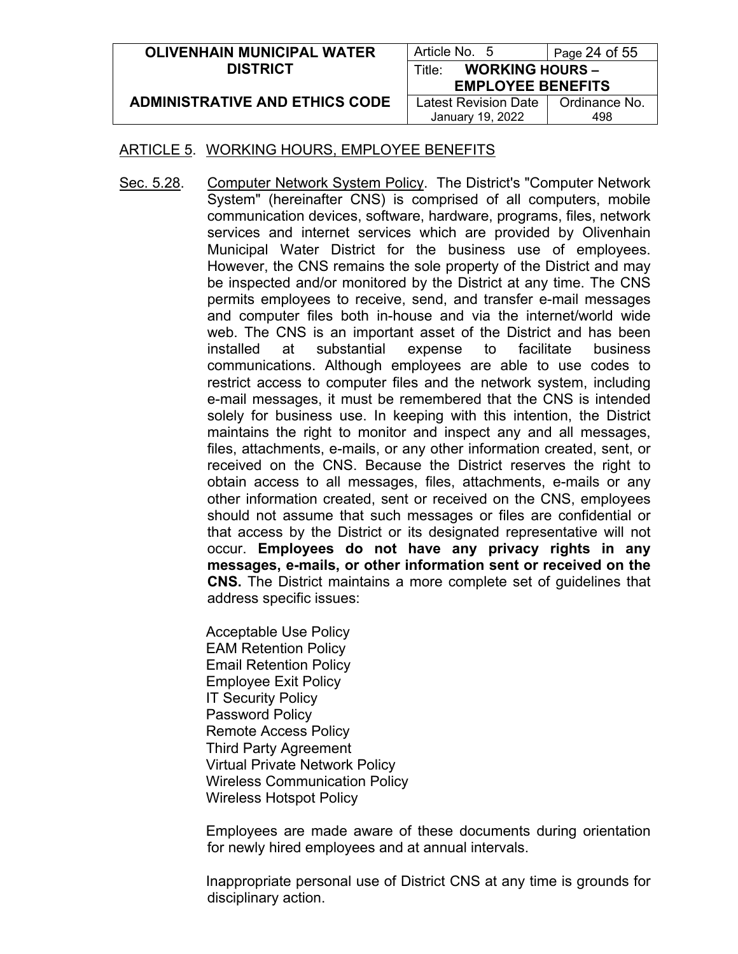| <b>OLIVENHAIN MUNICIPAL WATER</b>     | Article No. 5                    | Page 24 of 55 |
|---------------------------------------|----------------------------------|---------------|
| <b>DISTRICT</b>                       | <b>WORKING HOURS -</b><br>Title: |               |
|                                       | <b>EMPLOYEE BENEFITS</b>         |               |
| <b>ADMINISTRATIVE AND ETHICS CODE</b> | Latest Revision Date             | Ordinance No. |
|                                       | January 19, 2022                 | 498           |

Sec. 5.28. Computer Network System Policy. The District's "Computer Network System" (hereinafter CNS) is comprised of all computers, mobile communication devices, software, hardware, programs, files, network services and internet services which are provided by Olivenhain Municipal Water District for the business use of employees. However, the CNS remains the sole property of the District and may be inspected and/or monitored by the District at any time. The CNS permits employees to receive, send, and transfer e-mail messages and computer files both in-house and via the internet/world wide web. The CNS is an important asset of the District and has been installed at substantial expense to facilitate business communications. Although employees are able to use codes to restrict access to computer files and the network system, including e-mail messages, it must be remembered that the CNS is intended solely for business use. In keeping with this intention, the District maintains the right to monitor and inspect any and all messages, files, attachments, e-mails, or any other information created, sent, or received on the CNS. Because the District reserves the right to obtain access to all messages, files, attachments, e-mails or any other information created, sent or received on the CNS, employees should not assume that such messages or files are confidential or that access by the District or its designated representative will not occur. **Employees do not have any privacy rights in any messages, e-mails, or other information sent or received on the CNS.** The District maintains a more complete set of guidelines that address specific issues:

> Acceptable Use Policy EAM Retention Policy Email Retention Policy Employee Exit Policy IT Security Policy Password Policy Remote Access Policy Third Party Agreement Virtual Private Network Policy Wireless Communication Policy Wireless Hotspot Policy

Employees are made aware of these documents during orientation for newly hired employees and at annual intervals.

Inappropriate personal use of District CNS at any time is grounds for disciplinary action.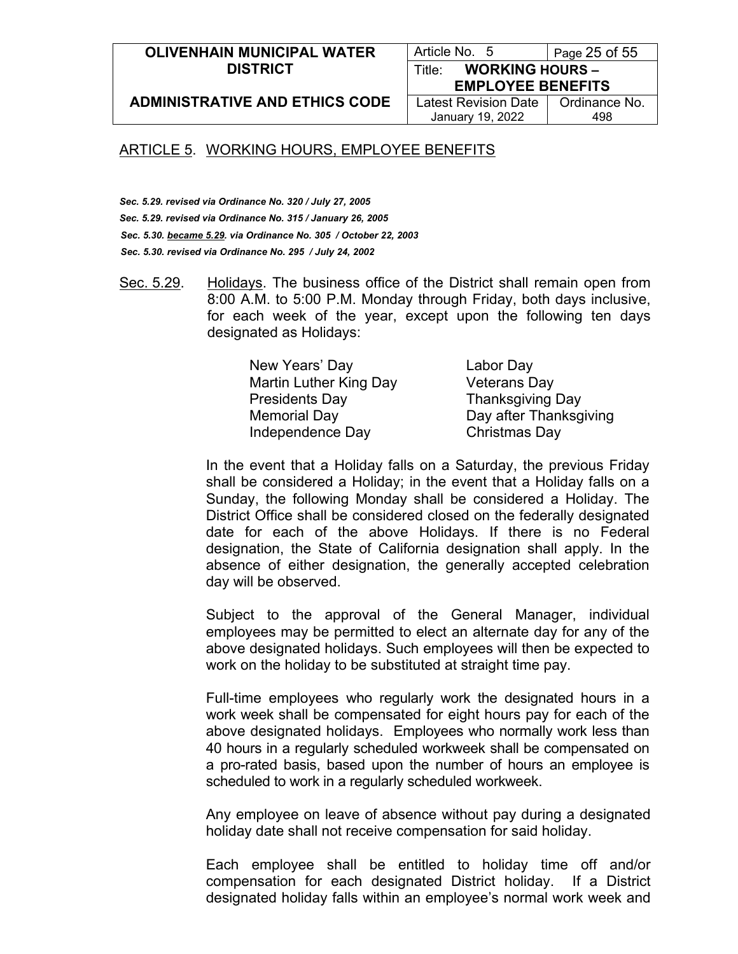#### **OLIVENHAIN MUNICIPAL WATER DISTRICT**

Article No. 5 | Page 25 of 55 Title: **WORKING HOURS –**

**ADMINISTRATIVE AND ETHICS CODE**

**EMPLOYEE BENEFITS** Latest Revision Date January 19, 2022

Ordinance No. 498

### ARTICLE 5. WORKING HOURS, EMPLOYEE BENEFITS

*Sec. 5.29. revised via Ordinance No. 320 / July 27, 2005 Sec. 5.29. revised via Ordinance No. 315 / January 26, 2005 Sec. 5.30. became 5.29. via Ordinance No. 305 / October 22, 2003 Sec. 5.30. revised via Ordinance No. 295 / July 24, 2002*

Sec. 5.29. Holidays. The business office of the District shall remain open from 8:00 A.M. to 5:00 P.M. Monday through Friday, both days inclusive, for each week of the year, except upon the following ten days designated as Holidays:

> New Years' Day Labor Day Martin Luther King Day **Veterans Day** Presidents Day Thanksgiving Day Independence Day Christmas Day

Memorial Day **Day after Thanksgiving** 

In the event that a Holiday falls on a Saturday, the previous Friday shall be considered a Holiday; in the event that a Holiday falls on a Sunday, the following Monday shall be considered a Holiday. The District Office shall be considered closed on the federally designated date for each of the above Holidays. If there is no Federal designation, the State of California designation shall apply. In the absence of either designation, the generally accepted celebration day will be observed.

Subject to the approval of the General Manager, individual employees may be permitted to elect an alternate day for any of the above designated holidays. Such employees will then be expected to work on the holiday to be substituted at straight time pay.

Full-time employees who regularly work the designated hours in a work week shall be compensated for eight hours pay for each of the above designated holidays. Employees who normally work less than 40 hours in a regularly scheduled workweek shall be compensated on a pro-rated basis, based upon the number of hours an employee is scheduled to work in a regularly scheduled workweek.

Any employee on leave of absence without pay during a designated holiday date shall not receive compensation for said holiday.

Each employee shall be entitled to holiday time off and/or compensation for each designated District holiday. If a District designated holiday falls within an employee's normal work week and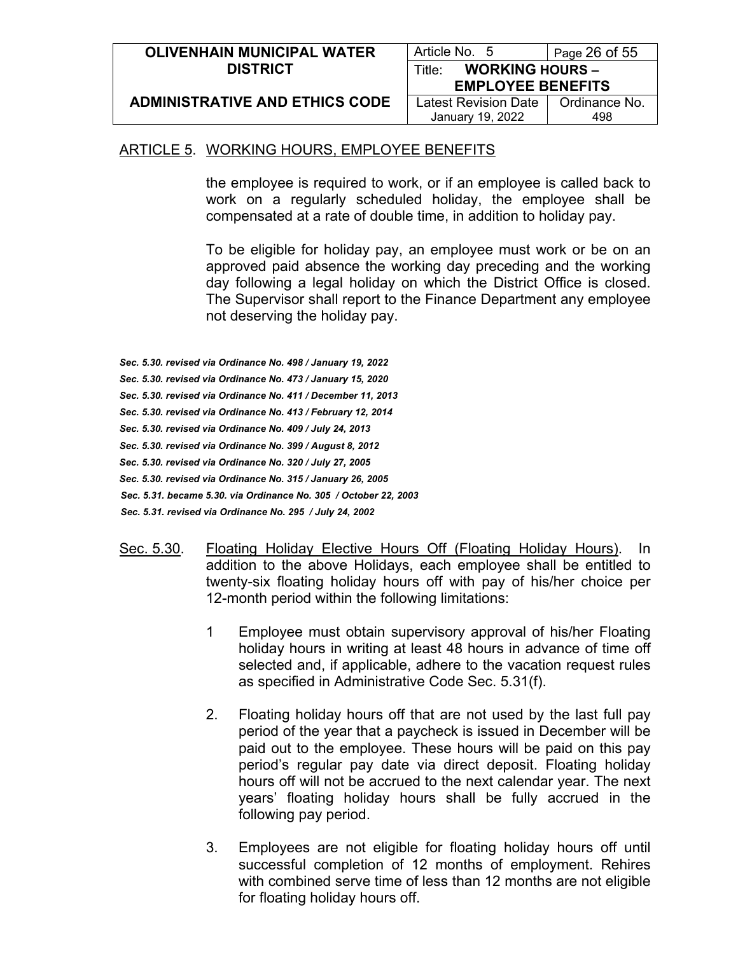| <b>OLIVENHAIN MUNICIPAL WATER</b>     | Article No. 5                    | Page 26 of 55 |
|---------------------------------------|----------------------------------|---------------|
| <b>DISTRICT</b>                       | <b>WORKING HOURS -</b><br>Title: |               |
|                                       | <b>EMPLOYEE BENEFITS</b>         |               |
| <b>ADMINISTRATIVE AND ETHICS CODE</b> | Latest Revision Date             | Ordinance No. |
|                                       | January 19, 2022                 | 498           |

the employee is required to work, or if an employee is called back to work on a regularly scheduled holiday, the employee shall be compensated at a rate of double time, in addition to holiday pay.

To be eligible for holiday pay, an employee must work or be on an approved paid absence the working day preceding and the working day following a legal holiday on which the District Office is closed. The Supervisor shall report to the Finance Department any employee not deserving the holiday pay.

- *Sec. 5.30. revised via Ordinance No. 498 / January 19, 2022*
- *Sec. 5.30. revised via Ordinance No. 473 / January 15, 2020*
- *Sec. 5.30. revised via Ordinance No. 411 / December 11, 2013*
- *Sec. 5.30. revised via Ordinance No. 413 / February 12, 2014*
- *Sec. 5.30. revised via Ordinance No. 409 / July 24, 2013*
- *Sec. 5.30. revised via Ordinance No. 399 / August 8, 2012*
- *Sec. 5.30. revised via Ordinance No. 320 / July 27, 2005*
- *Sec. 5.30. revised via Ordinance No. 315 / January 26, 2005*
- *Sec. 5.31. became 5.30. via Ordinance No. 305 / October 22, 2003*
- *Sec. 5.31. revised via Ordinance No. 295 / July 24, 2002*
- Sec. 5.30. Floating Holiday Elective Hours Off (Floating Holiday Hours). In addition to the above Holidays, each employee shall be entitled to twenty-six floating holiday hours off with pay of his/her choice per 12-month period within the following limitations:
	- 1 Employee must obtain supervisory approval of his/her Floating holiday hours in writing at least 48 hours in advance of time off selected and, if applicable, adhere to the vacation request rules as specified in Administrative Code Sec. 5.31(f).
	- 2. Floating holiday hours off that are not used by the last full pay period of the year that a paycheck is issued in December will be paid out to the employee. These hours will be paid on this pay period's regular pay date via direct deposit. Floating holiday hours off will not be accrued to the next calendar year. The next years' floating holiday hours shall be fully accrued in the following pay period.
	- 3. Employees are not eligible for floating holiday hours off until successful completion of 12 months of employment. Rehires with combined serve time of less than 12 months are not eligible for floating holiday hours off.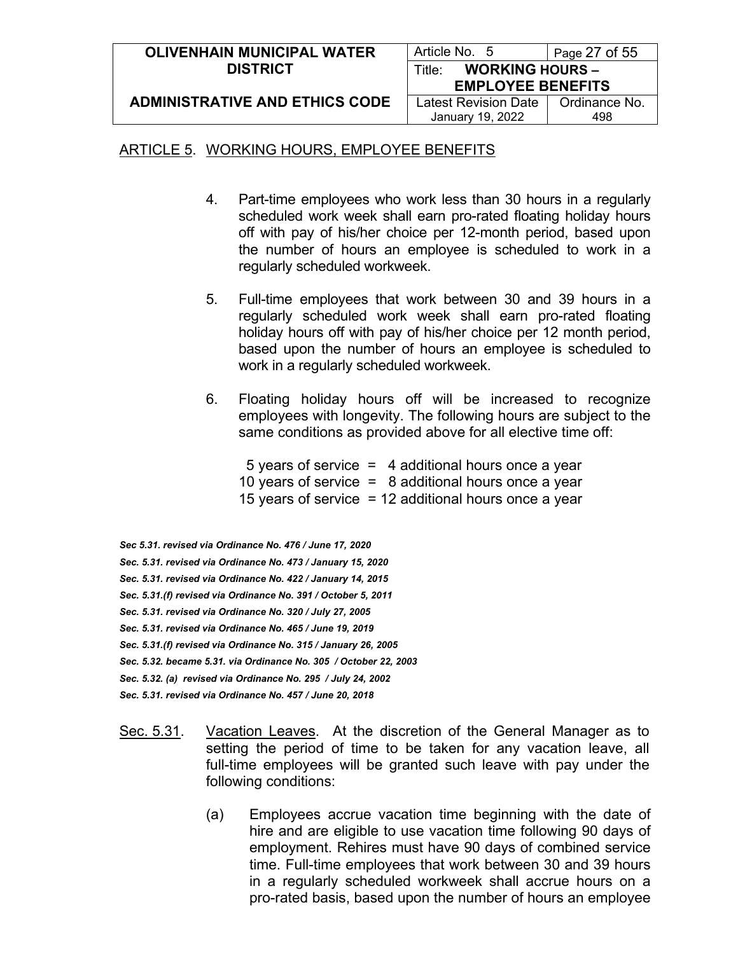| <b>OLIVENHAIN MUNICIPAL WATER</b>     | Article No. 5                    | Page $27$ of $55$ |
|---------------------------------------|----------------------------------|-------------------|
| <b>DISTRICT</b>                       | <b>WORKING HOURS -</b><br>Title∸ |                   |
|                                       | <b>EMPLOYEE BENEFITS</b>         |                   |
| <b>ADMINISTRATIVE AND ETHICS CODE</b> | Latest Revision Date             | Ordinance No.     |
|                                       | January 19, 2022                 | 498               |

- 4. Part-time employees who work less than 30 hours in a regularly scheduled work week shall earn pro-rated floating holiday hours off with pay of his/her choice per 12-month period, based upon the number of hours an employee is scheduled to work in a regularly scheduled workweek.
- 5. Full-time employees that work between 30 and 39 hours in a regularly scheduled work week shall earn pro-rated floating holiday hours off with pay of his/her choice per 12 month period, based upon the number of hours an employee is scheduled to work in a regularly scheduled workweek.
- 6. Floating holiday hours off will be increased to recognize employees with longevity. The following hours are subject to the same conditions as provided above for all elective time off:
	- 5 years of service = 4 additional hours once a year 10 years of service  $=$  8 additional hours once a year
	- 15 years of service = 12 additional hours once a year
- *Sec 5.31. revised via Ordinance No. 476 / June 17, 2020*
- *Sec. 5.31. revised via Ordinance No. 473 / January 15, 2020*
- *Sec. 5.31. revised via Ordinance No. 422 / January 14, 2015*
- *Sec. 5.31.(f) revised via Ordinance No. 391 / October 5, 2011*
- *Sec. 5.31. revised via Ordinance No. 320 / July 27, 2005*
- *Sec. 5.31. revised via Ordinance No. 465 / June 19, 2019*
- *Sec. 5.31.(f) revised via Ordinance No. 315 / January 26, 2005*
- *Sec. 5.32. became 5.31. via Ordinance No. 305 / October 22, 2003*
- *Sec. 5.32. (a) revised via Ordinance No. 295 / July 24, 2002*
- *Sec. 5.31. revised via Ordinance No. 457 / June 20, 2018*
- Sec. 5.31. Vacation Leaves. At the discretion of the General Manager as to setting the period of time to be taken for any vacation leave, all full-time employees will be granted such leave with pay under the following conditions:
	- (a) Employees accrue vacation time beginning with the date of hire and are eligible to use vacation time following 90 days of employment. Rehires must have 90 days of combined service time. Full-time employees that work between 30 and 39 hours in a regularly scheduled workweek shall accrue hours on a pro-rated basis, based upon the number of hours an employee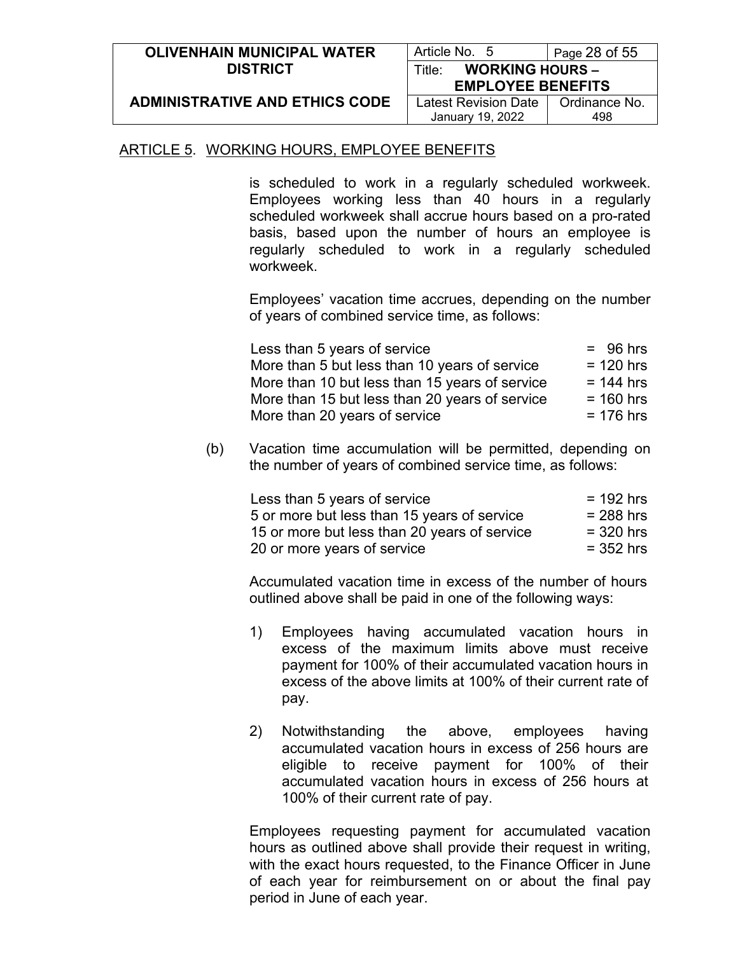| <b>OLIVENHAIN MUNICIPAL WATER</b>     | Article No. 5                    | Page 28 of 55 |
|---------------------------------------|----------------------------------|---------------|
| <b>DISTRICT</b>                       | <b>WORKING HOURS -</b><br>Title: |               |
|                                       | <b>EMPLOYEE BENEFITS</b>         |               |
| <b>ADMINISTRATIVE AND ETHICS CODE</b> | Latest Revision Date             | Ordinance No. |
|                                       | January 19, 2022                 | 498           |

is scheduled to work in a regularly scheduled workweek. Employees working less than 40 hours in a regularly scheduled workweek shall accrue hours based on a pro-rated basis, based upon the number of hours an employee is regularly scheduled to work in a regularly scheduled workweek.

Employees' vacation time accrues, depending on the number of years of combined service time, as follows:

| Less than 5 years of service                   | $= 96$ hrs  |
|------------------------------------------------|-------------|
| More than 5 but less than 10 years of service  | $= 120$ hrs |
| More than 10 but less than 15 years of service | $= 144$ hrs |
| More than 15 but less than 20 years of service | $= 160$ hrs |
| More than 20 years of service                  | $= 176$ hrs |

(b) Vacation time accumulation will be permitted, depending on the number of years of combined service time, as follows:

| Less than 5 years of service                 | $= 192$ hrs |
|----------------------------------------------|-------------|
| 5 or more but less than 15 years of service  | $= 288$ hrs |
| 15 or more but less than 20 years of service | $=$ 320 hrs |
| 20 or more years of service                  | $=$ 352 hrs |

Accumulated vacation time in excess of the number of hours outlined above shall be paid in one of the following ways:

- 1) Employees having accumulated vacation hours in excess of the maximum limits above must receive payment for 100% of their accumulated vacation hours in excess of the above limits at 100% of their current rate of pay.
- 2) Notwithstanding the above, employees having accumulated vacation hours in excess of 256 hours are eligible to receive payment for 100% of their accumulated vacation hours in excess of 256 hours at 100% of their current rate of pay.

Employees requesting payment for accumulated vacation hours as outlined above shall provide their request in writing, with the exact hours requested, to the Finance Officer in June of each year for reimbursement on or about the final pay period in June of each year.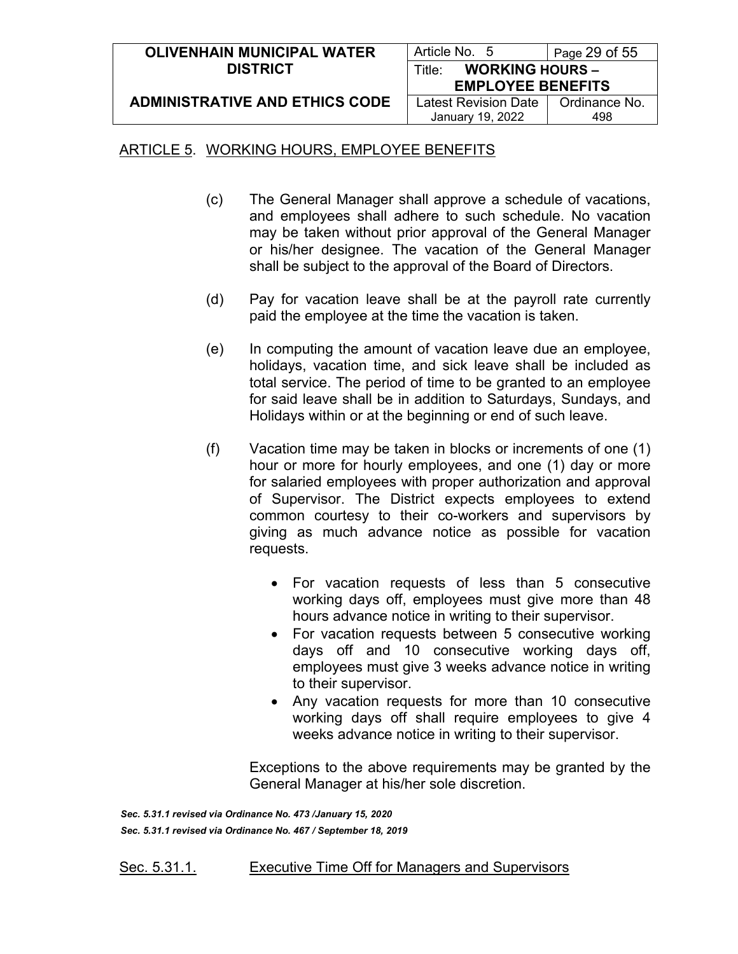| <b>OLIVENHAIN MUNICIPAL WATER</b>     | Article No. 5                                | Page $29$ of $55$ |
|---------------------------------------|----------------------------------------------|-------------------|
| <b>DISTRICT</b>                       | <b>WORKING HOURS -</b><br>Title <sup>.</sup> |                   |
|                                       | <b>EMPLOYEE BENEFITS</b>                     |                   |
| <b>ADMINISTRATIVE AND ETHICS CODE</b> | Latest Revision Date                         | Ordinance No.     |
|                                       | January 19, 2022                             | 498               |

- (c) The General Manager shall approve a schedule of vacations, and employees shall adhere to such schedule. No vacation may be taken without prior approval of the General Manager or his/her designee. The vacation of the General Manager shall be subject to the approval of the Board of Directors.
- (d) Pay for vacation leave shall be at the payroll rate currently paid the employee at the time the vacation is taken.
- (e) In computing the amount of vacation leave due an employee, holidays, vacation time, and sick leave shall be included as total service. The period of time to be granted to an employee for said leave shall be in addition to Saturdays, Sundays, and Holidays within or at the beginning or end of such leave.
- (f) Vacation time may be taken in blocks or increments of one (1) hour or more for hourly employees, and one (1) day or more for salaried employees with proper authorization and approval of Supervisor. The District expects employees to extend common courtesy to their co-workers and supervisors by giving as much advance notice as possible for vacation requests.
	- For vacation requests of less than 5 consecutive working days off, employees must give more than 48 hours advance notice in writing to their supervisor.
	- For vacation requests between 5 consecutive working days off and 10 consecutive working days off, employees must give 3 weeks advance notice in writing to their supervisor.
	- Any vacation requests for more than 10 consecutive working days off shall require employees to give 4 weeks advance notice in writing to their supervisor.

Exceptions to the above requirements may be granted by the General Manager at his/her sole discretion.

*Sec. 5.31.1 revised via Ordinance No. 473 /January 15, 2020 Sec. 5.31.1 revised via Ordinance No. 467 / September 18, 2019*

Sec. 5.31.1. Executive Time Off for Managers and Supervisors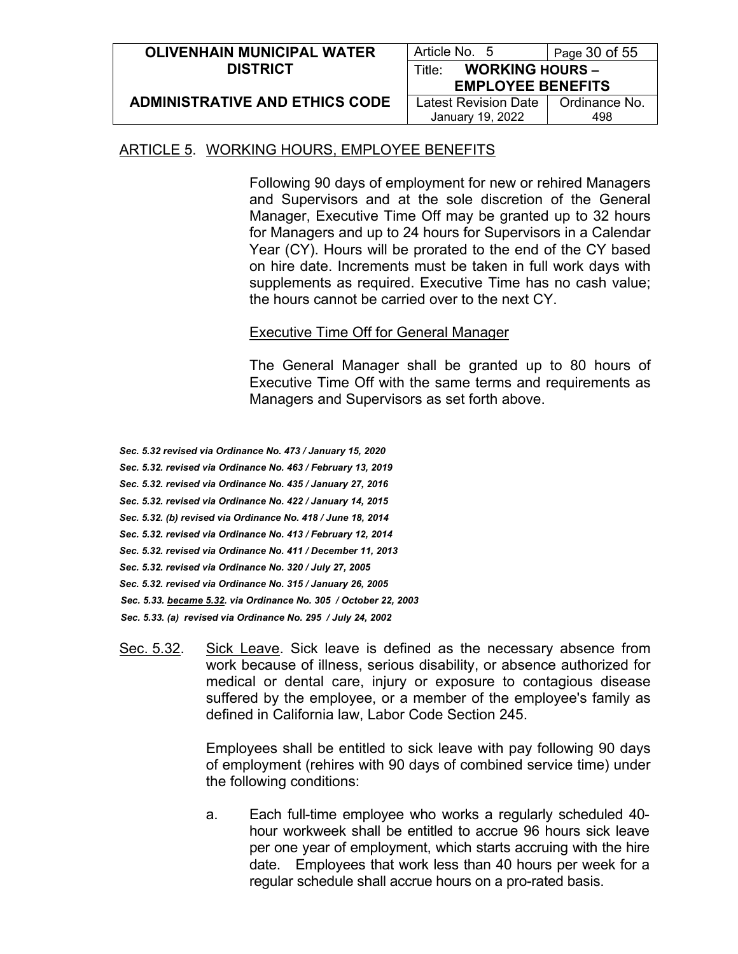| <b>OLIVENHAIN MUNICIPAL WATER</b>     | Article No. 5                    | Page 30 of 55 |
|---------------------------------------|----------------------------------|---------------|
| <b>DISTRICT</b>                       | <b>WORKING HOURS -</b><br>Title∵ |               |
|                                       | <b>EMPLOYEE BENEFITS</b>         |               |
| <b>ADMINISTRATIVE AND ETHICS CODE</b> | Latest Revision Date             | Ordinance No. |
|                                       | January 19, 2022                 | 498           |

Following 90 days of employment for new or rehired Managers and Supervisors and at the sole discretion of the General Manager, Executive Time Off may be granted up to 32 hours for Managers and up to 24 hours for Supervisors in a Calendar Year (CY). Hours will be prorated to the end of the CY based on hire date. Increments must be taken in full work days with supplements as required. Executive Time has no cash value; the hours cannot be carried over to the next CY.

### Executive Time Off for General Manager

The General Manager shall be granted up to 80 hours of Executive Time Off with the same terms and requirements as Managers and Supervisors as set forth above.

*Sec. 5.32 revised via Ordinance No. 473 / January 15, 2020*

*Sec. 5.32. revised via Ordinance No. 463 / February 13, 2019*

*Sec. 5.32. revised via Ordinance No. 435 / January 27, 2016*

*Sec. 5.32. revised via Ordinance No. 422 / January 14, 2015*

- *Sec. 5.32. (b) revised via Ordinance No. 418 / June 18, 2014*
- *Sec. 5.32. revised via Ordinance No. 413 / February 12, 2014*

*Sec. 5.32. revised via Ordinance No. 411 / December 11, 2013*

- *Sec. 5.32. revised via Ordinance No. 320 / July 27, 2005*
- *Sec. 5.32. revised via Ordinance No. 315 / January 26, 2005*
- *Sec. 5.33. became 5.32. via Ordinance No. 305 / October 22, 2003*
- *Sec. 5.33. (a) revised via Ordinance No. 295 / July 24, 2002*
- Sec. 5.32. Sick Leave. Sick leave is defined as the necessary absence from work because of illness, serious disability, or absence authorized for medical or dental care, injury or exposure to contagious disease suffered by the employee, or a member of the employee's family as defined in California law, Labor Code Section 245.

Employees shall be entitled to sick leave with pay following 90 days of employment (rehires with 90 days of combined service time) under the following conditions:

a. Each full-time employee who works a regularly scheduled 40 hour workweek shall be entitled to accrue 96 hours sick leave per one year of employment, which starts accruing with the hire date. Employees that work less than 40 hours per week for a regular schedule shall accrue hours on a pro-rated basis.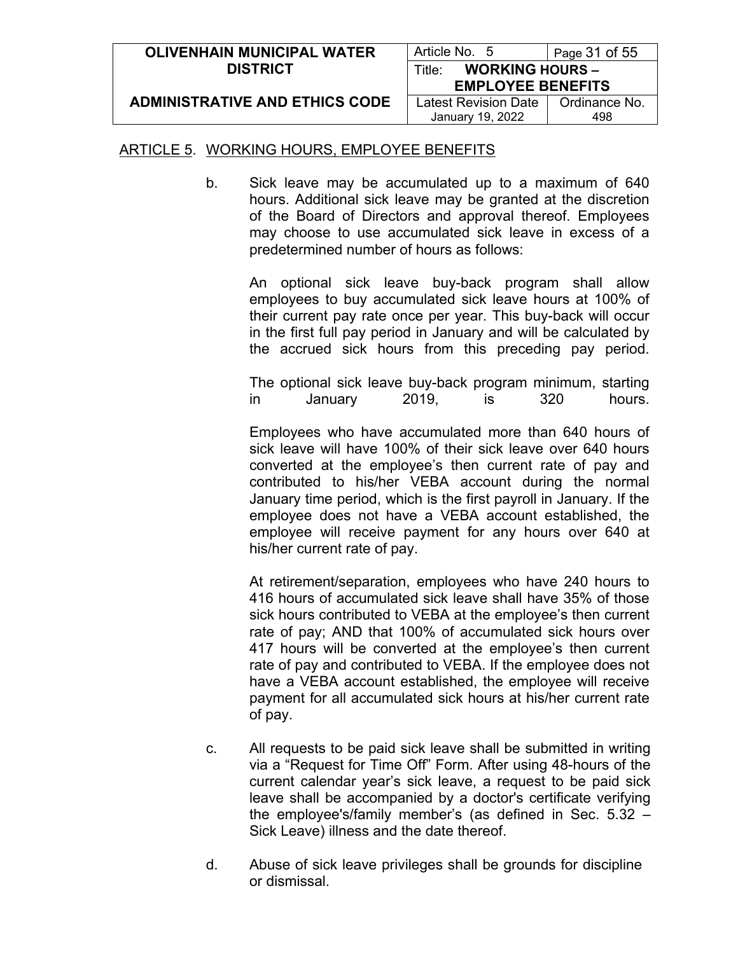| <b>OLIVENHAIN MUNICIPAL WATER</b>     | Article No. 5                    | Page 31 of 55 |
|---------------------------------------|----------------------------------|---------------|
| <b>DISTRICT</b>                       | <b>WORKING HOURS -</b><br>Title: |               |
|                                       | <b>EMPLOYEE BENEFITS</b>         |               |
| <b>ADMINISTRATIVE AND ETHICS CODE</b> | Latest Revision Date             | Ordinance No. |
|                                       | January 19, 2022                 | 498           |

b. Sick leave may be accumulated up to a maximum of 640 hours. Additional sick leave may be granted at the discretion of the Board of Directors and approval thereof. Employees may choose to use accumulated sick leave in excess of a predetermined number of hours as follows:

An optional sick leave buy-back program shall allow employees to buy accumulated sick leave hours at 100% of their current pay rate once per year. This buy-back will occur in the first full pay period in January and will be calculated by the accrued sick hours from this preceding pay period.

The optional sick leave buy-back program minimum, starting in January 2019, is 320 hours.

Employees who have accumulated more than 640 hours of sick leave will have 100% of their sick leave over 640 hours converted at the employee's then current rate of pay and contributed to his/her VEBA account during the normal January time period, which is the first payroll in January. If the employee does not have a VEBA account established, the employee will receive payment for any hours over 640 at his/her current rate of pay.

At retirement/separation, employees who have 240 hours to 416 hours of accumulated sick leave shall have 35% of those sick hours contributed to VEBA at the employee's then current rate of pay; AND that 100% of accumulated sick hours over 417 hours will be converted at the employee's then current rate of pay and contributed to VEBA. If the employee does not have a VEBA account established, the employee will receive payment for all accumulated sick hours at his/her current rate of pay.

- c. All requests to be paid sick leave shall be submitted in writing via a "Request for Time Off" Form. After using 48-hours of the current calendar year's sick leave, a request to be paid sick leave shall be accompanied by a doctor's certificate verifying the employee's/family member's (as defined in Sec. 5.32 – Sick Leave) illness and the date thereof.
- d. Abuse of sick leave privileges shall be grounds for discipline or dismissal.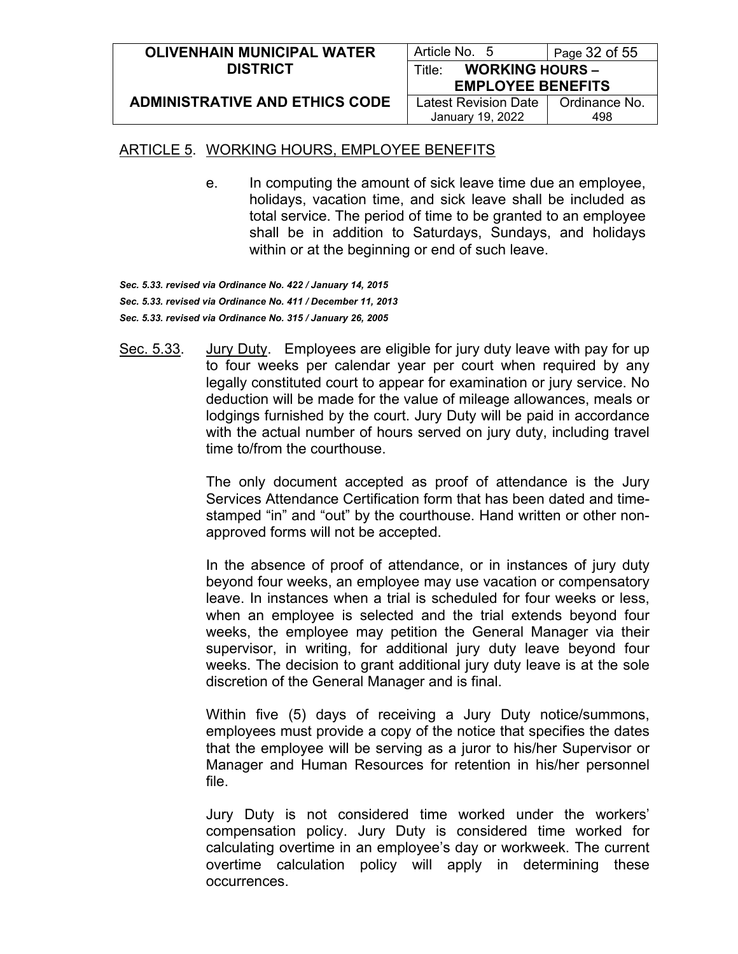| <b>OLIVENHAIN MUNICIPAL WATER</b>     | Article No. 5                    | Page 32 of 55 |
|---------------------------------------|----------------------------------|---------------|
| <b>DISTRICT</b>                       | <b>WORKING HOURS -</b><br>Title: |               |
|                                       | <b>EMPLOYEE BENEFITS</b>         |               |
| <b>ADMINISTRATIVE AND ETHICS CODE</b> | Latest Revision Date             | Ordinance No. |
|                                       | January 19, 2022                 | 498           |

e. In computing the amount of sick leave time due an employee, holidays, vacation time, and sick leave shall be included as total service. The period of time to be granted to an employee shall be in addition to Saturdays, Sundays, and holidays within or at the beginning or end of such leave.

*Sec. 5.33. revised via Ordinance No. 422 / January 14, 2015 Sec. 5.33. revised via Ordinance No. 411 / December 11, 2013 Sec. 5.33. revised via Ordinance No. 315 / January 26, 2005*

Sec. 5.33. Jury Duty. Employees are eligible for jury duty leave with pay for up to four weeks per calendar year per court when required by any legally constituted court to appear for examination or jury service. No deduction will be made for the value of mileage allowances, meals or lodgings furnished by the court. Jury Duty will be paid in accordance with the actual number of hours served on jury duty, including travel time to/from the courthouse.

> The only document accepted as proof of attendance is the Jury Services Attendance Certification form that has been dated and timestamped "in" and "out" by the courthouse. Hand written or other nonapproved forms will not be accepted.

> In the absence of proof of attendance, or in instances of jury duty beyond four weeks, an employee may use vacation or compensatory leave. In instances when a trial is scheduled for four weeks or less, when an employee is selected and the trial extends beyond four weeks, the employee may petition the General Manager via their supervisor, in writing, for additional jury duty leave beyond four weeks. The decision to grant additional jury duty leave is at the sole discretion of the General Manager and is final.

> Within five (5) days of receiving a Jury Duty notice/summons, employees must provide a copy of the notice that specifies the dates that the employee will be serving as a juror to his/her Supervisor or Manager and Human Resources for retention in his/her personnel file.

> Jury Duty is not considered time worked under the workers' compensation policy. Jury Duty is considered time worked for calculating overtime in an employee's day or workweek. The current overtime calculation policy will apply in determining these occurrences.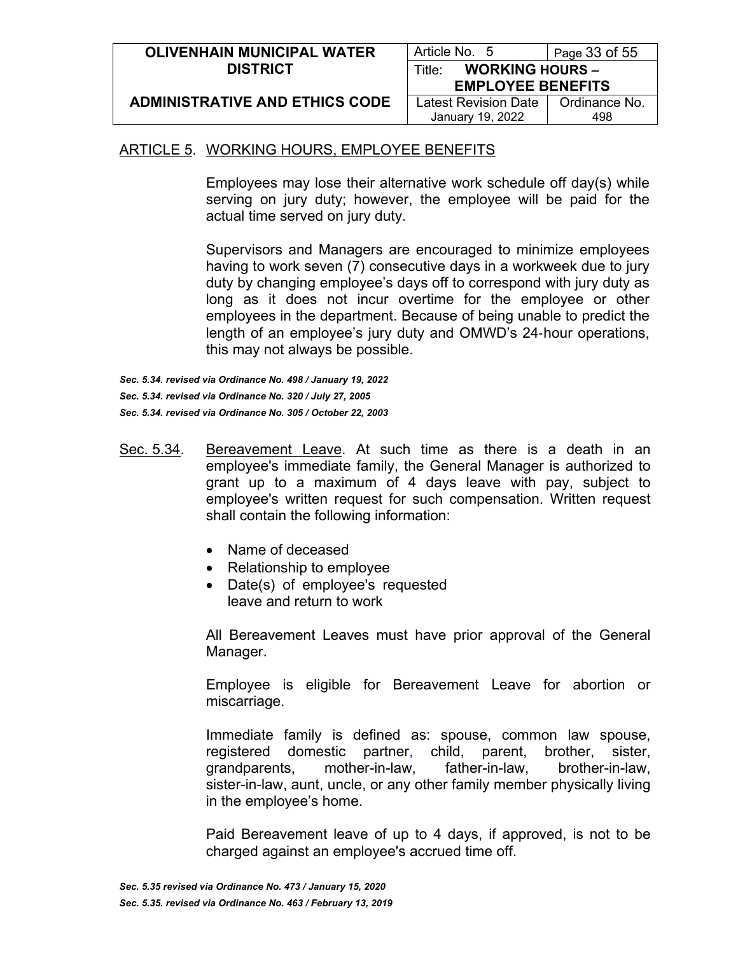| <b>OLIVENHAIN MUNICIPAL WATER</b>     | Article No. 5                    | Page 33 of 55 |
|---------------------------------------|----------------------------------|---------------|
| <b>DISTRICT</b>                       | <b>WORKING HOURS -</b><br>Title: |               |
|                                       | <b>EMPLOYEE BENEFITS</b>         |               |
| <b>ADMINISTRATIVE AND ETHICS CODE</b> | Latest Revision Date             | Ordinance No. |
|                                       | January 19, 2022                 | 498           |

Employees may lose their alternative work schedule off day(s) while serving on jury duty; however, the employee will be paid for the actual time served on jury duty.

Supervisors and Managers are encouraged to minimize employees having to work seven (7) consecutive days in a workweek due to jury duty by changing employee's days off to correspond with jury duty as long as it does not incur overtime for the employee or other employees in the department. Because of being unable to predict the length of an employee's jury duty and OMWD's 24‐hour operations, this may not always be possible.

*Sec. 5.34. revised via Ordinance No. 498 / January 19, 2022 Sec. 5.34. revised via Ordinance No. 320 / July 27, 2005 Sec. 5.34. revised via Ordinance No. 305 / October 22, 2003*

- Sec. 5.34. Bereavement Leave. At such time as there is a death in an employee's immediate family, the General Manager is authorized to grant up to a maximum of 4 days leave with pay, subject to employee's written request for such compensation. Written request shall contain the following information:
	- Name of deceased
	- Relationship to employee
	- Date(s) of employee's requested leave and return to work

All Bereavement Leaves must have prior approval of the General Manager.

Employee is eligible for Bereavement Leave for abortion or miscarriage.

Immediate family is defined as: spouse, common law spouse, registered domestic partner, child, parent, brother, sister, grandparents, mother-in-law, father-in-law, brother-in-law, sister-in-law, aunt, uncle, or any other family member physically living in the employee's home.

Paid Bereavement leave of up to 4 days, if approved, is not to be charged against an employee's accrued time off.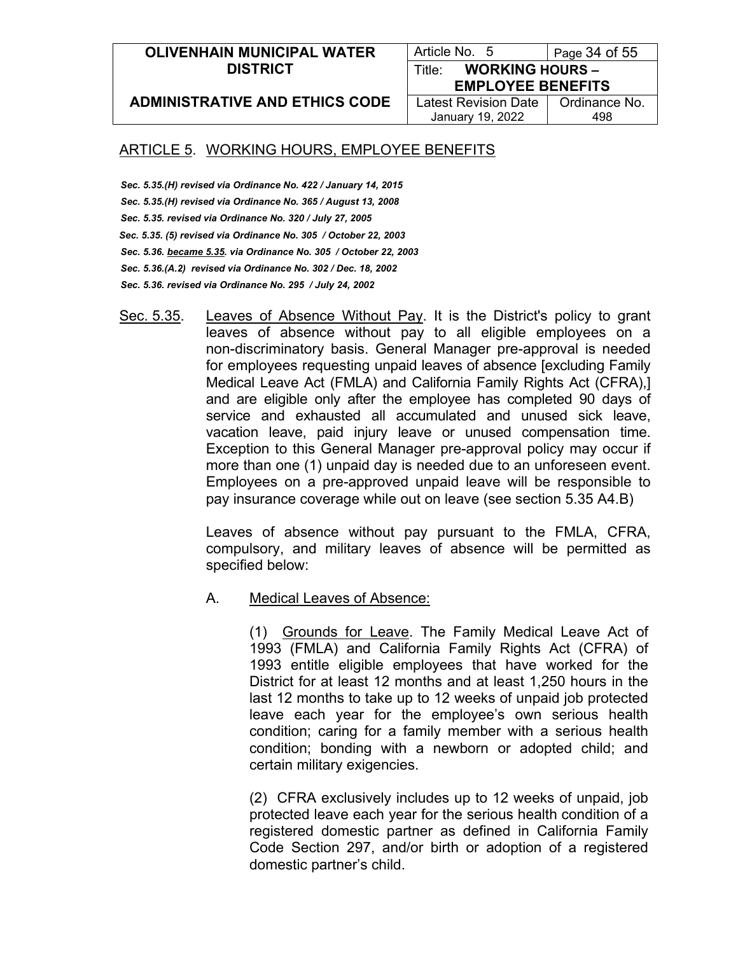#### **OLIVENHAIN MUNICIPAL WATER DISTRICT**

Article No. 5 | Page 34 of 55 Title: **WORKING HOURS –**

**ADMINISTRATIVE AND ETHICS CODE**

**EMPLOYEE BENEFITS** Latest Revision Date January 19, 2022

Ordinance No. 498

## ARTICLE 5. WORKING HOURS, EMPLOYEE BENEFITS

- *Sec. 5.35.(H) revised via Ordinance No. 422 / January 14, 2015 Sec. 5.35.(H) revised via Ordinance No. 365 / August 13, 2008 Sec. 5.35. revised via Ordinance No. 320 / July 27, 2005 Sec. 5.35. (5) revised via Ordinance No. 305 / October 22, 2003 Sec. 5.36. became 5.35. via Ordinance No. 305 / October 22, 2003 Sec. 5.36.(A.2) revised via Ordinance No. 302 / Dec. 18, 2002 Sec. 5.36. revised via Ordinance No. 295 / July 24, 2002*
- Sec. 5.35. Leaves of Absence Without Pay. It is the District's policy to grant leaves of absence without pay to all eligible employees on a non-discriminatory basis. General Manager pre-approval is needed for employees requesting unpaid leaves of absence [excluding Family Medical Leave Act (FMLA) and California Family Rights Act (CFRA),] and are eligible only after the employee has completed 90 days of service and exhausted all accumulated and unused sick leave, vacation leave, paid injury leave or unused compensation time. Exception to this General Manager pre-approval policy may occur if more than one (1) unpaid day is needed due to an unforeseen event. Employees on a pre-approved unpaid leave will be responsible to pay insurance coverage while out on leave (see section 5.35 A4.B)

Leaves of absence without pay pursuant to the FMLA, CFRA, compulsory, and military leaves of absence will be permitted as specified below:

A. Medical Leaves of Absence:

(1) Grounds for Leave. The Family Medical Leave Act of 1993 (FMLA) and California Family Rights Act (CFRA) of 1993 entitle eligible employees that have worked for the District for at least 12 months and at least 1,250 hours in the last 12 months to take up to 12 weeks of unpaid job protected leave each year for the employee's own serious health condition; caring for a family member with a serious health condition; bonding with a newborn or adopted child; and certain military exigencies.

(2) CFRA exclusively includes up to 12 weeks of unpaid, job protected leave each year for the serious health condition of a registered domestic partner as defined in California Family Code Section 297, and/or birth or adoption of a registered domestic partner's child.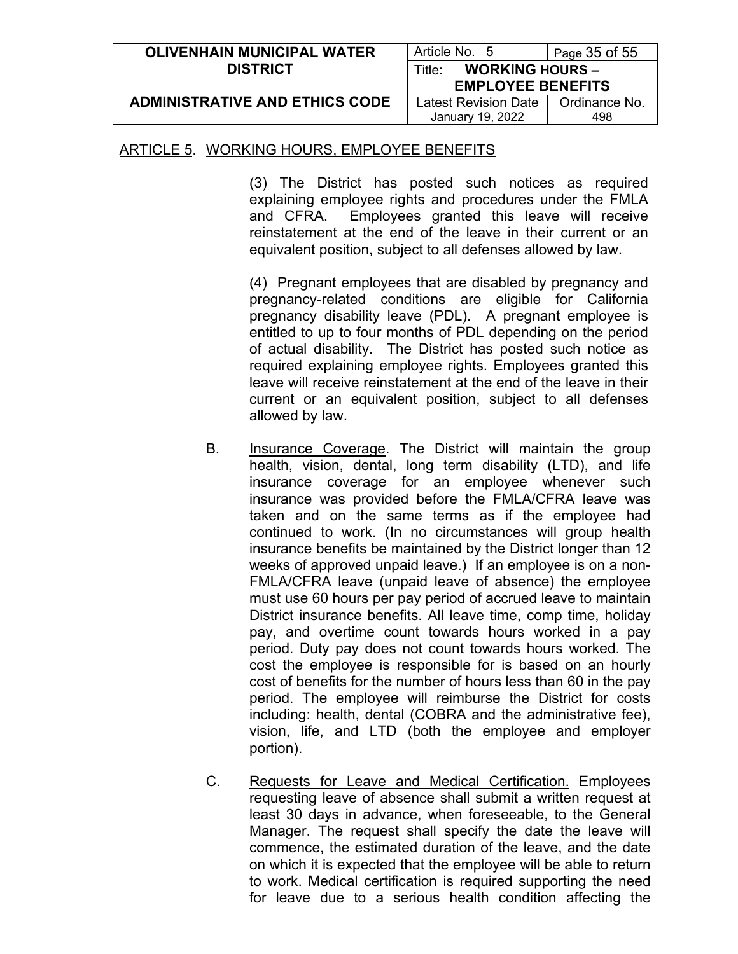| <b>OLIVENHAIN MUNICIPAL WATER</b>     | Article No. 5                    | Page 35 of 55 |
|---------------------------------------|----------------------------------|---------------|
| <b>DISTRICT</b>                       | <b>WORKING HOURS -</b><br>Title∵ |               |
|                                       | <b>EMPLOYEE BENEFITS</b>         |               |
| <b>ADMINISTRATIVE AND ETHICS CODE</b> | Latest Revision Date             | Ordinance No. |
|                                       | January 19, 2022                 | 498           |

(3) The District has posted such notices as required explaining employee rights and procedures under the FMLA and CFRA. Employees granted this leave will receive reinstatement at the end of the leave in their current or an equivalent position, subject to all defenses allowed by law.

(4) Pregnant employees that are disabled by pregnancy and pregnancy-related conditions are eligible for California pregnancy disability leave (PDL). A pregnant employee is entitled to up to four months of PDL depending on the period of actual disability. The District has posted such notice as required explaining employee rights. Employees granted this leave will receive reinstatement at the end of the leave in their current or an equivalent position, subject to all defenses allowed by law.

- B. Insurance Coverage. The District will maintain the group health, vision, dental, long term disability (LTD), and life insurance coverage for an employee whenever such insurance was provided before the FMLA/CFRA leave was taken and on the same terms as if the employee had continued to work. (In no circumstances will group health insurance benefits be maintained by the District longer than 12 weeks of approved unpaid leave.) If an employee is on a non-FMLA/CFRA leave (unpaid leave of absence) the employee must use 60 hours per pay period of accrued leave to maintain District insurance benefits. All leave time, comp time, holiday pay, and overtime count towards hours worked in a pay period. Duty pay does not count towards hours worked. The cost the employee is responsible for is based on an hourly cost of benefits for the number of hours less than 60 in the pay period. The employee will reimburse the District for costs including: health, dental (COBRA and the administrative fee), vision, life, and LTD (both the employee and employer portion).
- C. Requests for Leave and Medical Certification. Employees requesting leave of absence shall submit a written request at least 30 days in advance, when foreseeable, to the General Manager. The request shall specify the date the leave will commence, the estimated duration of the leave, and the date on which it is expected that the employee will be able to return to work. Medical certification is required supporting the need for leave due to a serious health condition affecting the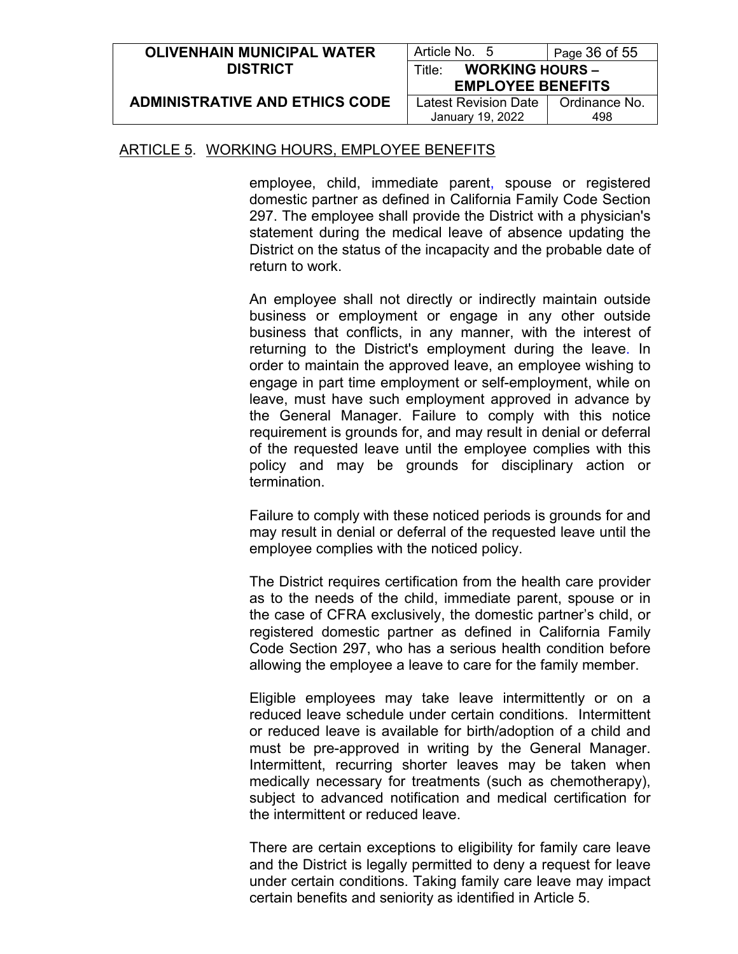| <b>OLIVENHAIN MUNICIPAL WATER</b>     | Article No. 5                    | Page 36 of 55 |
|---------------------------------------|----------------------------------|---------------|
| <b>DISTRICT</b>                       | <b>WORKING HOURS -</b><br>Title∸ |               |
|                                       | <b>EMPLOYEE BENEFITS</b>         |               |
| <b>ADMINISTRATIVE AND ETHICS CODE</b> | <b>Latest Revision Date</b>      | Ordinance No. |
|                                       | January 19, 2022                 | 498           |

employee, child, immediate parent, spouse or registered domestic partner as defined in California Family Code Section 297. The employee shall provide the District with a physician's statement during the medical leave of absence updating the District on the status of the incapacity and the probable date of return to work.

An employee shall not directly or indirectly maintain outside business or employment or engage in any other outside business that conflicts, in any manner, with the interest of returning to the District's employment during the leave. In order to maintain the approved leave, an employee wishing to engage in part time employment or self-employment, while on leave, must have such employment approved in advance by the General Manager. Failure to comply with this notice requirement is grounds for, and may result in denial or deferral of the requested leave until the employee complies with this policy and may be grounds for disciplinary action or termination.

Failure to comply with these noticed periods is grounds for and may result in denial or deferral of the requested leave until the employee complies with the noticed policy.

The District requires certification from the health care provider as to the needs of the child, immediate parent, spouse or in the case of CFRA exclusively, the domestic partner's child, or registered domestic partner as defined in California Family Code Section 297, who has a serious health condition before allowing the employee a leave to care for the family member.

Eligible employees may take leave intermittently or on a reduced leave schedule under certain conditions. Intermittent or reduced leave is available for birth/adoption of a child and must be pre-approved in writing by the General Manager. Intermittent, recurring shorter leaves may be taken when medically necessary for treatments (such as chemotherapy), subject to advanced notification and medical certification for the intermittent or reduced leave.

There are certain exceptions to eligibility for family care leave and the District is legally permitted to deny a request for leave under certain conditions. Taking family care leave may impact certain benefits and seniority as identified in Article 5.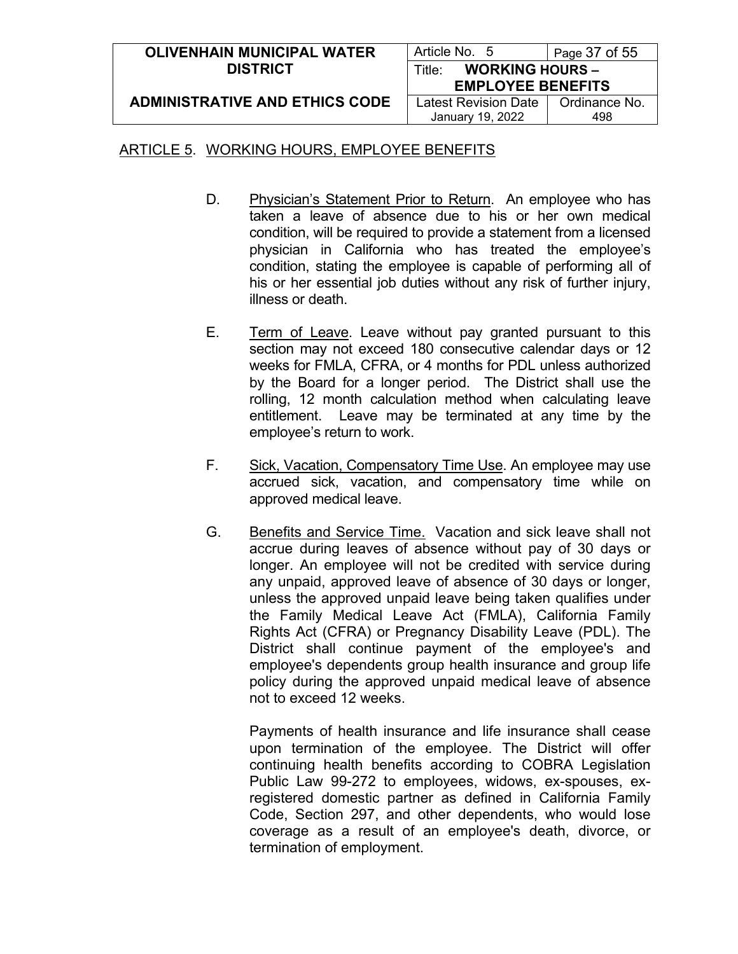| <b>OLIVENHAIN MUNICIPAL WATER</b>     | Article No. 5                    | Page 37 of 55 |
|---------------------------------------|----------------------------------|---------------|
| <b>DISTRICT</b>                       | <b>WORKING HOURS -</b><br>Title: |               |
|                                       | <b>EMPLOYEE BENEFITS</b>         |               |
| <b>ADMINISTRATIVE AND ETHICS CODE</b> | Latest Revision Date             | Ordinance No. |
|                                       | January 19, 2022                 | 498           |

- D. Physician's Statement Prior to Return. An employee who has taken a leave of absence due to his or her own medical condition, will be required to provide a statement from a licensed physician in California who has treated the employee's condition, stating the employee is capable of performing all of his or her essential job duties without any risk of further injury, illness or death.
- E. Term of Leave. Leave without pay granted pursuant to this section may not exceed 180 consecutive calendar days or 12 weeks for FMLA, CFRA, or 4 months for PDL unless authorized by the Board for a longer period. The District shall use the rolling, 12 month calculation method when calculating leave entitlement. Leave may be terminated at any time by the employee's return to work.
- F. Sick, Vacation, Compensatory Time Use. An employee may use accrued sick, vacation, and compensatory time while on approved medical leave.
- G. Benefits and Service Time. Vacation and sick leave shall not accrue during leaves of absence without pay of 30 days or longer. An employee will not be credited with service during any unpaid, approved leave of absence of 30 days or longer, unless the approved unpaid leave being taken qualifies under the Family Medical Leave Act (FMLA), California Family Rights Act (CFRA) or Pregnancy Disability Leave (PDL). The District shall continue payment of the employee's and employee's dependents group health insurance and group life policy during the approved unpaid medical leave of absence not to exceed 12 weeks.

Payments of health insurance and life insurance shall cease upon termination of the employee. The District will offer continuing health benefits according to COBRA Legislation Public Law 99-272 to employees, widows, ex-spouses, exregistered domestic partner as defined in California Family Code, Section 297, and other dependents, who would lose coverage as a result of an employee's death, divorce, or termination of employment.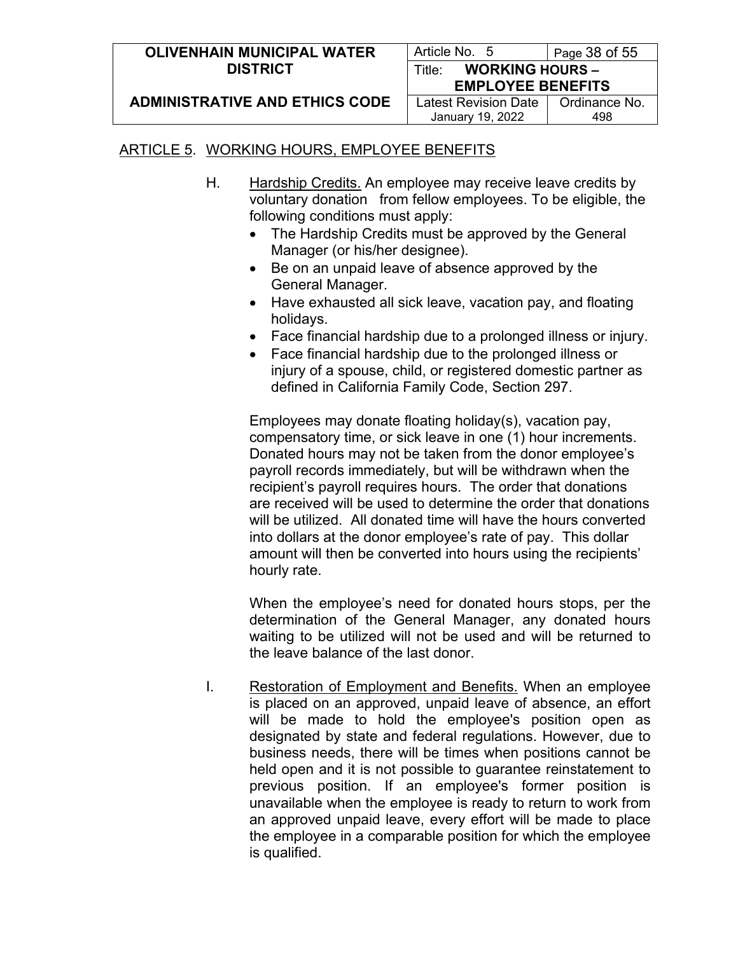| <b>OLIVENHAIN MUNICIPAL WATER</b>     | Article No. 5                    | Page $38$ of $55$ |
|---------------------------------------|----------------------------------|-------------------|
| <b>DISTRICT</b>                       | <b>WORKING HOURS -</b><br>Title: |                   |
|                                       | <b>EMPLOYEE BENEFITS</b>         |                   |
| <b>ADMINISTRATIVE AND ETHICS CODE</b> | <b>Latest Revision Date</b>      | Ordinance No.     |
|                                       | January 19, 2022                 | 498               |

- H. Hardship Credits. An employee may receive leave credits by voluntary donation from fellow employees. To be eligible, the following conditions must apply:
	- The Hardship Credits must be approved by the General Manager (or his/her designee).
	- Be on an unpaid leave of absence approved by the General Manager.
	- Have exhausted all sick leave, vacation pay, and floating holidays.
	- Face financial hardship due to a prolonged illness or injury.
	- Face financial hardship due to the prolonged illness or injury of a spouse, child, or registered domestic partner as defined in California Family Code, Section 297.

Employees may donate floating holiday(s), vacation pay, compensatory time, or sick leave in one (1) hour increments. Donated hours may not be taken from the donor employee's payroll records immediately, but will be withdrawn when the recipient's payroll requires hours. The order that donations are received will be used to determine the order that donations will be utilized. All donated time will have the hours converted into dollars at the donor employee's rate of pay. This dollar amount will then be converted into hours using the recipients' hourly rate.

When the employee's need for donated hours stops, per the determination of the General Manager, any donated hours waiting to be utilized will not be used and will be returned to the leave balance of the last donor.

I. Restoration of Employment and Benefits. When an employee is placed on an approved, unpaid leave of absence, an effort will be made to hold the employee's position open as designated by state and federal regulations. However, due to business needs, there will be times when positions cannot be held open and it is not possible to guarantee reinstatement to previous position. If an employee's former position is unavailable when the employee is ready to return to work from an approved unpaid leave, every effort will be made to place the employee in a comparable position for which the employee is qualified.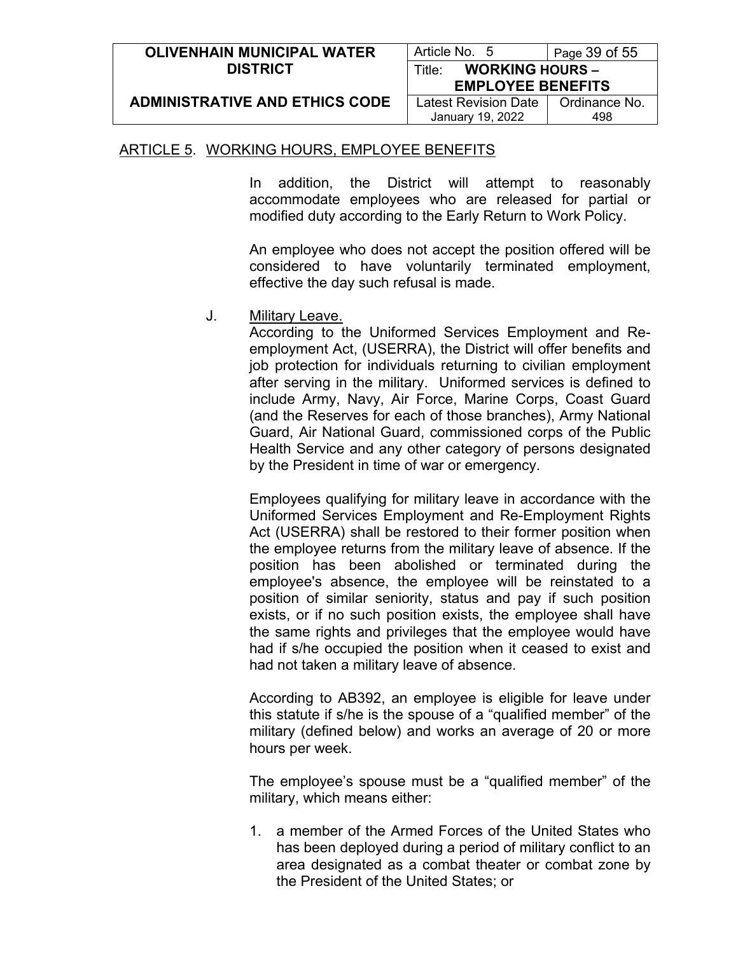| <b>OLIVENHAIN MUNICIPAL WATER</b>     | Article No. 5                    | Page 39 of 55 |
|---------------------------------------|----------------------------------|---------------|
| <b>DISTRICT</b>                       | <b>WORKING HOURS -</b><br>Title: |               |
|                                       | <b>EMPLOYEE BENEFITS</b>         |               |
| <b>ADMINISTRATIVE AND ETHICS CODE</b> | Latest Revision Date             | Ordinance No. |
|                                       | January 19, 2022                 | 498           |

In addition, the District will attempt to reasonably accommodate employees who are released for partial or modified duty according to the Early Return to Work Policy.

An employee who does not accept the position offered will be considered to have voluntarily terminated employment, effective the day such refusal is made.

J. Military Leave.

According to the Uniformed Services Employment and Reemployment Act, (USERRA), the District will offer benefits and job protection for individuals returning to civilian employment after serving in the military. Uniformed services is defined to include Army, Navy, Air Force, Marine Corps, Coast Guard (and the Reserves for each of those branches), Army National Guard, Air National Guard, commissioned corps of the Public Health Service and any other category of persons designated by the President in time of war or emergency.

Employees qualifying for military leave in accordance with the Uniformed Services Employment and Re-Employment Rights Act (USERRA) shall be restored to their former position when the employee returns from the military leave of absence. If the position has been abolished or terminated during the employee's absence, the employee will be reinstated to a position of similar seniority, status and pay if such position exists, or if no such position exists, the employee shall have the same rights and privileges that the employee would have had if s/he occupied the position when it ceased to exist and had not taken a military leave of absence.

According to AB392, an employee is eligible for leave under this statute if s/he is the spouse of a "qualified member" of the military (defined below) and works an average of 20 or more hours per week.

The employee's spouse must be a "qualified member" of the military, which means either:

1. a member of the Armed Forces of the United States who has been deployed during a period of military conflict to an area designated as a combat theater or combat zone by the President of the United States; or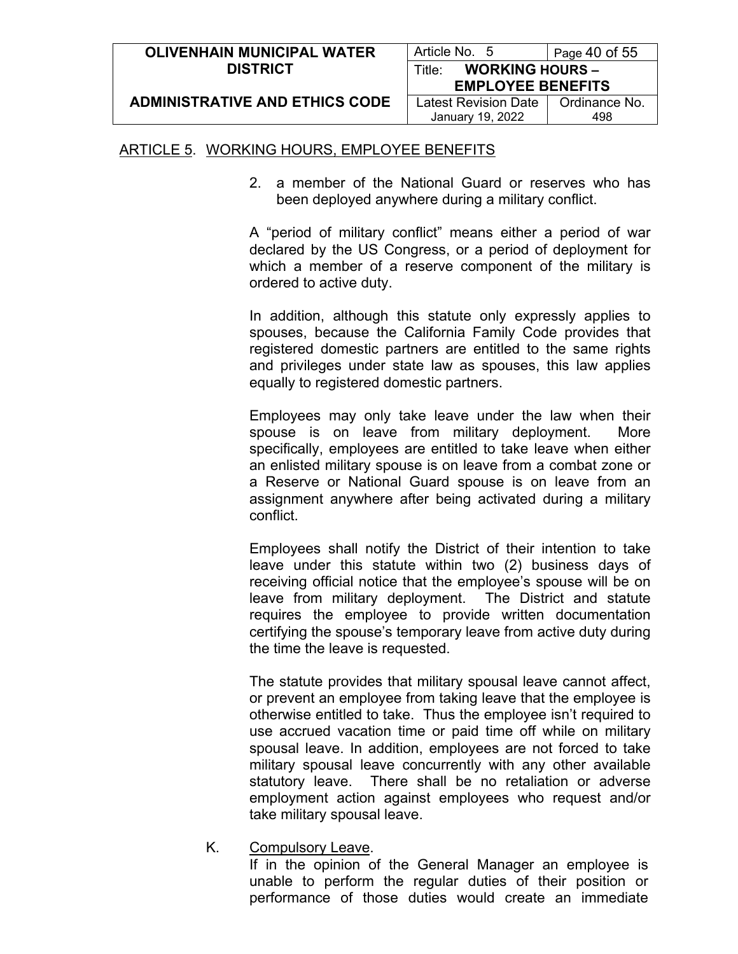| <b>OLIVENHAIN MUNICIPAL WATER</b>     | Article No. 5                    | Page 40 of 55 |
|---------------------------------------|----------------------------------|---------------|
| <b>DISTRICT</b>                       | <b>WORKING HOURS -</b><br>Title∵ |               |
|                                       | <b>EMPLOYEE BENEFITS</b>         |               |
| <b>ADMINISTRATIVE AND ETHICS CODE</b> | <b>Latest Revision Date</b>      | Ordinance No. |
|                                       | January 19, 2022                 | 498           |

2. a member of the National Guard or reserves who has been deployed anywhere during a military conflict.

A "period of military conflict" means either a period of war declared by the US Congress, or a period of deployment for which a member of a reserve component of the military is ordered to active duty.

In addition, although this statute only expressly applies to spouses, because the California Family Code provides that registered domestic partners are entitled to the same rights and privileges under state law as spouses, this law applies equally to registered domestic partners.

Employees may only take leave under the law when their spouse is on leave from military deployment. More specifically, employees are entitled to take leave when either an enlisted military spouse is on leave from a combat zone or a Reserve or National Guard spouse is on leave from an assignment anywhere after being activated during a military conflict.

Employees shall notify the District of their intention to take leave under this statute within two (2) business days of receiving official notice that the employee's spouse will be on leave from military deployment. The District and statute requires the employee to provide written documentation certifying the spouse's temporary leave from active duty during the time the leave is requested.

The statute provides that military spousal leave cannot affect, or prevent an employee from taking leave that the employee is otherwise entitled to take. Thus the employee isn't required to use accrued vacation time or paid time off while on military spousal leave. In addition, employees are not forced to take military spousal leave concurrently with any other available statutory leave. There shall be no retaliation or adverse employment action against employees who request and/or take military spousal leave.

K. Compulsory Leave.

If in the opinion of the General Manager an employee is unable to perform the regular duties of their position or performance of those duties would create an immediate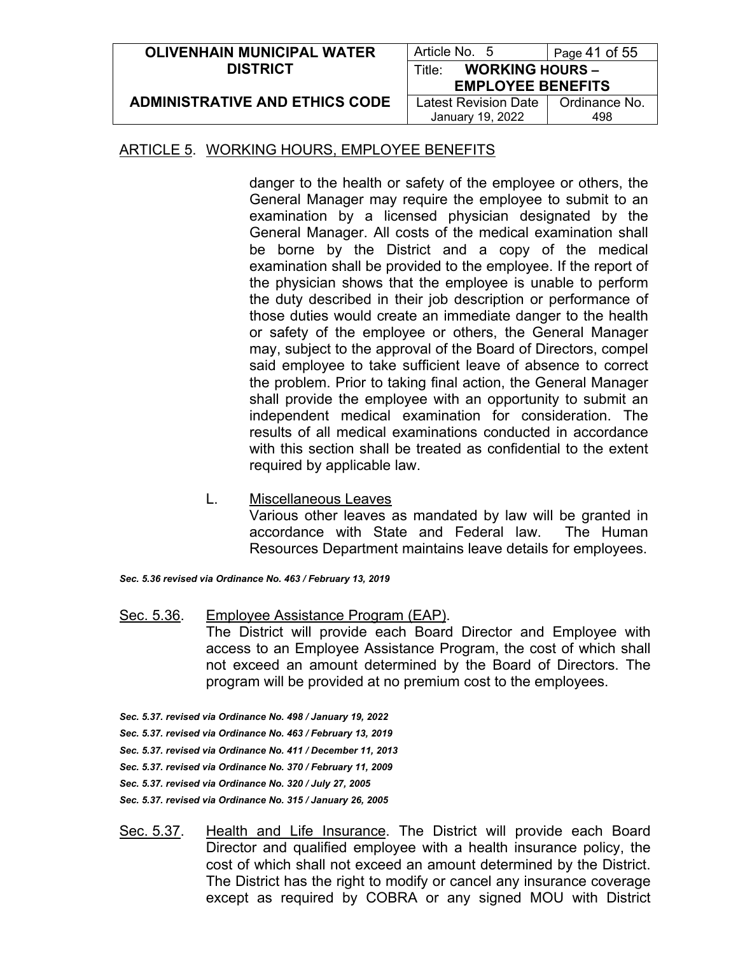| <b>OLIVENHAIN MUNICIPAL WATER</b>     | Article No. 5                    | Page 41 of 55 |
|---------------------------------------|----------------------------------|---------------|
| <b>DISTRICT</b>                       | <b>WORKING HOURS -</b><br>Title∸ |               |
|                                       | <b>EMPLOYEE BENEFITS</b>         |               |
| <b>ADMINISTRATIVE AND ETHICS CODE</b> | <b>Latest Revision Date</b>      | Ordinance No. |
|                                       | January 19, 2022                 | 498           |

danger to the health or safety of the employee or others, the General Manager may require the employee to submit to an examination by a licensed physician designated by the General Manager. All costs of the medical examination shall be borne by the District and a copy of the medical examination shall be provided to the employee. If the report of the physician shows that the employee is unable to perform the duty described in their job description or performance of those duties would create an immediate danger to the health or safety of the employee or others, the General Manager may, subject to the approval of the Board of Directors, compel said employee to take sufficient leave of absence to correct the problem. Prior to taking final action, the General Manager shall provide the employee with an opportunity to submit an independent medical examination for consideration. The results of all medical examinations conducted in accordance with this section shall be treated as confidential to the extent required by applicable law.

L. Miscellaneous Leaves

Various other leaves as mandated by law will be granted in accordance with State and Federal law. The Human Resources Department maintains leave details for employees.

- *Sec. 5.36 revised via Ordinance No. 463 / February 13, 2019*
- Sec. 5.36. Employee Assistance Program (EAP). The District will provide each Board Director and Employee with access to an Employee Assistance Program, the cost of which shall not exceed an amount determined by the Board of Directors. The program will be provided at no premium cost to the employees.
- *Sec. 5.37. revised via Ordinance No. 498 / January 19, 2022 Sec. 5.37. revised via Ordinance No. 463 / February 13, 2019 Sec. 5.37. revised via Ordinance No. 411 / December 11, 2013 Sec. 5.37. revised via Ordinance No. 370 / February 11, 2009 Sec. 5.37. revised via Ordinance No. 320 / July 27, 2005 Sec. 5.37. revised via Ordinance No. 315 / January 26, 2005*
- Sec. 5.37. Health and Life Insurance. The District will provide each Board Director and qualified employee with a health insurance policy, the cost of which shall not exceed an amount determined by the District. The District has the right to modify or cancel any insurance coverage except as required by COBRA or any signed MOU with District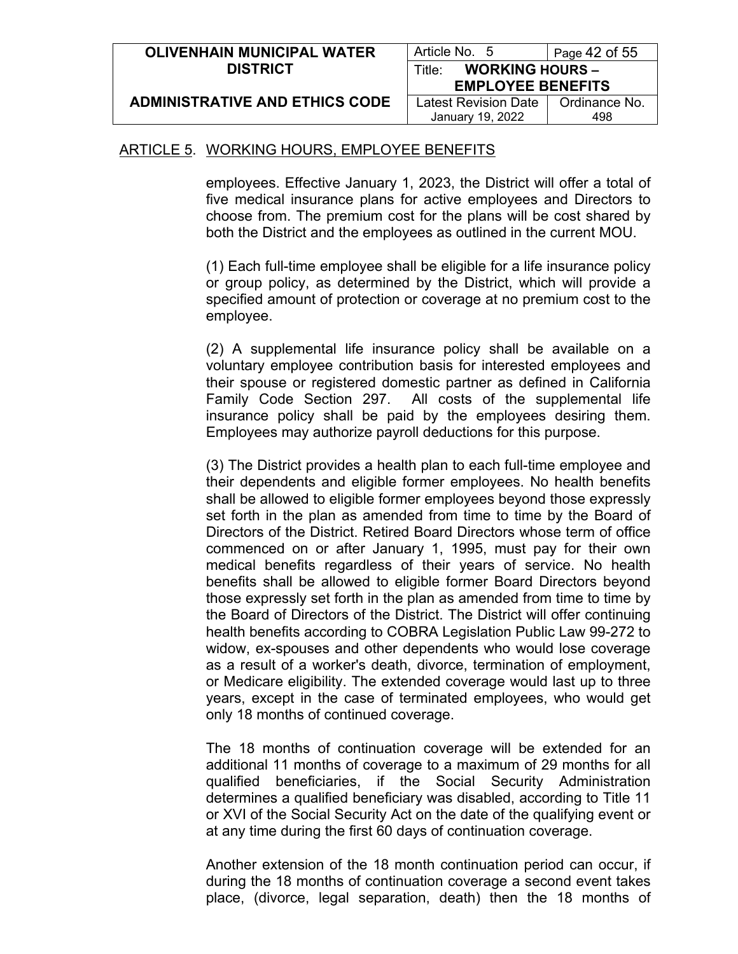| <b>OLIVENHAIN MUNICIPAL WATER</b>     | Article No. 5                                | Page 42 of $55$ |
|---------------------------------------|----------------------------------------------|-----------------|
| <b>DISTRICT</b>                       | <b>WORKING HOURS -</b><br>Title <sup>.</sup> |                 |
|                                       | <b>EMPLOYEE BENEFITS</b>                     |                 |
| <b>ADMINISTRATIVE AND ETHICS CODE</b> | Latest Revision Date                         | Ordinance No.   |
|                                       | January 19, 2022                             | 498             |

employees. Effective January 1, 2023, the District will offer a total of five medical insurance plans for active employees and Directors to choose from. The premium cost for the plans will be cost shared by both the District and the employees as outlined in the current MOU.

(1) Each full-time employee shall be eligible for a life insurance policy or group policy, as determined by the District, which will provide a specified amount of protection or coverage at no premium cost to the employee.

(2) A supplemental life insurance policy shall be available on a voluntary employee contribution basis for interested employees and their spouse or registered domestic partner as defined in California Family Code Section 297. All costs of the supplemental life insurance policy shall be paid by the employees desiring them. Employees may authorize payroll deductions for this purpose.

(3) The District provides a health plan to each full-time employee and their dependents and eligible former employees. No health benefits shall be allowed to eligible former employees beyond those expressly set forth in the plan as amended from time to time by the Board of Directors of the District. Retired Board Directors whose term of office commenced on or after January 1, 1995, must pay for their own medical benefits regardless of their years of service. No health benefits shall be allowed to eligible former Board Directors beyond those expressly set forth in the plan as amended from time to time by the Board of Directors of the District. The District will offer continuing health benefits according to COBRA Legislation Public Law 99-272 to widow, ex-spouses and other dependents who would lose coverage as a result of a worker's death, divorce, termination of employment, or Medicare eligibility. The extended coverage would last up to three years, except in the case of terminated employees, who would get only 18 months of continued coverage.

The 18 months of continuation coverage will be extended for an additional 11 months of coverage to a maximum of 29 months for all qualified beneficiaries, if the Social Security Administration determines a qualified beneficiary was disabled, according to Title 11 or XVI of the Social Security Act on the date of the qualifying event or at any time during the first 60 days of continuation coverage.

Another extension of the 18 month continuation period can occur, if during the 18 months of continuation coverage a second event takes place, (divorce, legal separation, death) then the 18 months of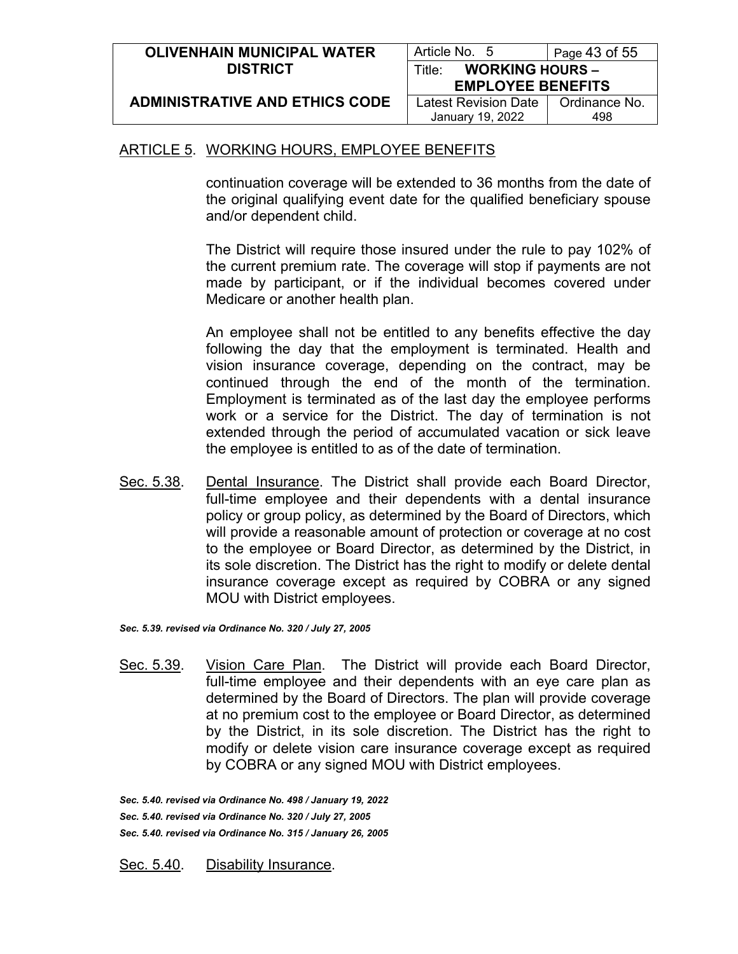| <b>OLIVENHAIN MUNICIPAL WATER</b>     | Article No. 5                                | Page 43 of 55 |
|---------------------------------------|----------------------------------------------|---------------|
| <b>DISTRICT</b>                       | <b>WORKING HOURS -</b><br>Title <sup>.</sup> |               |
|                                       | <b>EMPLOYEE BENEFITS</b>                     |               |
| <b>ADMINISTRATIVE AND ETHICS CODE</b> | Latest Revision Date                         | Ordinance No. |
|                                       | January 19, 2022                             | 498           |

continuation coverage will be extended to 36 months from the date of the original qualifying event date for the qualified beneficiary spouse and/or dependent child.

The District will require those insured under the rule to pay 102% of the current premium rate. The coverage will stop if payments are not made by participant, or if the individual becomes covered under Medicare or another health plan.

An employee shall not be entitled to any benefits effective the day following the day that the employment is terminated. Health and vision insurance coverage, depending on the contract, may be continued through the end of the month of the termination. Employment is terminated as of the last day the employee performs work or a service for the District. The day of termination is not extended through the period of accumulated vacation or sick leave the employee is entitled to as of the date of termination.

Sec. 5.38. Dental Insurance. The District shall provide each Board Director, full-time employee and their dependents with a dental insurance policy or group policy, as determined by the Board of Directors, which will provide a reasonable amount of protection or coverage at no cost to the employee or Board Director, as determined by the District, in its sole discretion. The District has the right to modify or delete dental insurance coverage except as required by COBRA or any signed MOU with District employees.

*Sec. 5.39. revised via Ordinance No. 320 / July 27, 2005*

Sec. 5.39. Vision Care Plan. The District will provide each Board Director, full-time employee and their dependents with an eye care plan as determined by the Board of Directors. The plan will provide coverage at no premium cost to the employee or Board Director, as determined by the District, in its sole discretion. The District has the right to modify or delete vision care insurance coverage except as required by COBRA or any signed MOU with District employees.

*Sec. 5.40. revised via Ordinance No. 498 / January 19, 2022 Sec. 5.40. revised via Ordinance No. 320 / July 27, 2005 Sec. 5.40. revised via Ordinance No. 315 / January 26, 2005*

Sec. 5.40. Disability Insurance.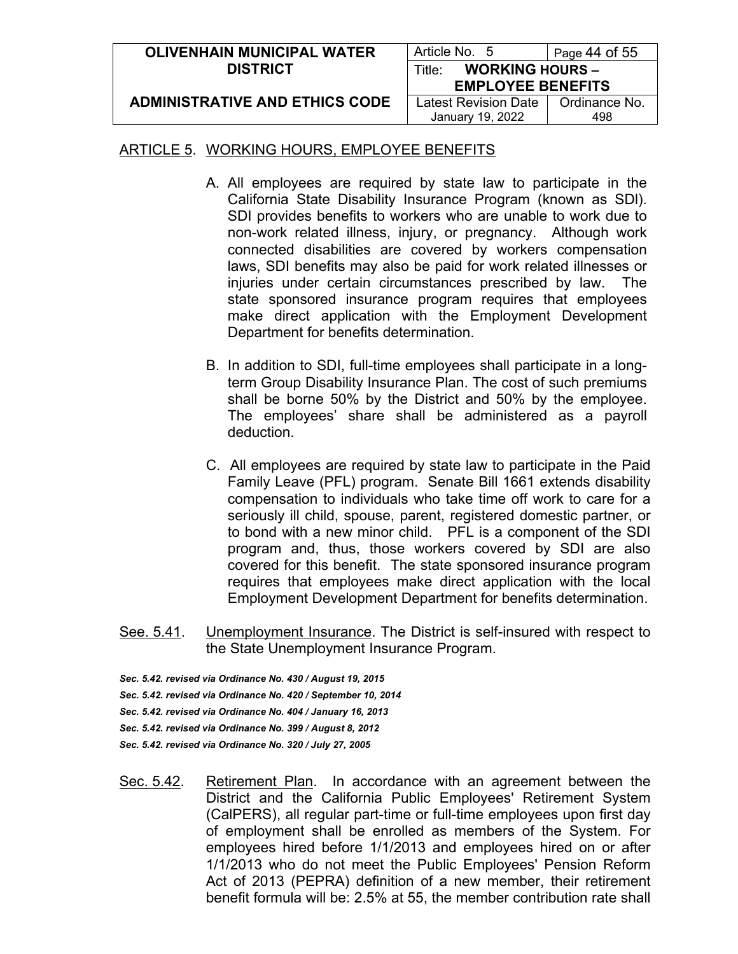| <b>OLIVENHAIN MUNICIPAL WATER</b>     | Article No. 5                    | Page 44 of 55 |
|---------------------------------------|----------------------------------|---------------|
| <b>DISTRICT</b>                       | <b>WORKING HOURS -</b><br>Title: |               |
|                                       | <b>EMPLOYEE BENEFITS</b>         |               |
| <b>ADMINISTRATIVE AND ETHICS CODE</b> | <b>Latest Revision Date</b>      | Ordinance No. |
|                                       | January 19, 2022                 | 498           |

- A. All employees are required by state law to participate in the California State Disability Insurance Program (known as SDl). SDI provides benefits to workers who are unable to work due to non-work related illness, injury, or pregnancy. Although work connected disabilities are covered by workers compensation laws, SDI benefits may also be paid for work related illnesses or injuries under certain circumstances prescribed by law. The state sponsored insurance program requires that employees make direct application with the Employment Development Department for benefits determination.
- B. In addition to SDI, full-time employees shall participate in a longterm Group Disability Insurance Plan. The cost of such premiums shall be borne 50% by the District and 50% by the employee. The employees' share shall be administered as a payroll deduction.
- C. All employees are required by state law to participate in the Paid Family Leave (PFL) program. Senate Bill 1661 extends disability compensation to individuals who take time off work to care for a seriously ill child, spouse, parent, registered domestic partner, or to bond with a new minor child. PFL is a component of the SDI program and, thus, those workers covered by SDI are also covered for this benefit. The state sponsored insurance program requires that employees make direct application with the local Employment Development Department for benefits determination.
- See. 5.41. Unemployment Insurance. The District is self-insured with respect to the State Unemployment Insurance Program.
- *Sec. 5.42. revised via Ordinance No. 430 / August 19, 2015*
- *Sec. 5.42. revised via Ordinance No. 420 / September 10, 2014*
- *Sec. 5.42. revised via Ordinance No. 404 / January 16, 2013*
- *Sec. 5.42. revised via Ordinance No. 399 / August 8, 2012*
- *Sec. 5.42. revised via Ordinance No. 320 / July 27, 2005*
- Sec. 5.42. Retirement Plan. In accordance with an agreement between the District and the California Public Employees' Retirement System (CalPERS), all regular part-time or full-time employees upon first day of employment shall be enrolled as members of the System. For employees hired before 1/1/2013 and employees hired on or after 1/1/2013 who do not meet the Public Employees' Pension Reform Act of 2013 (PEPRA) definition of a new member, their retirement benefit formula will be: 2.5% at 55, the member contribution rate shall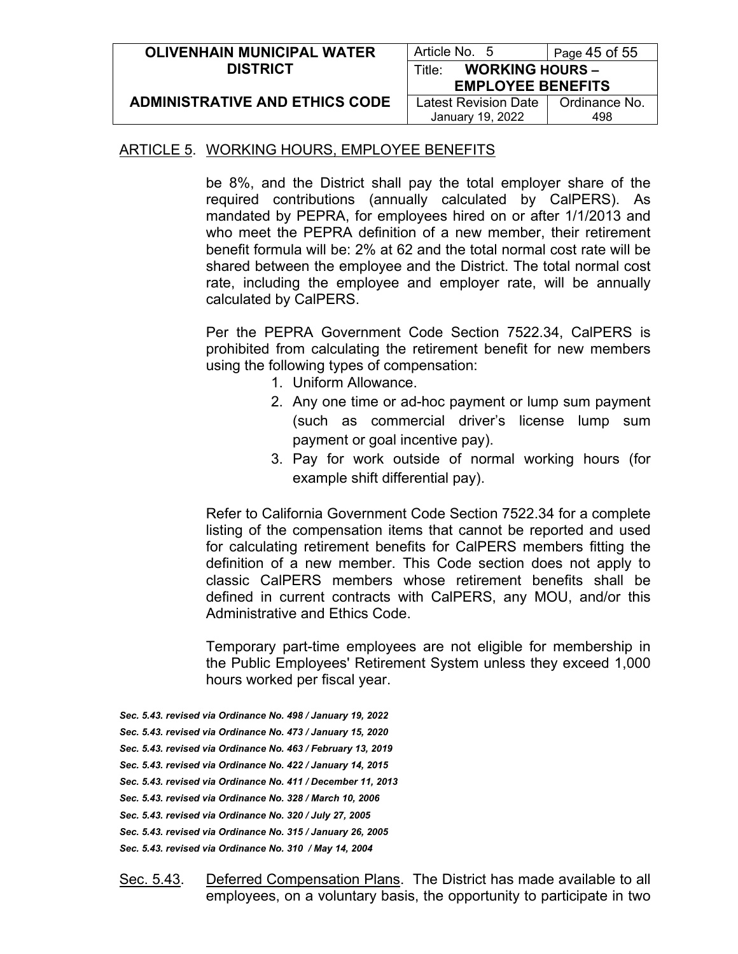| <b>OLIVENHAIN MUNICIPAL WATER</b>     | Article No. 5                    | Page $45$ of $55$ |
|---------------------------------------|----------------------------------|-------------------|
| <b>DISTRICT</b>                       | <b>WORKING HOURS -</b><br>Title∵ |                   |
|                                       | <b>EMPLOYEE BENEFITS</b>         |                   |
| <b>ADMINISTRATIVE AND ETHICS CODE</b> | Latest Revision Date             | Ordinance No.     |
|                                       | January 19, 2022                 | 498               |

be 8%, and the District shall pay the total employer share of the required contributions (annually calculated by CalPERS). As mandated by PEPRA, for employees hired on or after 1/1/2013 and who meet the PEPRA definition of a new member, their retirement benefit formula will be: 2% at 62 and the total normal cost rate will be shared between the employee and the District. The total normal cost rate, including the employee and employer rate, will be annually calculated by CalPERS.

Per the PEPRA Government Code Section 7522.34, CalPERS is prohibited from calculating the retirement benefit for new members using the following types of compensation:

- 1. Uniform Allowance.
- 2. Any one time or ad-hoc payment or lump sum payment (such as commercial driver's license lump sum payment or goal incentive pay).
- 3. Pay for work outside of normal working hours (for example shift differential pay).

Refer to California Government Code Section 7522.34 for a complete listing of the compensation items that cannot be reported and used for calculating retirement benefits for CalPERS members fitting the definition of a new member. This Code section does not apply to classic CalPERS members whose retirement benefits shall be defined in current contracts with CalPERS, any MOU, and/or this Administrative and Ethics Code.

Temporary part-time employees are not eligible for membership in the Public Employees' Retirement System unless they exceed 1,000 hours worked per fiscal year.

- *Sec. 5.43. revised via Ordinance No. 498 / January 19, 2022*
- *Sec. 5.43. revised via Ordinance No. 473 / January 15, 2020*
- *Sec. 5.43. revised via Ordinance No. 463 / February 13, 2019*
- *Sec. 5.43. revised via Ordinance No. 422 / January 14, 2015*
- *Sec. 5.43. revised via Ordinance No. 411 / December 11, 2013*
- *Sec. 5.43. revised via Ordinance No. 328 / March 10, 2006*
- *Sec. 5.43. revised via Ordinance No. 320 / July 27, 2005*
- *Sec. 5.43. revised via Ordinance No. 315 / January 26, 2005*
- *Sec. 5.43. revised via Ordinance No. 310 / May 14, 2004*
- Sec. 5.43. Deferred Compensation Plans. The District has made available to all employees, on a voluntary basis, the opportunity to participate in two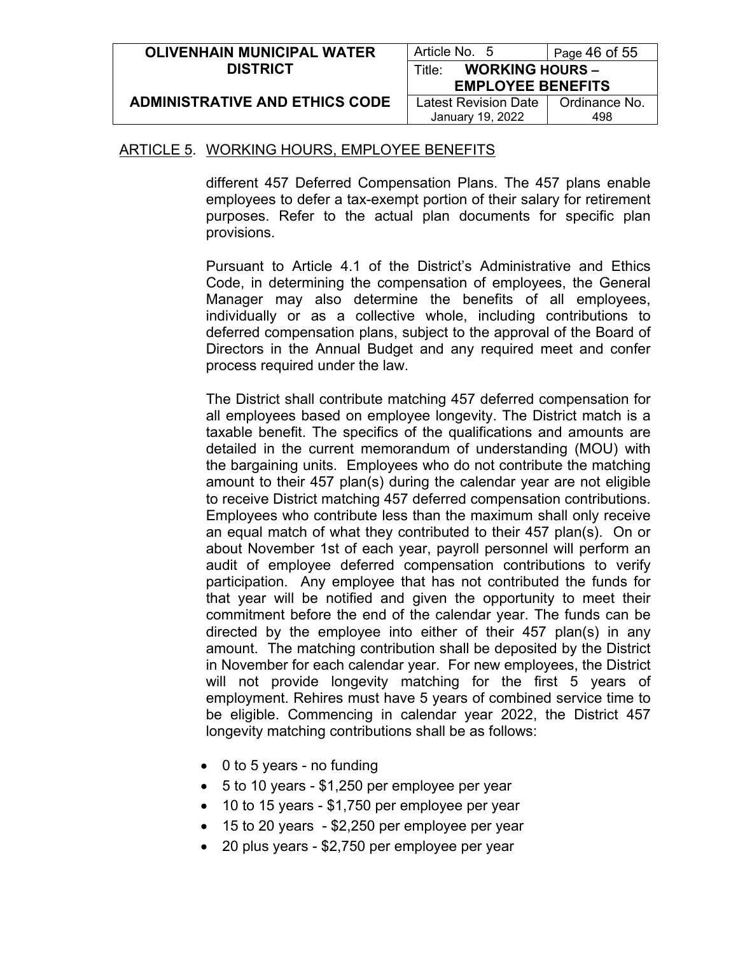| <b>OLIVENHAIN MUNICIPAL WATER</b>     | Article No. 5                    | Page $46$ of $55$ |
|---------------------------------------|----------------------------------|-------------------|
| <b>DISTRICT</b>                       | <b>WORKING HOURS -</b><br>Title: |                   |
|                                       | <b>EMPLOYEE BENEFITS</b>         |                   |
| <b>ADMINISTRATIVE AND ETHICS CODE</b> | Latest Revision Date             | Ordinance No.     |
|                                       | January 19, 2022                 | 498               |

different 457 Deferred Compensation Plans. The 457 plans enable employees to defer a tax-exempt portion of their salary for retirement purposes. Refer to the actual plan documents for specific plan provisions.

Pursuant to Article 4.1 of the District's Administrative and Ethics Code, in determining the compensation of employees, the General Manager may also determine the benefits of all employees, individually or as a collective whole, including contributions to deferred compensation plans, subject to the approval of the Board of Directors in the Annual Budget and any required meet and confer process required under the law.

The District shall contribute matching 457 deferred compensation for all employees based on employee longevity. The District match is a taxable benefit. The specifics of the qualifications and amounts are detailed in the current memorandum of understanding (MOU) with the bargaining units. Employees who do not contribute the matching amount to their 457 plan(s) during the calendar year are not eligible to receive District matching 457 deferred compensation contributions. Employees who contribute less than the maximum shall only receive an equal match of what they contributed to their 457 plan(s). On or about November 1st of each year, payroll personnel will perform an audit of employee deferred compensation contributions to verify participation. Any employee that has not contributed the funds for that year will be notified and given the opportunity to meet their commitment before the end of the calendar year. The funds can be directed by the employee into either of their 457 plan(s) in any amount. The matching contribution shall be deposited by the District in November for each calendar year. For new employees, the District will not provide longevity matching for the first 5 years of employment. Rehires must have 5 years of combined service time to be eligible. Commencing in calendar year 2022, the District 457 longevity matching contributions shall be as follows:

- 0 to 5 years no funding
- 5 to 10 years \$1,250 per employee per year
- 10 to 15 years \$1,750 per employee per year
- 15 to 20 years \$2,250 per employee per year
- 20 plus years \$2,750 per employee per year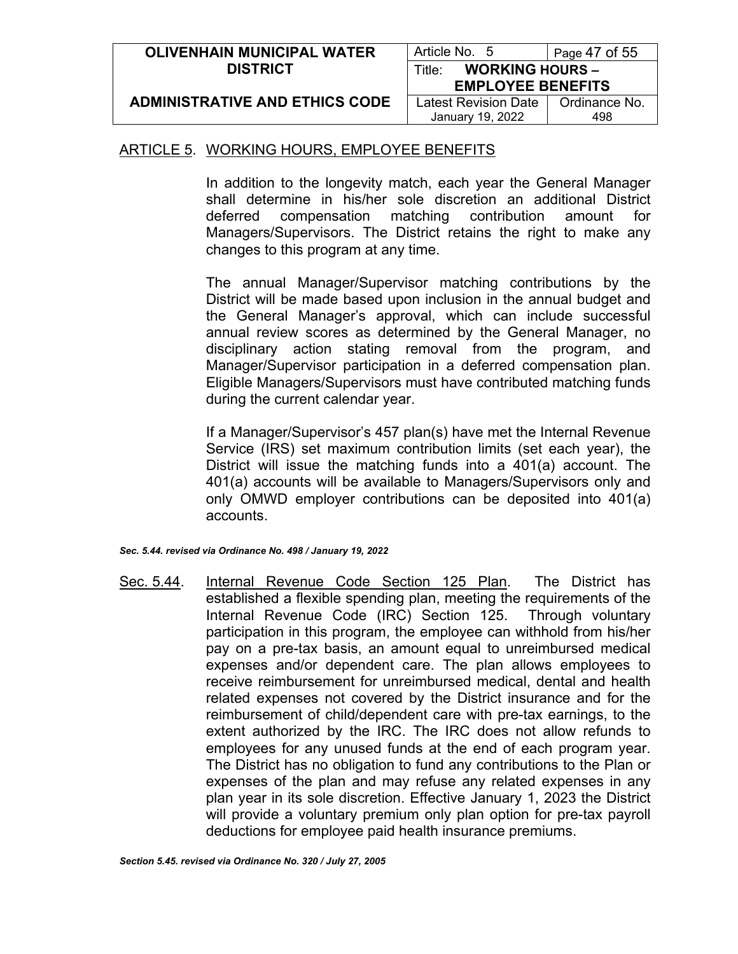| <b>OLIVENHAIN MUNICIPAL WATER</b>     | Article No. 5                    | Page $47$ of $55$ |
|---------------------------------------|----------------------------------|-------------------|
| <b>DISTRICT</b>                       | <b>WORKING HOURS -</b><br>Title: |                   |
|                                       | <b>EMPLOYEE BENEFITS</b>         |                   |
| <b>ADMINISTRATIVE AND ETHICS CODE</b> | Latest Revision Date             | Ordinance No.     |
|                                       | January 19, 2022                 | 498               |

In addition to the longevity match, each year the General Manager shall determine in his/her sole discretion an additional District deferred compensation matching contribution amount for Managers/Supervisors. The District retains the right to make any changes to this program at any time.

The annual Manager/Supervisor matching contributions by the District will be made based upon inclusion in the annual budget and the General Manager's approval, which can include successful annual review scores as determined by the General Manager, no disciplinary action stating removal from the program, and Manager/Supervisor participation in a deferred compensation plan. Eligible Managers/Supervisors must have contributed matching funds during the current calendar year.

If a Manager/Supervisor's 457 plan(s) have met the Internal Revenue Service (IRS) set maximum contribution limits (set each year), the District will issue the matching funds into a 401(a) account. The 401(a) accounts will be available to Managers/Supervisors only and only OMWD employer contributions can be deposited into 401(a) accounts.

*Sec. 5.44. revised via Ordinance No. 498 / January 19, 2022*

Sec. 5.44. Internal Revenue Code Section 125 Plan. The District has established a flexible spending plan, meeting the requirements of the Internal Revenue Code (IRC) Section 125. Through voluntary participation in this program, the employee can withhold from his/her pay on a pre-tax basis, an amount equal to unreimbursed medical expenses and/or dependent care. The plan allows employees to receive reimbursement for unreimbursed medical, dental and health related expenses not covered by the District insurance and for the reimbursement of child/dependent care with pre-tax earnings, to the extent authorized by the IRC. The IRC does not allow refunds to employees for any unused funds at the end of each program year. The District has no obligation to fund any contributions to the Plan or expenses of the plan and may refuse any related expenses in any plan year in its sole discretion. Effective January 1, 2023 the District will provide a voluntary premium only plan option for pre-tax payroll deductions for employee paid health insurance premiums.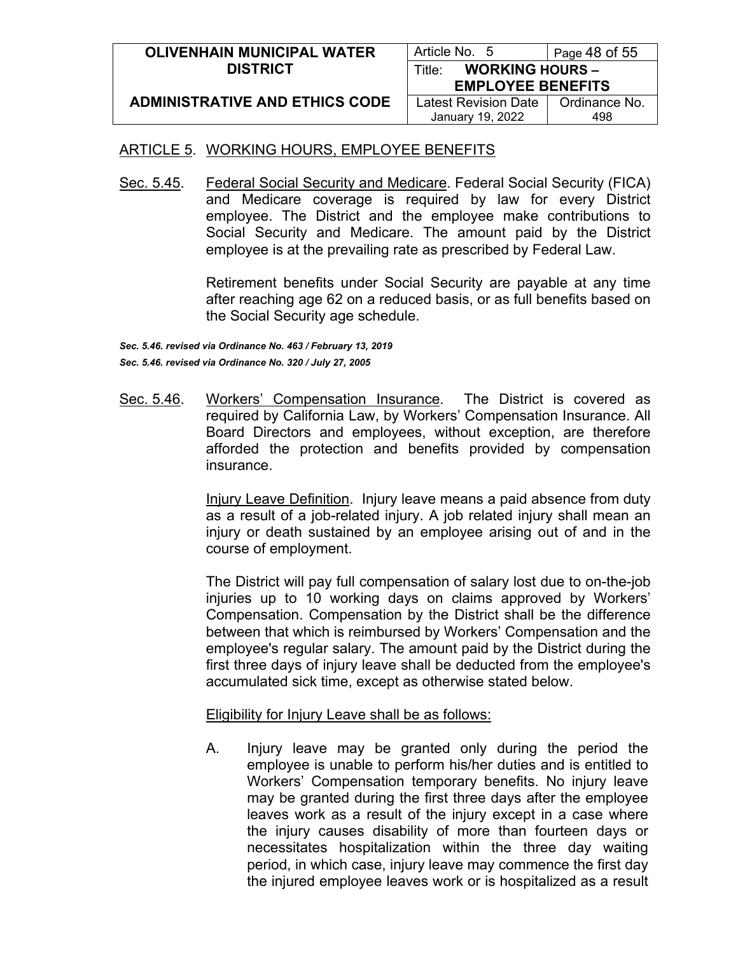| <b>OLIVENHAIN MUNICIPAL WATER</b>     | Article No. 5                    | Page 48 of 55 |
|---------------------------------------|----------------------------------|---------------|
| <b>DISTRICT</b>                       | <b>WORKING HOURS -</b><br>Title: |               |
|                                       | <b>EMPLOYEE BENEFITS</b>         |               |
| <b>ADMINISTRATIVE AND ETHICS CODE</b> | Latest Revision Date             | Ordinance No. |
|                                       | January 19, 2022                 | 498           |

Sec. 5.45. Federal Social Security and Medicare. Federal Social Security (FICA) and Medicare coverage is required by law for every District employee. The District and the employee make contributions to Social Security and Medicare. The amount paid by the District employee is at the prevailing rate as prescribed by Federal Law.

> Retirement benefits under Social Security are payable at any time after reaching age 62 on a reduced basis, or as full benefits based on the Social Security age schedule.

*Sec. 5.46. revised via Ordinance No. 463 / February 13, 2019 Sec. 5.46. revised via Ordinance No. 320 / July 27, 2005*

Sec. 5.46. Workers' Compensation Insurance. The District is covered as required by California Law, by Workers' Compensation Insurance. All Board Directors and employees, without exception, are therefore afforded the protection and benefits provided by compensation insurance.

> Injury Leave Definition. Injury leave means a paid absence from duty as a result of a job-related injury. A job related injury shall mean an injury or death sustained by an employee arising out of and in the course of employment.

> The District will pay full compensation of salary lost due to on-the-job injuries up to 10 working days on claims approved by Workers' Compensation. Compensation by the District shall be the difference between that which is reimbursed by Workers' Compensation and the employee's regular salary. The amount paid by the District during the first three days of injury leave shall be deducted from the employee's accumulated sick time, except as otherwise stated below.

Eligibility for Injury Leave shall be as follows:

A. Injury leave may be granted only during the period the employee is unable to perform his/her duties and is entitled to Workers' Compensation temporary benefits. No injury leave may be granted during the first three days after the employee leaves work as a result of the injury except in a case where the injury causes disability of more than fourteen days or necessitates hospitalization within the three day waiting period, in which case, injury leave may commence the first day the injured employee leaves work or is hospitalized as a result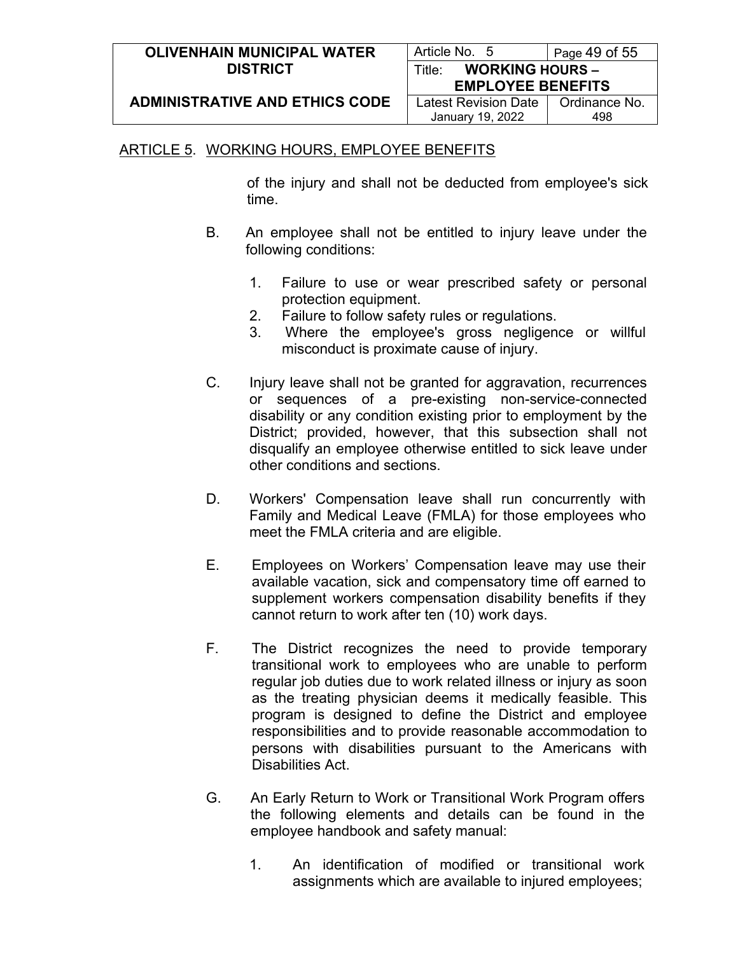| <b>OLIVENHAIN MUNICIPAL WATER</b>     | Article No. 5                    | Page $49$ of $55$ |
|---------------------------------------|----------------------------------|-------------------|
| <b>DISTRICT</b>                       | <b>WORKING HOURS -</b><br>Title: |                   |
|                                       | <b>EMPLOYEE BENEFITS</b>         |                   |
| <b>ADMINISTRATIVE AND ETHICS CODE</b> | Latest Revision Date             | Ordinance No.     |
|                                       | January 19, 2022                 | 498               |

of the injury and shall not be deducted from employee's sick time.

- B. An employee shall not be entitled to injury leave under the following conditions:
	- 1. Failure to use or wear prescribed safety or personal protection equipment.
	- 2. Failure to follow safety rules or regulations.
	- 3. Where the employee's gross negligence or willful misconduct is proximate cause of injury.
- C. Injury leave shall not be granted for aggravation, recurrences or sequences of a pre-existing non-service-connected disability or any condition existing prior to employment by the District; provided, however, that this subsection shall not disqualify an employee otherwise entitled to sick leave under other conditions and sections.
- D. Workers' Compensation leave shall run concurrently with Family and Medical Leave (FMLA) for those employees who meet the FMLA criteria and are eligible.
- E. Employees on Workers' Compensation leave may use their available vacation, sick and compensatory time off earned to supplement workers compensation disability benefits if they cannot return to work after ten (10) work days.
- F. The District recognizes the need to provide temporary transitional work to employees who are unable to perform regular job duties due to work related illness or injury as soon as the treating physician deems it medically feasible. This program is designed to define the District and employee responsibilities and to provide reasonable accommodation to persons with disabilities pursuant to the Americans with Disabilities Act.
- G. An Early Return to Work or Transitional Work Program offers the following elements and details can be found in the employee handbook and safety manual:
	- 1. An identification of modified or transitional work assignments which are available to injured employees;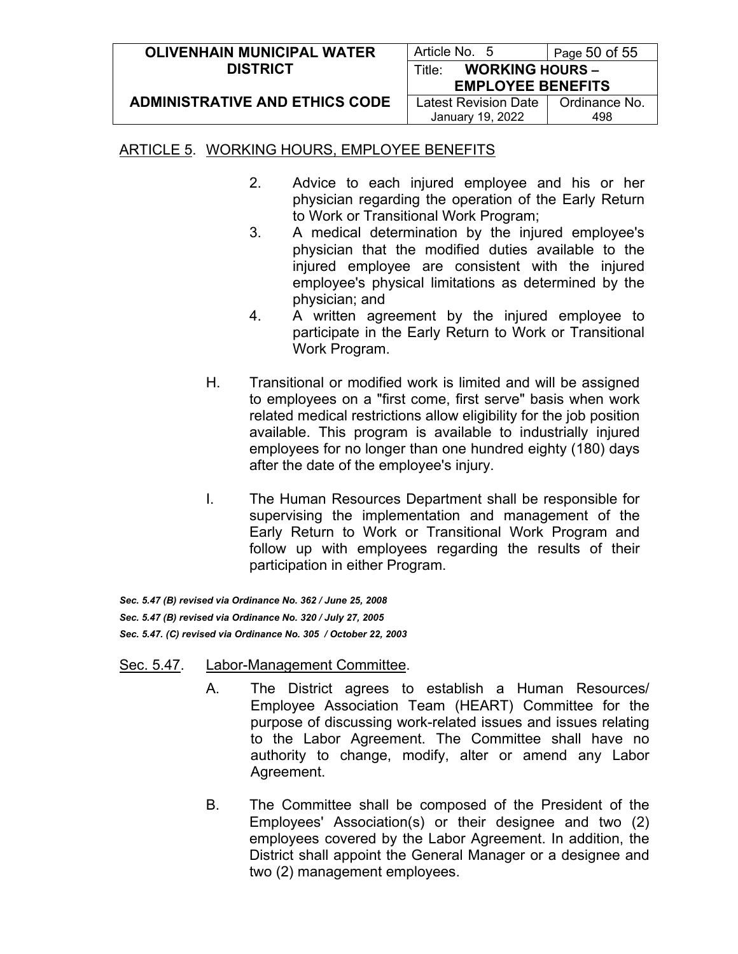| <b>OLIVENHAIN MUNICIPAL WATER</b>     | Article No. 5                    | Page 50 of 55 |  |
|---------------------------------------|----------------------------------|---------------|--|
| <b>DISTRICT</b>                       | <b>WORKING HOURS -</b><br>Title: |               |  |
|                                       | <b>EMPLOYEE BENEFITS</b>         |               |  |
| <b>ADMINISTRATIVE AND ETHICS CODE</b> | Latest Revision Date             | Ordinance No. |  |
|                                       | January 19, 2022                 | 498           |  |

- 2. Advice to each injured employee and his or her physician regarding the operation of the Early Return to Work or Transitional Work Program;
- 3. A medical determination by the injured employee's physician that the modified duties available to the injured employee are consistent with the injured employee's physical limitations as determined by the physician; and
- 4. A written agreement by the injured employee to participate in the Early Return to Work or Transitional Work Program.
- H. Transitional or modified work is limited and will be assigned to employees on a "first come, first serve" basis when work related medical restrictions allow eligibility for the job position available. This program is available to industrially injured employees for no longer than one hundred eighty (180) days after the date of the employee's injury.
- I. The Human Resources Department shall be responsible for supervising the implementation and management of the Early Return to Work or Transitional Work Program and follow up with employees regarding the results of their participation in either Program.

*Sec. 5.47 (B) revised via Ordinance No. 362 / June 25, 2008 Sec. 5.47 (B) revised via Ordinance No. 320 / July 27, 2005 Sec. 5.47. (C) revised via Ordinance No. 305 / October 22, 2003*

#### Sec. 5.47. Labor-Management Committee.

- A. The District agrees to establish a Human Resources/ Employee Association Team (HEART) Committee for the purpose of discussing work-related issues and issues relating to the Labor Agreement. The Committee shall have no authority to change, modify, alter or amend any Labor Agreement.
- B. The Committee shall be composed of the President of the Employees' Association(s) or their designee and two (2) employees covered by the Labor Agreement. In addition, the District shall appoint the General Manager or a designee and two (2) management employees.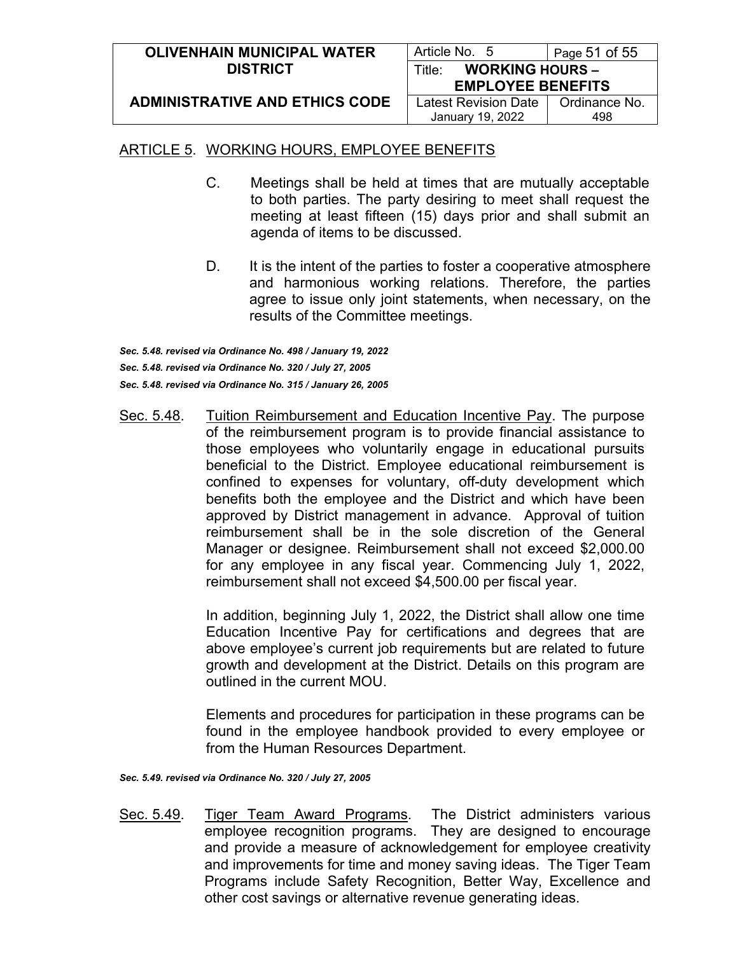| <b>OLIVENHAIN MUNICIPAL WATER</b>     | Article No. 5                                | Page 51 of 55 |  |
|---------------------------------------|----------------------------------------------|---------------|--|
| <b>DISTRICT</b>                       | <b>WORKING HOURS -</b><br>Title <sup>.</sup> |               |  |
|                                       | <b>EMPLOYEE BENEFITS</b>                     |               |  |
| <b>ADMINISTRATIVE AND ETHICS CODE</b> | Latest Revision Date                         | Ordinance No. |  |
|                                       | January 19, 2022                             | 498           |  |

- C. Meetings shall be held at times that are mutually acceptable to both parties. The party desiring to meet shall request the meeting at least fifteen (15) days prior and shall submit an agenda of items to be discussed.
- D. It is the intent of the parties to foster a cooperative atmosphere and harmonious working relations. Therefore, the parties agree to issue only joint statements, when necessary, on the results of the Committee meetings.

*Sec. 5.48. revised via Ordinance No. 498 / January 19, 2022 Sec. 5.48. revised via Ordinance No. 320 / July 27, 2005 Sec. 5.48. revised via Ordinance No. 315 / January 26, 2005*

Sec. 5.48. Tuition Reimbursement and Education Incentive Pay. The purpose of the reimbursement program is to provide financial assistance to those employees who voluntarily engage in educational pursuits beneficial to the District. Employee educational reimbursement is confined to expenses for voluntary, off-duty development which benefits both the employee and the District and which have been approved by District management in advance. Approval of tuition reimbursement shall be in the sole discretion of the General Manager or designee. Reimbursement shall not exceed \$2,000.00 for any employee in any fiscal year. Commencing July 1, 2022, reimbursement shall not exceed \$4,500.00 per fiscal year.

> In addition, beginning July 1, 2022, the District shall allow one time Education Incentive Pay for certifications and degrees that are above employee's current job requirements but are related to future growth and development at the District. Details on this program are outlined in the current MOU.

> Elements and procedures for participation in these programs can be found in the employee handbook provided to every employee or from the Human Resources Department.

*Sec. 5.49. revised via Ordinance No. 320 / July 27, 2005*

Sec. 5.49. Tiger Team Award Programs. The District administers various employee recognition programs. They are designed to encourage and provide a measure of acknowledgement for employee creativity and improvements for time and money saving ideas. The Tiger Team Programs include Safety Recognition, Better Way, Excellence and other cost savings or alternative revenue generating ideas.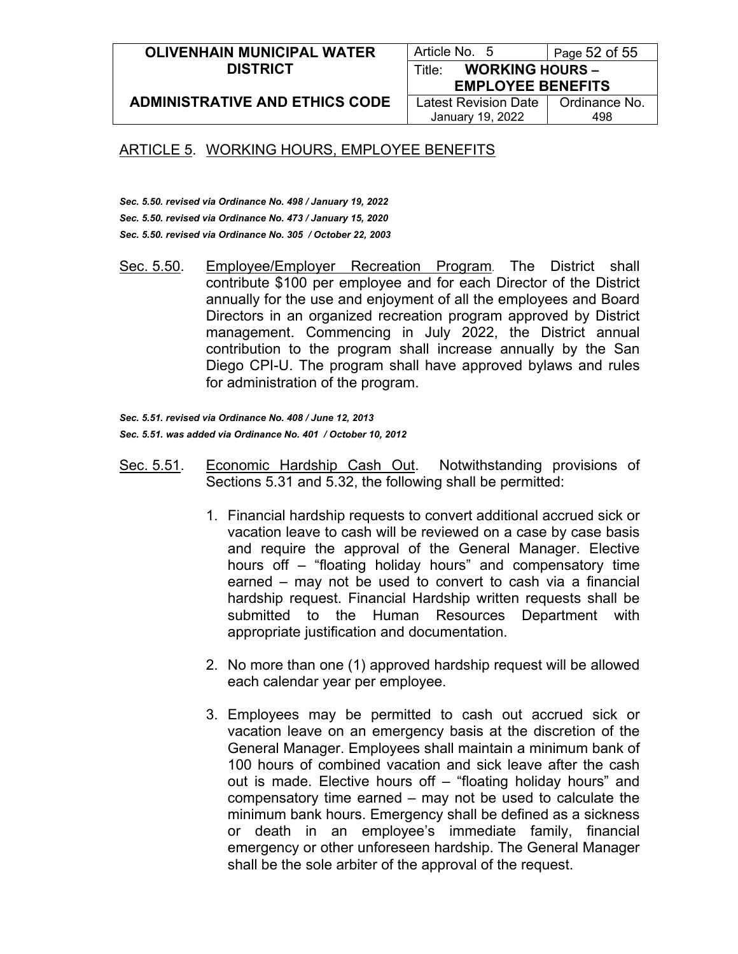#### **OLIVENHAIN MUNICIPAL WATER DISTRICT**

Article No. 5 | Page 52 of 55 Title: **WORKING HOURS – EMPLOYEE BENEFITS**

**ADMINISTRATIVE AND ETHICS CODE**

Latest Revision Date January 19, 2022

Ordinance No. 498

## ARTICLE 5. WORKING HOURS, EMPLOYEE BENEFITS

*Sec. 5.50. revised via Ordinance No. 498 / January 19, 2022 Sec. 5.50. revised via Ordinance No. 473 / January 15, 2020 Sec. 5.50. revised via Ordinance No. 305 / October 22, 2003*

Sec. 5.50. Employee/Employer Recreation Program. The District shall contribute \$100 per employee and for each Director of the District annually for the use and enjoyment of all the employees and Board Directors in an organized recreation program approved by District management. Commencing in July 2022, the District annual contribution to the program shall increase annually by the San Diego CPI-U. The program shall have approved bylaws and rules for administration of the program.

*Sec. 5.51. revised via Ordinance No. 408 / June 12, 2013 Sec. 5.51. was added via Ordinance No. 401 / October 10, 2012*

- Sec. 5.51. Economic Hardship Cash Out. Notwithstanding provisions of Sections 5.31 and 5.32, the following shall be permitted:
	- 1. Financial hardship requests to convert additional accrued sick or vacation leave to cash will be reviewed on a case by case basis and require the approval of the General Manager. Elective hours off – "floating holiday hours" and compensatory time earned – may not be used to convert to cash via a financial hardship request. Financial Hardship written requests shall be submitted to the Human Resources Department with appropriate justification and documentation.
	- 2. No more than one (1) approved hardship request will be allowed each calendar year per employee.
	- 3. Employees may be permitted to cash out accrued sick or vacation leave on an emergency basis at the discretion of the General Manager. Employees shall maintain a minimum bank of 100 hours of combined vacation and sick leave after the cash out is made. Elective hours off – "floating holiday hours" and compensatory time earned – may not be used to calculate the minimum bank hours. Emergency shall be defined as a sickness or death in an employee's immediate family, financial emergency or other unforeseen hardship. The General Manager shall be the sole arbiter of the approval of the request.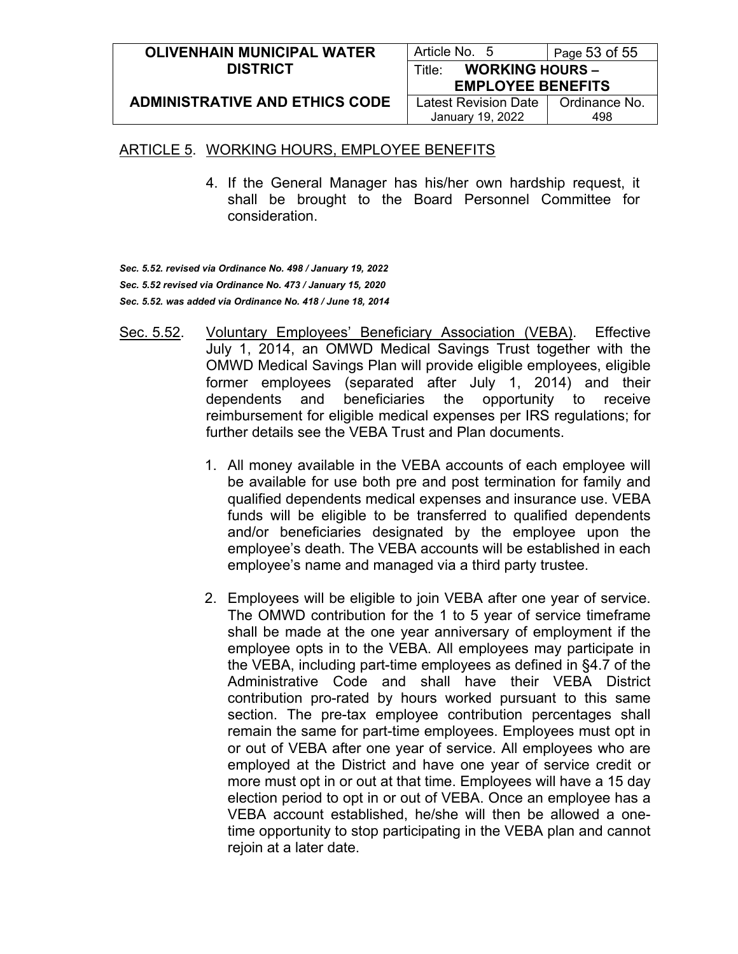| <b>OLIVENHAIN MUNICIPAL WATER</b>     | Article No. 5                    | Page $53$ of $55$ |  |
|---------------------------------------|----------------------------------|-------------------|--|
| <b>DISTRICT</b>                       | <b>WORKING HOURS -</b><br>Title: |                   |  |
|                                       | <b>EMPLOYEE BENEFITS</b>         |                   |  |
| <b>ADMINISTRATIVE AND ETHICS CODE</b> | Latest Revision Date             | Ordinance No.     |  |
|                                       | January 19, 2022                 | 498               |  |

4. If the General Manager has his/her own hardship request, it shall be brought to the Board Personnel Committee for consideration.

*Sec. 5.52. revised via Ordinance No. 498 / January 19, 2022 Sec. 5.52 revised via Ordinance No. 473 / January 15, 2020 Sec. 5.52. was added via Ordinance No. 418 / June 18, 2014*

- Sec. 5.52. Voluntary Employees' Beneficiary Association (VEBA). Effective July 1, 2014, an OMWD Medical Savings Trust together with the OMWD Medical Savings Plan will provide eligible employees, eligible former employees (separated after July 1, 2014) and their dependents and beneficiaries the opportunity to receive reimbursement for eligible medical expenses per IRS regulations; for further details see the VEBA Trust and Plan documents.
	- 1. All money available in the VEBA accounts of each employee will be available for use both pre and post termination for family and qualified dependents medical expenses and insurance use. VEBA funds will be eligible to be transferred to qualified dependents and/or beneficiaries designated by the employee upon the employee's death. The VEBA accounts will be established in each employee's name and managed via a third party trustee.
	- 2. Employees will be eligible to join VEBA after one year of service. The OMWD contribution for the 1 to 5 year of service timeframe shall be made at the one year anniversary of employment if the employee opts in to the VEBA. All employees may participate in the VEBA, including part-time employees as defined in §4.7 of the Administrative Code and shall have their VEBA District contribution pro-rated by hours worked pursuant to this same section. The pre-tax employee contribution percentages shall remain the same for part-time employees. Employees must opt in or out of VEBA after one year of service. All employees who are employed at the District and have one year of service credit or more must opt in or out at that time. Employees will have a 15 day election period to opt in or out of VEBA. Once an employee has a VEBA account established, he/she will then be allowed a onetime opportunity to stop participating in the VEBA plan and cannot rejoin at a later date.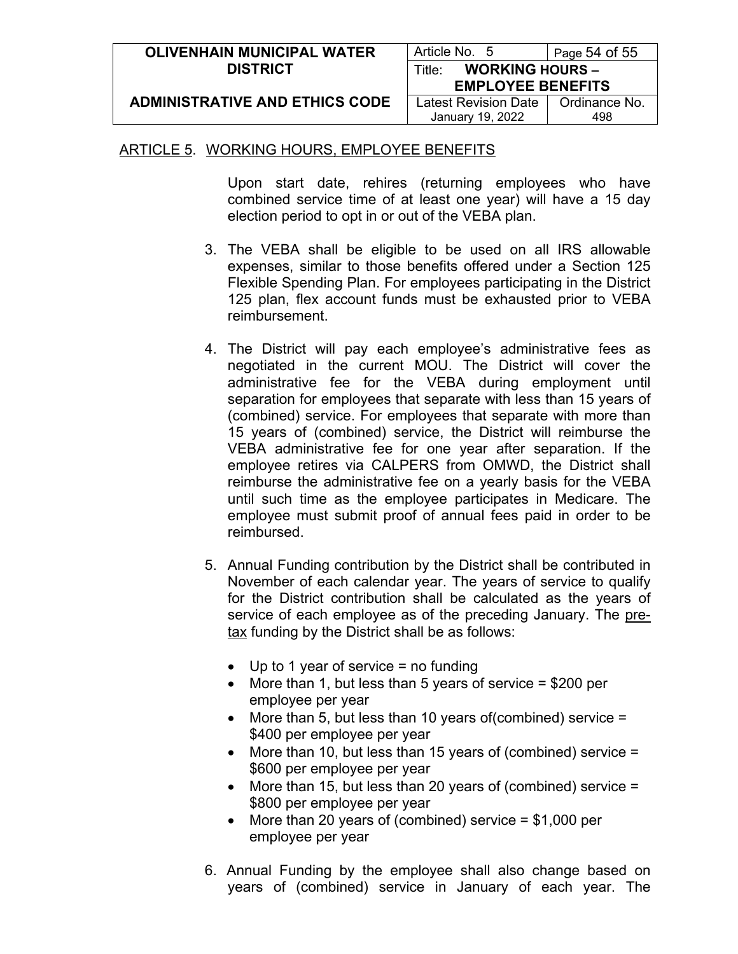| <b>OLIVENHAIN MUNICIPAL WATER</b>     | Article No. 5                    | Page 54 of 55 |  |
|---------------------------------------|----------------------------------|---------------|--|
| <b>DISTRICT</b>                       | <b>WORKING HOURS -</b><br>Title∵ |               |  |
|                                       | <b>EMPLOYEE BENEFITS</b>         |               |  |
| <b>ADMINISTRATIVE AND ETHICS CODE</b> | Latest Revision Date             | Ordinance No. |  |
|                                       | January 19, 2022                 | 498           |  |

Upon start date, rehires (returning employees who have combined service time of at least one year) will have a 15 day election period to opt in or out of the VEBA plan.

- 3. The VEBA shall be eligible to be used on all IRS allowable expenses, similar to those benefits offered under a Section 125 Flexible Spending Plan. For employees participating in the District 125 plan, flex account funds must be exhausted prior to VEBA reimbursement.
- 4. The District will pay each employee's administrative fees as negotiated in the current MOU. The District will cover the administrative fee for the VEBA during employment until separation for employees that separate with less than 15 years of (combined) service. For employees that separate with more than 15 years of (combined) service, the District will reimburse the VEBA administrative fee for one year after separation. If the employee retires via CALPERS from OMWD, the District shall reimburse the administrative fee on a yearly basis for the VEBA until such time as the employee participates in Medicare. The employee must submit proof of annual fees paid in order to be reimbursed.
- 5. Annual Funding contribution by the District shall be contributed in November of each calendar year. The years of service to qualify for the District contribution shall be calculated as the years of service of each employee as of the preceding January. The pretax funding by the District shall be as follows:
	- Up to 1 year of service = no funding
	- More than 1, but less than 5 years of service  $= $200$  per employee per year
	- More than 5, but less than 10 years of(combined) service = \$400 per employee per year
	- More than 10, but less than 15 years of (combined) service = \$600 per employee per year
	- More than 15, but less than 20 years of (combined) service = \$800 per employee per year
	- More than 20 years of (combined) service = \$1,000 per employee per year
- 6. Annual Funding by the employee shall also change based on years of (combined) service in January of each year. The